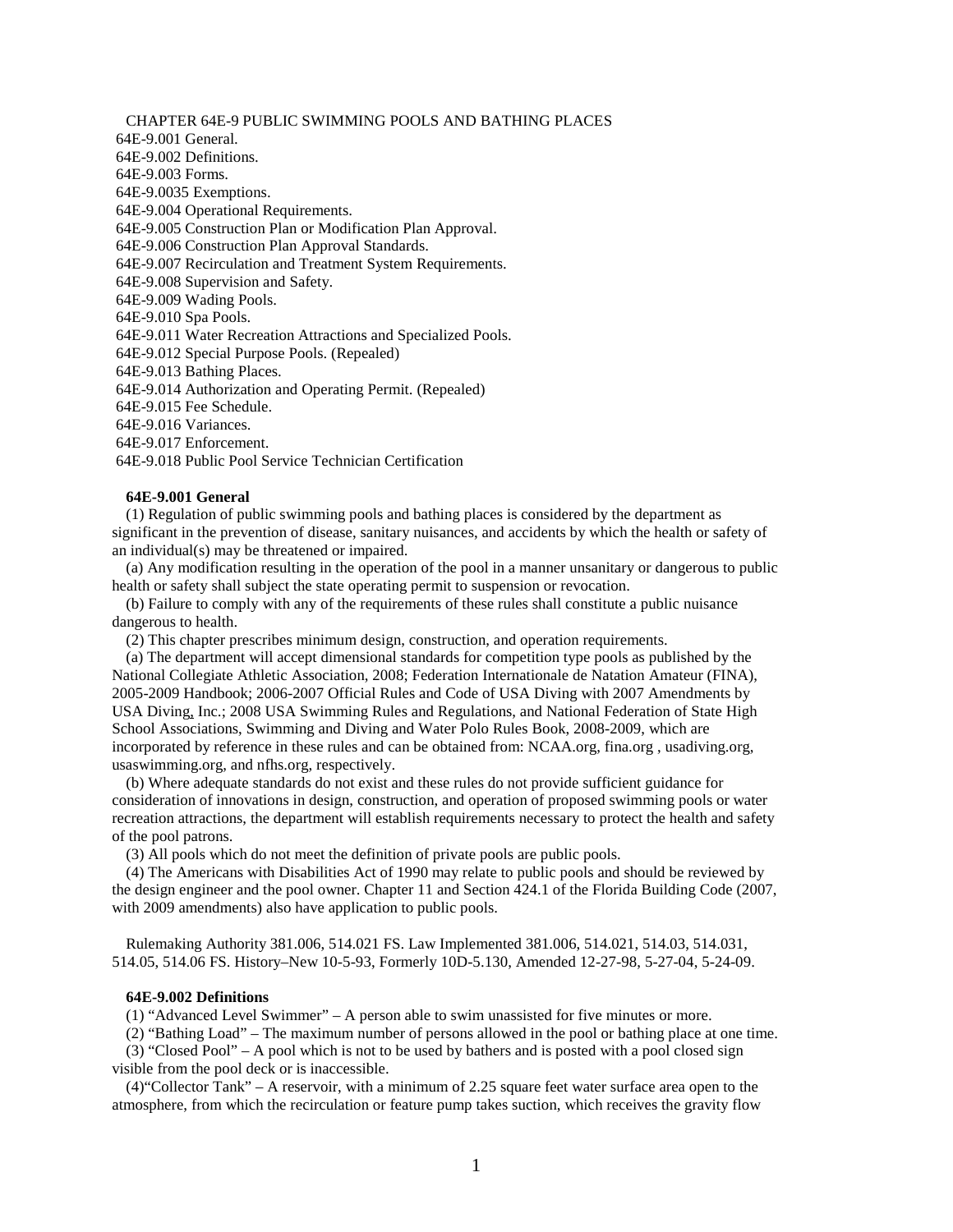CHAPTER 64E-9 PUBLIC SWIMMING POOLS AND BATHING PLACES 64E-9.001 General. 64E-9.002 Definitions. 64E-9.003 Forms. 64E-9.0035 Exemptions. 64E-9.004 Operational Requirements. 64E-9.005 Construction Plan or Modification Plan Approval. 64E-9.006 Construction Plan Approval Standards. 64E-9.007 Recirculation and Treatment System Requirements. 64E-9.008 Supervision and Safety. 64E-9.009 Wading Pools. 64E-9.010 Spa Pools. 64E-9.011 Water Recreation Attractions and Specialized Pools. 64E-9.012 Special Purpose Pools. (Repealed) 64E-9.013 Bathing Places. 64E-9.014 Authorization and Operating Permit. (Repealed) 64E-9.015 Fee Schedule. 64E-9.016 Variances. 64E-9.017 Enforcement. 64E-9.018 Public Pool Service Technician Certification

### **64E-9.001 General**

(1) Regulation of public swimming pools and bathing places is considered by the department as significant in the prevention of disease, sanitary nuisances, and accidents by which the health or safety of an individual(s) may be threatened or impaired.

(a) Any modification resulting in the operation of the pool in a manner unsanitary or dangerous to public health or safety shall subject the state operating permit to suspension or revocation.

(b) Failure to comply with any of the requirements of these rules shall constitute a public nuisance dangerous to health.

(2) This chapter prescribes minimum design, construction, and operation requirements.

(a) The department will accept dimensional standards for competition type pools as published by the National Collegiate Athletic Association, 2008; Federation Internationale de Natation Amateur (FINA), 2005-2009 Handbook; 2006-2007 Official Rules and Code of USA Diving with 2007 Amendments by USA Diving, Inc.; 2008 USA Swimming Rules and Regulations, and National Federation of State High School Associations, Swimming and Diving and Water Polo Rules Book, 2008-2009, which are incorporated by reference in these rules and can be obtained from: NCAA.org, fina.org , usadiving.org, usaswimming.org, and nfhs.org, respectively.

(b) Where adequate standards do not exist and these rules do not provide sufficient guidance for consideration of innovations in design, construction, and operation of proposed swimming pools or water recreation attractions, the department will establish requirements necessary to protect the health and safety of the pool patrons.

(3) All pools which do not meet the definition of private pools are public pools.

(4) The Americans with Disabilities Act of 1990 may relate to public pools and should be reviewed by the design engineer and the pool owner. Chapter 11 and Section 424.1 of the Florida Building Code (2007, with 2009 amendments) also have application to public pools.

Rulemaking Authority 381.006, 514.021 FS. Law Implemented 381.006, 514.021, 514.03, 514.031, 514.05, 514.06 FS. History–New 10-5-93, Formerly 10D-5.130, Amended 12-27-98, 5-27-04, 5-24-09.

### **64E-9.002 Definitions**

(1) "Advanced Level Swimmer" – A person able to swim unassisted for five minutes or more.

(2) "Bathing Load" – The maximum number of persons allowed in the pool or bathing place at one time.

(3) "Closed Pool" – A pool which is not to be used by bathers and is posted with a pool closed sign visible from the pool deck or is inaccessible.

 $(4)$ "Collector Tank" – A reservoir, with a minimum of 2.25 square feet water surface area open to the atmosphere, from which the recirculation or feature pump takes suction, which receives the gravity flow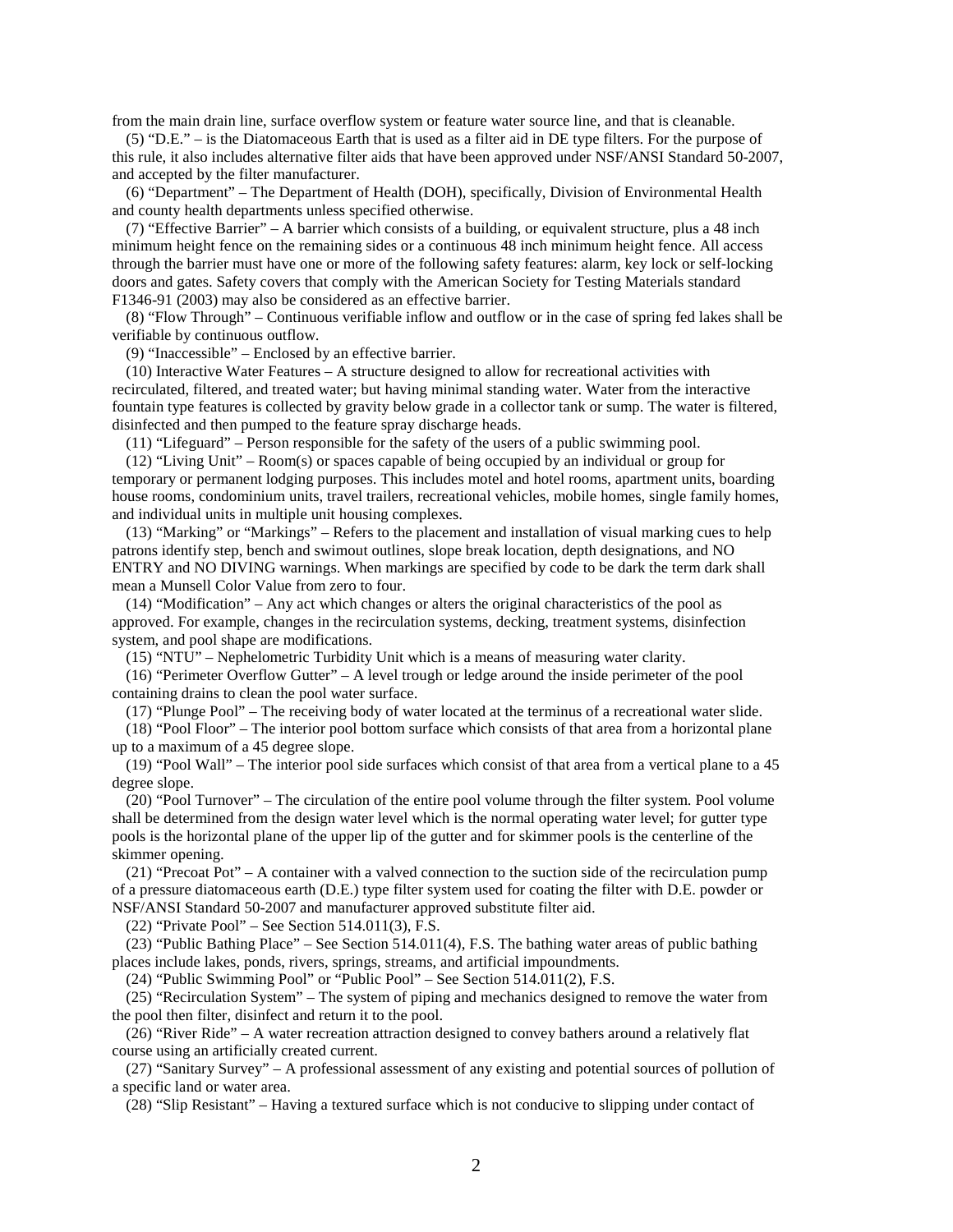from the main drain line, surface overflow system or feature water source line, and that is cleanable.

(5) "D.E." – is the Diatomaceous Earth that is used as a filter aid in DE type filters. For the purpose of this rule, it also includes alternative filter aids that have been approved under NSF/ANSI Standard 50-2007, and accepted by the filter manufacturer.

(6) "Department" – The Department of Health (DOH), specifically, Division of Environmental Health and county health departments unless specified otherwise.

(7) "Effective Barrier" – A barrier which consists of a building, or equivalent structure, plus a 48 inch minimum height fence on the remaining sides or a continuous 48 inch minimum height fence. All access through the barrier must have one or more of the following safety features: alarm, key lock or self-locking doors and gates. Safety covers that comply with the American Society for Testing Materials standard F1346-91 (2003) may also be considered as an effective barrier.

(8) "Flow Through" – Continuous verifiable inflow and outflow or in the case of spring fed lakes shall be verifiable by continuous outflow.

(9) "Inaccessible" – Enclosed by an effective barrier.

(10) Interactive Water Features – A structure designed to allow for recreational activities with recirculated, filtered, and treated water; but having minimal standing water. Water from the interactive fountain type features is collected by gravity below grade in a collector tank or sump. The water is filtered, disinfected and then pumped to the feature spray discharge heads.

(11) "Lifeguard" – Person responsible for the safety of the users of a public swimming pool.

(12) "Living Unit" – Room(s) or spaces capable of being occupied by an individual or group for temporary or permanent lodging purposes. This includes motel and hotel rooms, apartment units, boarding house rooms, condominium units, travel trailers, recreational vehicles, mobile homes, single family homes, and individual units in multiple unit housing complexes.

(13) "Marking" or "Markings" – Refers to the placement and installation of visual marking cues to help patrons identify step, bench and swimout outlines, slope break location, depth designations, and NO ENTRY and NO DIVING warnings. When markings are specified by code to be dark the term dark shall mean a Munsell Color Value from zero to four.

(14) "Modification" – Any act which changes or alters the original characteristics of the pool as approved. For example, changes in the recirculation systems, decking, treatment systems, disinfection system, and pool shape are modifications.

(15) "NTU" – Nephelometric Turbidity Unit which is a means of measuring water clarity.

(16) "Perimeter Overflow Gutter" – A level trough or ledge around the inside perimeter of the pool containing drains to clean the pool water surface.

(17) "Plunge Pool" – The receiving body of water located at the terminus of a recreational water slide.

(18) "Pool Floor" – The interior pool bottom surface which consists of that area from a horizontal plane up to a maximum of a 45 degree slope.

(19) "Pool Wall" – The interior pool side surfaces which consist of that area from a vertical plane to a 45 degree slope.

(20) "Pool Turnover" – The circulation of the entire pool volume through the filter system. Pool volume shall be determined from the design water level which is the normal operating water level; for gutter type pools is the horizontal plane of the upper lip of the gutter and for skimmer pools is the centerline of the skimmer opening.

(21) "Precoat Pot" – A container with a valved connection to the suction side of the recirculation pump of a pressure diatomaceous earth (D.E.) type filter system used for coating the filter with D.E. powder or NSF/ANSI Standard 50-2007 and manufacturer approved substitute filter aid.

(22) "Private Pool" – See Section 514.011(3), F.S.

(23) "Public Bathing Place" – See Section 514.011(4), F.S. The bathing water areas of public bathing places include lakes, ponds, rivers, springs, streams, and artificial impoundments.

(24) "Public Swimming Pool" or "Public Pool" – See Section 514.011(2), F.S.

(25) "Recirculation System" – The system of piping and mechanics designed to remove the water from the pool then filter, disinfect and return it to the pool.

(26) "River Ride" – A water recreation attraction designed to convey bathers around a relatively flat course using an artificially created current.

(27) "Sanitary Survey" – A professional assessment of any existing and potential sources of pollution of a specific land or water area.

(28) "Slip Resistant" – Having a textured surface which is not conducive to slipping under contact of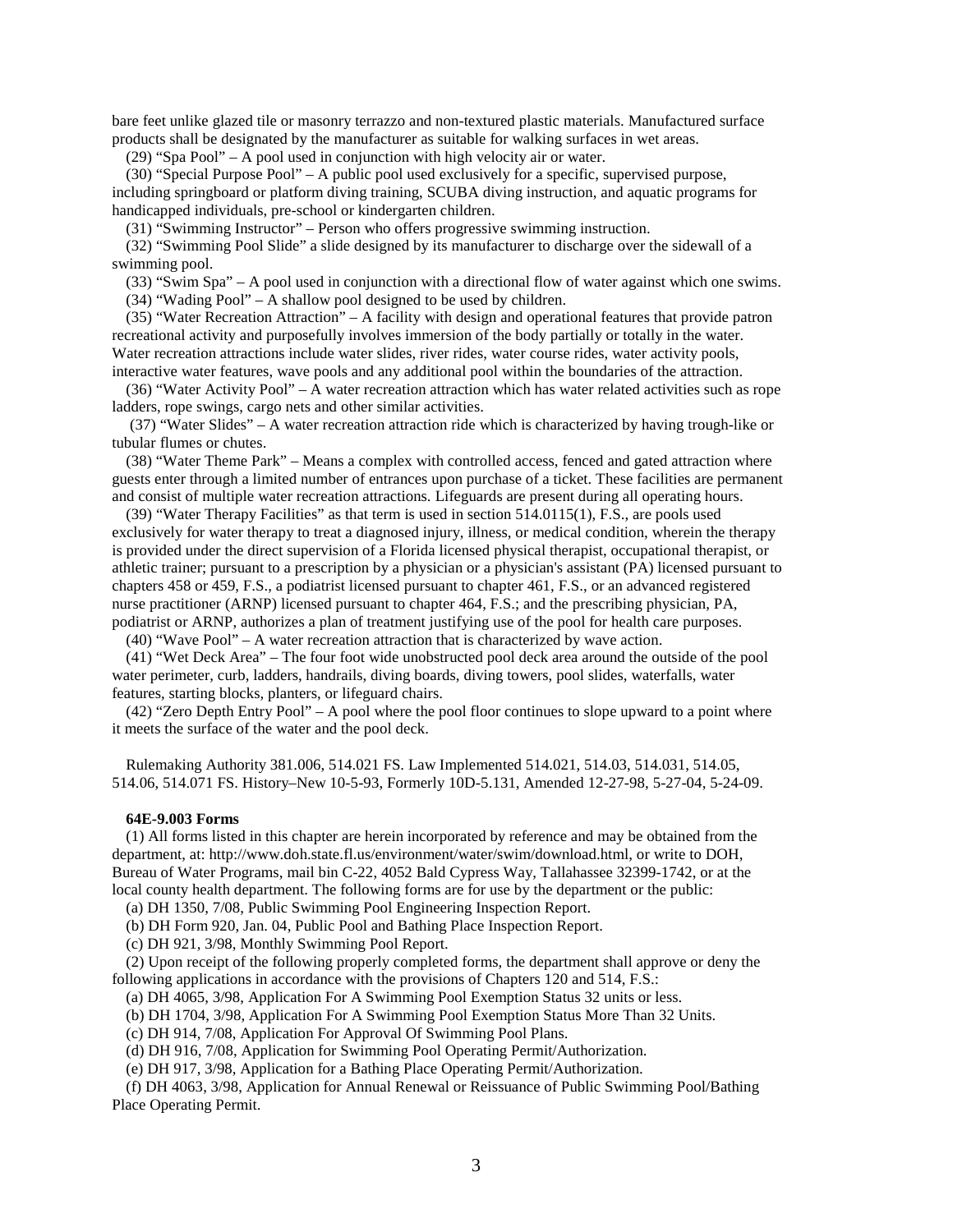bare feet unlike glazed tile or masonry terrazzo and non-textured plastic materials. Manufactured surface products shall be designated by the manufacturer as suitable for walking surfaces in wet areas.

(29) "Spa Pool" – A pool used in conjunction with high velocity air or water.

(30) "Special Purpose Pool" – A public pool used exclusively for a specific, supervised purpose, including springboard or platform diving training, SCUBA diving instruction, and aquatic programs for handicapped individuals, pre-school or kindergarten children.

(31) "Swimming Instructor" – Person who offers progressive swimming instruction.

(32) "Swimming Pool Slide" a slide designed by its manufacturer to discharge over the sidewall of a swimming pool.

(33) "Swim Spa" – A pool used in conjunction with a directional flow of water against which one swims. (34) "Wading Pool" – A shallow pool designed to be used by children.

(35) "Water Recreation Attraction" – A facility with design and operational features that provide patron recreational activity and purposefully involves immersion of the body partially or totally in the water. Water recreation attractions include water slides, river rides, water course rides, water activity pools, interactive water features, wave pools and any additional pool within the boundaries of the attraction.

(36) "Water Activity Pool" – A water recreation attraction which has water related activities such as rope ladders, rope swings, cargo nets and other similar activities.

 (37) "Water Slides" – A water recreation attraction ride which is characterized by having trough-like or tubular flumes or chutes.

(38) "Water Theme Park" – Means a complex with controlled access, fenced and gated attraction where guests enter through a limited number of entrances upon purchase of a ticket. These facilities are permanent and consist of multiple water recreation attractions. Lifeguards are present during all operating hours.

(39) "Water Therapy Facilities" as that term is used in section 514.0115(1), F.S., are pools used exclusively for water therapy to treat a diagnosed injury, illness, or medical condition, wherein the therapy is provided under the direct supervision of a Florida licensed physical therapist, occupational therapist, or athletic trainer; pursuant to a prescription by a physician or a physician's assistant (PA) licensed pursuant to chapters 458 or 459, F.S., a podiatrist licensed pursuant to chapter 461, F.S., or an advanced registered nurse practitioner (ARNP) licensed pursuant to chapter 464, F.S.; and the prescribing physician, PA, podiatrist or ARNP, authorizes a plan of treatment justifying use of the pool for health care purposes.

(40) "Wave Pool" – A water recreation attraction that is characterized by wave action.

(41) "Wet Deck Area" – The four foot wide unobstructed pool deck area around the outside of the pool water perimeter, curb, ladders, handrails, diving boards, diving towers, pool slides, waterfalls, water features, starting blocks, planters, or lifeguard chairs.

(42) "Zero Depth Entry Pool" – A pool where the pool floor continues to slope upward to a point where it meets the surface of the water and the pool deck.

Rulemaking Authority 381.006, 514.021 FS. Law Implemented 514.021, 514.03, 514.031, 514.05, 514.06, 514.071 FS. History–New 10-5-93, Formerly 10D-5.131, Amended 12-27-98, 5-27-04, 5-24-09.

#### **64E-9.003 Forms**

(1) All forms listed in this chapter are herein incorporated by reference and may be obtained from the department, at: http://www.doh.state.fl.us/environment/water/swim/download.html, or write to DOH, Bureau of Water Programs, mail bin C-22, 4052 Bald Cypress Way, Tallahassee 32399-1742, or at the local county health department. The following forms are for use by the department or the public:

(a) DH 1350, 7/08, Public Swimming Pool Engineering Inspection Report.

(b) DH Form 920, Jan. 04, Public Pool and Bathing Place Inspection Report.

(c) DH 921, 3/98, Monthly Swimming Pool Report.

(2) Upon receipt of the following properly completed forms, the department shall approve or deny the following applications in accordance with the provisions of Chapters 120 and 514, F.S.:

(a) DH 4065, 3/98, Application For A Swimming Pool Exemption Status 32 units or less.

(b) DH 1704, 3/98, Application For A Swimming Pool Exemption Status More Than 32 Units.

(c) DH 914, 7/08, Application For Approval Of Swimming Pool Plans.

(d) DH 916, 7/08, Application for Swimming Pool Operating Permit/Authorization.

(e) DH 917, 3/98, Application for a Bathing Place Operating Permit/Authorization.

(f) DH 4063, 3/98, Application for Annual Renewal or Reissuance of Public Swimming Pool/Bathing Place Operating Permit.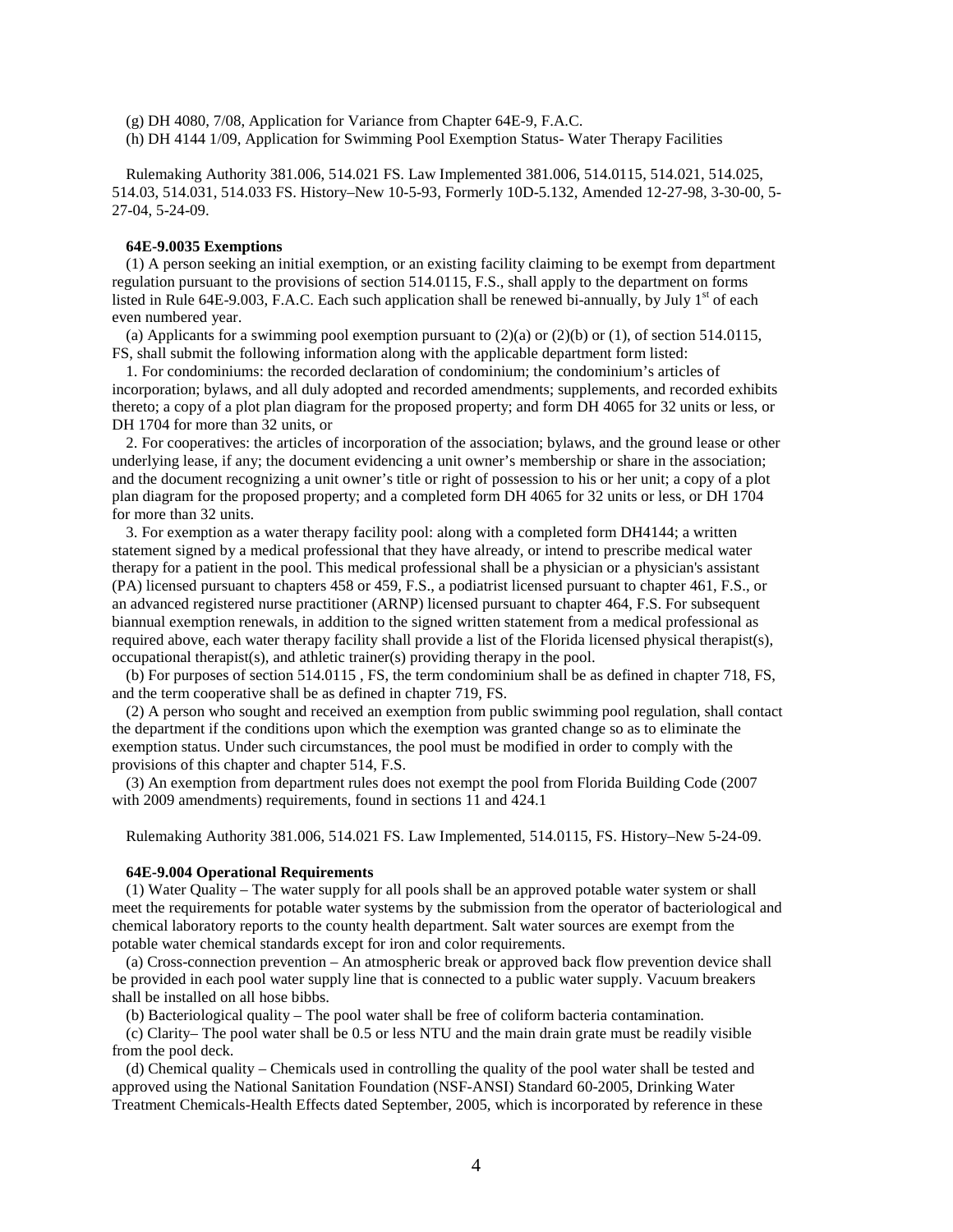(g) DH 4080, 7/08, Application for Variance from Chapter 64E-9, F.A.C.

(h) DH 4144 1/09, Application for Swimming Pool Exemption Status- Water Therapy Facilities

Rulemaking Authority 381.006, 514.021 FS. Law Implemented 381.006, 514.0115, 514.021, 514.025, 514.03, 514.031, 514.033 FS. History–New 10-5-93, Formerly 10D-5.132, Amended 12-27-98, 3-30-00, 5- 27-04, 5-24-09.

## **64E-9.0035 Exemptions**

(1) A person seeking an initial exemption, or an existing facility claiming to be exempt from department regulation pursuant to the provisions of section 514.0115, F.S., shall apply to the department on forms listed in Rule 64E-9.003, F.A.C. Each such application shall be renewed bi-annually, by July  $1<sup>st</sup>$  of each even numbered year.

(a) Applicants for a swimming pool exemption pursuant to  $(2)(a)$  or  $(2)(b)$  or  $(1)$ , of section 514.0115, FS, shall submit the following information along with the applicable department form listed:

1. For condominiums: the recorded declaration of condominium; the condominium's articles of incorporation; bylaws, and all duly adopted and recorded amendments; supplements, and recorded exhibits thereto; a copy of a plot plan diagram for the proposed property; and form DH 4065 for 32 units or less, or DH 1704 for more than 32 units, or

2. For cooperatives: the articles of incorporation of the association; bylaws, and the ground lease or other underlying lease, if any; the document evidencing a unit owner's membership or share in the association; and the document recognizing a unit owner's title or right of possession to his or her unit; a copy of a plot plan diagram for the proposed property; and a completed form DH 4065 for 32 units or less, or DH 1704 for more than 32 units.

3. For exemption as a water therapy facility pool: along with a completed form DH4144; a written statement signed by a medical professional that they have already, or intend to prescribe medical water therapy for a patient in the pool. This medical professional shall be a physician or a physician's assistant (PA) licensed pursuant to chapters 458 or 459, F.S., a podiatrist licensed pursuant to chapter 461, F.S., or an advanced registered nurse practitioner (ARNP) licensed pursuant to chapter 464, F.S. For subsequent biannual exemption renewals, in addition to the signed written statement from a medical professional as required above, each water therapy facility shall provide a list of the Florida licensed physical therapist(s), occupational therapist(s), and athletic trainer(s) providing therapy in the pool.

(b) For purposes of section 514.0115 , FS, the term condominium shall be as defined in chapter 718, FS, and the term cooperative shall be as defined in chapter 719, FS.

(2) A person who sought and received an exemption from public swimming pool regulation, shall contact the department if the conditions upon which the exemption was granted change so as to eliminate the exemption status. Under such circumstances, the pool must be modified in order to comply with the provisions of this chapter and chapter 514, F.S.

(3) An exemption from department rules does not exempt the pool from Florida Building Code (2007 with 2009 amendments) requirements, found in sections 11 and 424.1

Rulemaking Authority 381.006, 514.021 FS. Law Implemented, 514.0115, FS. History–New 5-24-09.

### **64E-9.004 Operational Requirements**

(1) Water Quality – The water supply for all pools shall be an approved potable water system or shall meet the requirements for potable water systems by the submission from the operator of bacteriological and chemical laboratory reports to the county health department. Salt water sources are exempt from the potable water chemical standards except for iron and color requirements.

(a) Cross-connection prevention – An atmospheric break or approved back flow prevention device shall be provided in each pool water supply line that is connected to a public water supply. Vacuum breakers shall be installed on all hose bibbs.

(b) Bacteriological quality – The pool water shall be free of coliform bacteria contamination.

(c) Clarity– The pool water shall be 0.5 or less NTU and the main drain grate must be readily visible from the pool deck.

(d) Chemical quality – Chemicals used in controlling the quality of the pool water shall be tested and approved using the National Sanitation Foundation (NSF-ANSI) Standard 60-2005, Drinking Water Treatment Chemicals-Health Effects dated September, 2005, which is incorporated by reference in these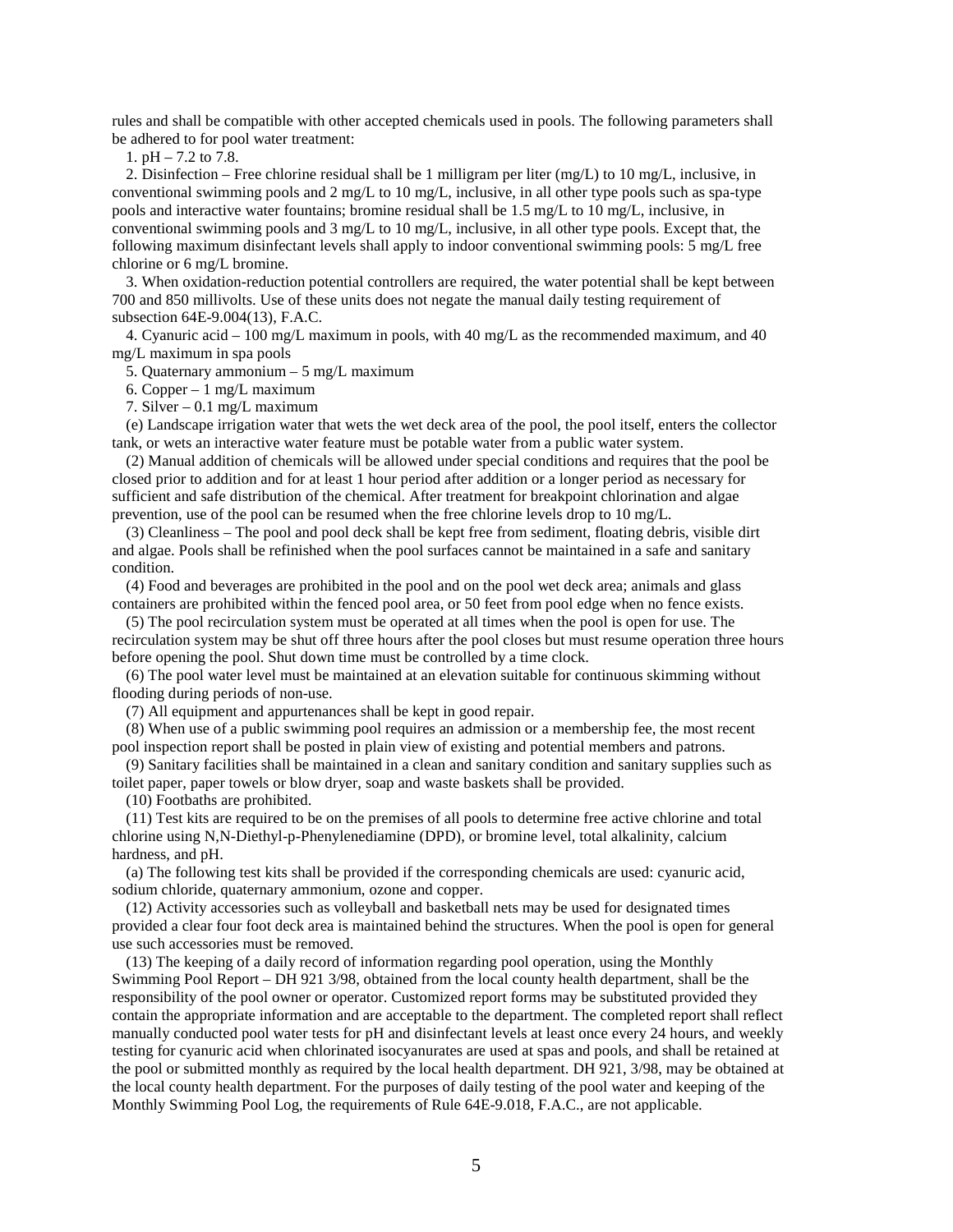rules and shall be compatible with other accepted chemicals used in pools. The following parameters shall be adhered to for pool water treatment:

1. pH – 7.2 to 7.8.

2. Disinfection – Free chlorine residual shall be 1 milligram per liter  $(mg/L)$  to 10 mg/L, inclusive, in conventional swimming pools and  $2 \text{ mg/L}$  to  $10 \text{ mg/L}$ , inclusive, in all other type pools such as spa-type pools and interactive water fountains; bromine residual shall be 1.5 mg/L to 10 mg/L, inclusive, in conventional swimming pools and 3 mg/L to 10 mg/L, inclusive, in all other type pools. Except that, the following maximum disinfectant levels shall apply to indoor conventional swimming pools: 5 mg/L free chlorine or 6 mg/L bromine.

3. When oxidation-reduction potential controllers are required, the water potential shall be kept between 700 and 850 millivolts. Use of these units does not negate the manual daily testing requirement of subsection 64E-9.004(13), F.A.C.

4. Cyanuric acid – 100 mg/L maximum in pools, with 40 mg/L as the recommended maximum, and 40 mg/L maximum in spa pools

5. Quaternary ammonium – 5 mg/L maximum

6. Copper – 1 mg/L maximum

7. Silver – 0.1 mg/L maximum

(e) Landscape irrigation water that wets the wet deck area of the pool, the pool itself, enters the collector tank, or wets an interactive water feature must be potable water from a public water system.

(2) Manual addition of chemicals will be allowed under special conditions and requires that the pool be closed prior to addition and for at least 1 hour period after addition or a longer period as necessary for sufficient and safe distribution of the chemical. After treatment for breakpoint chlorination and algae prevention, use of the pool can be resumed when the free chlorine levels drop to 10 mg/L.

(3) Cleanliness – The pool and pool deck shall be kept free from sediment, floating debris, visible dirt and algae. Pools shall be refinished when the pool surfaces cannot be maintained in a safe and sanitary condition.

(4) Food and beverages are prohibited in the pool and on the pool wet deck area; animals and glass containers are prohibited within the fenced pool area, or 50 feet from pool edge when no fence exists.

(5) The pool recirculation system must be operated at all times when the pool is open for use. The recirculation system may be shut off three hours after the pool closes but must resume operation three hours before opening the pool. Shut down time must be controlled by a time clock.

(6) The pool water level must be maintained at an elevation suitable for continuous skimming without flooding during periods of non-use.

(7) All equipment and appurtenances shall be kept in good repair.

(8) When use of a public swimming pool requires an admission or a membership fee, the most recent pool inspection report shall be posted in plain view of existing and potential members and patrons.

(9) Sanitary facilities shall be maintained in a clean and sanitary condition and sanitary supplies such as toilet paper, paper towels or blow dryer, soap and waste baskets shall be provided.

(10) Footbaths are prohibited.

(11) Test kits are required to be on the premises of all pools to determine free active chlorine and total chlorine using N,N-Diethyl-p-Phenylenediamine (DPD), or bromine level, total alkalinity, calcium hardness, and pH.

(a) The following test kits shall be provided if the corresponding chemicals are used: cyanuric acid, sodium chloride, quaternary ammonium, ozone and copper.

(12) Activity accessories such as volleyball and basketball nets may be used for designated times provided a clear four foot deck area is maintained behind the structures. When the pool is open for general use such accessories must be removed.

(13) The keeping of a daily record of information regarding pool operation, using the Monthly Swimming Pool Report – DH 921 3/98, obtained from the local county health department, shall be the responsibility of the pool owner or operator. Customized report forms may be substituted provided they contain the appropriate information and are acceptable to the department. The completed report shall reflect manually conducted pool water tests for pH and disinfectant levels at least once every 24 hours, and weekly testing for cyanuric acid when chlorinated isocyanurates are used at spas and pools, and shall be retained at the pool or submitted monthly as required by the local health department. DH 921, 3/98, may be obtained at the local county health department. For the purposes of daily testing of the pool water and keeping of the Monthly Swimming Pool Log, the requirements of Rule 64E-9.018, F.A.C., are not applicable.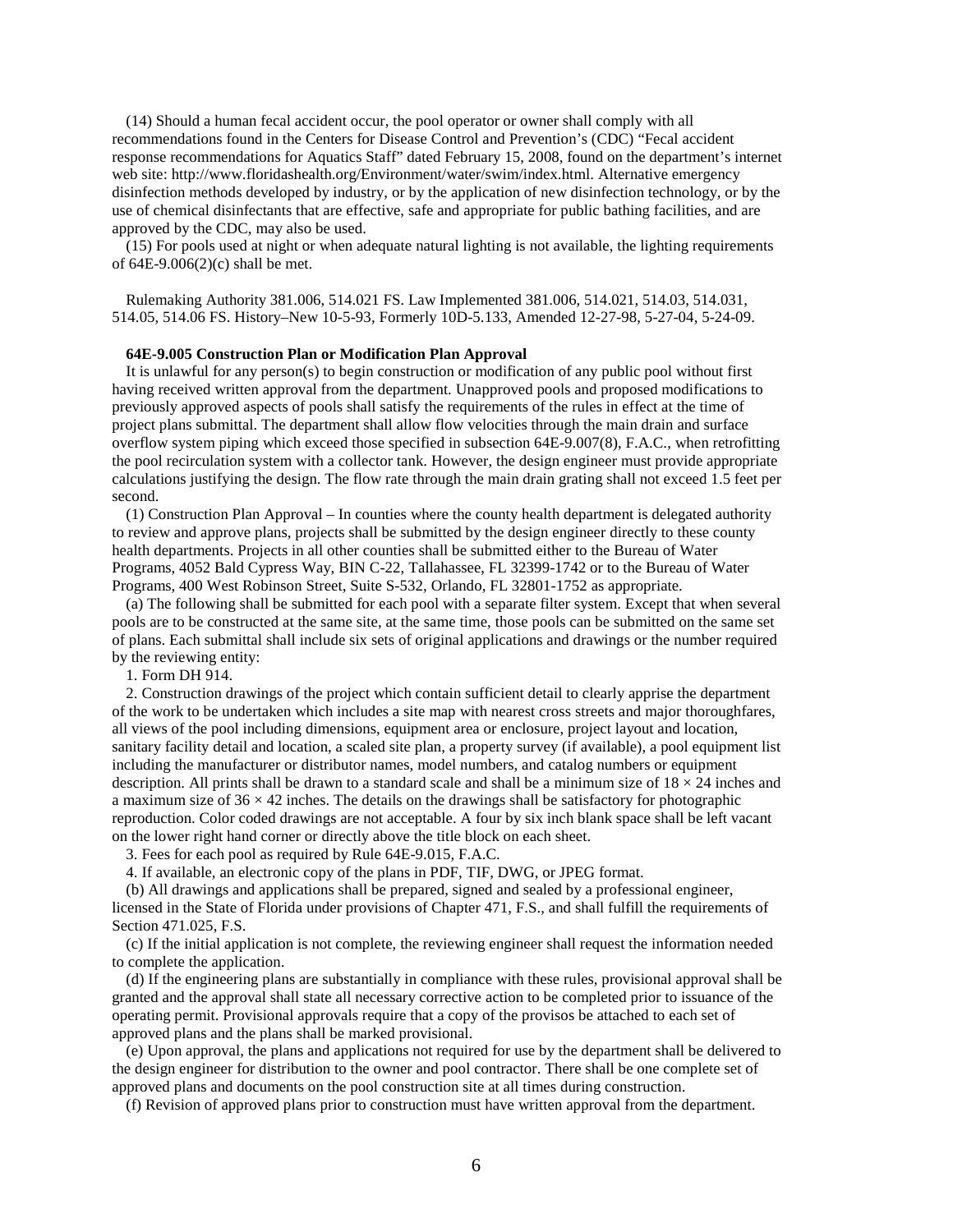(14) Should a human fecal accident occur, the pool operator or owner shall comply with all recommendations found in the Centers for Disease Control and Prevention's (CDC) "Fecal accident response recommendations for Aquatics Staff" dated February 15, 2008, found on the department's internet web site: http://www.floridashealth.org/Environment/water/swim/index.html. Alternative emergency disinfection methods developed by industry, or by the application of new disinfection technology, or by the use of chemical disinfectants that are effective, safe and appropriate for public bathing facilities, and are approved by the CDC, may also be used.

(15) For pools used at night or when adequate natural lighting is not available, the lighting requirements of 64E-9.006(2)(c) shall be met.

Rulemaking Authority 381.006, 514.021 FS. Law Implemented 381.006, 514.021, 514.03, 514.031, 514.05, 514.06 FS. History–New 10-5-93, Formerly 10D-5.133, Amended 12-27-98, 5-27-04, 5-24-09.

### **64E-9.005 Construction Plan or Modification Plan Approval**

It is unlawful for any person(s) to begin construction or modification of any public pool without first having received written approval from the department. Unapproved pools and proposed modifications to previously approved aspects of pools shall satisfy the requirements of the rules in effect at the time of project plans submittal. The department shall allow flow velocities through the main drain and surface overflow system piping which exceed those specified in subsection 64E-9.007(8), F.A.C., when retrofitting the pool recirculation system with a collector tank. However, the design engineer must provide appropriate calculations justifying the design. The flow rate through the main drain grating shall not exceed 1.5 feet per second.

(1) Construction Plan Approval – In counties where the county health department is delegated authority to review and approve plans, projects shall be submitted by the design engineer directly to these county health departments. Projects in all other counties shall be submitted either to the Bureau of Water Programs, 4052 Bald Cypress Way, BIN C-22, Tallahassee, FL 32399-1742 or to the Bureau of Water Programs, 400 West Robinson Street, Suite S-532, Orlando, FL 32801-1752 as appropriate.

(a) The following shall be submitted for each pool with a separate filter system. Except that when several pools are to be constructed at the same site, at the same time, those pools can be submitted on the same set of plans. Each submittal shall include six sets of original applications and drawings or the number required by the reviewing entity:

1. Form DH 914.

2. Construction drawings of the project which contain sufficient detail to clearly apprise the department of the work to be undertaken which includes a site map with nearest cross streets and major thoroughfares, all views of the pool including dimensions, equipment area or enclosure, project layout and location, sanitary facility detail and location, a scaled site plan, a property survey (if available), a pool equipment list including the manufacturer or distributor names, model numbers, and catalog numbers or equipment description. All prints shall be drawn to a standard scale and shall be a minimum size of  $18 \times 24$  inches and a maximum size of  $36 \times 42$  inches. The details on the drawings shall be satisfactory for photographic reproduction. Color coded drawings are not acceptable. A four by six inch blank space shall be left vacant on the lower right hand corner or directly above the title block on each sheet.

3. Fees for each pool as required by Rule 64E-9.015, F.A.C.

4. If available, an electronic copy of the plans in PDF, TIF, DWG, or JPEG format.

(b) All drawings and applications shall be prepared, signed and sealed by a professional engineer, licensed in the State of Florida under provisions of Chapter 471, F.S., and shall fulfill the requirements of Section 471.025, F.S.

(c) If the initial application is not complete, the reviewing engineer shall request the information needed to complete the application.

(d) If the engineering plans are substantially in compliance with these rules, provisional approval shall be granted and the approval shall state all necessary corrective action to be completed prior to issuance of the operating permit. Provisional approvals require that a copy of the provisos be attached to each set of approved plans and the plans shall be marked provisional.

(e) Upon approval, the plans and applications not required for use by the department shall be delivered to the design engineer for distribution to the owner and pool contractor. There shall be one complete set of approved plans and documents on the pool construction site at all times during construction.

(f) Revision of approved plans prior to construction must have written approval from the department.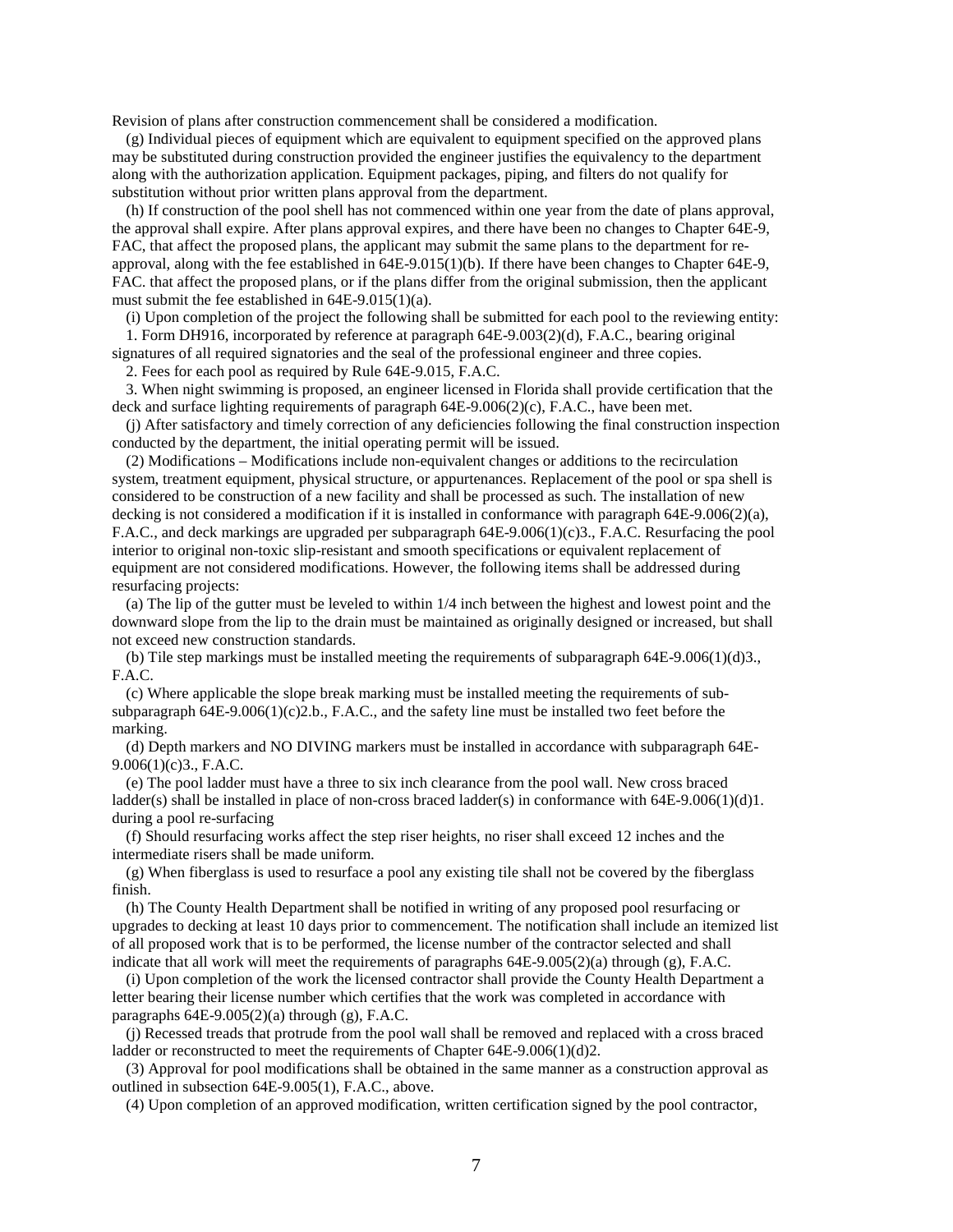Revision of plans after construction commencement shall be considered a modification.

(g) Individual pieces of equipment which are equivalent to equipment specified on the approved plans may be substituted during construction provided the engineer justifies the equivalency to the department along with the authorization application. Equipment packages, piping, and filters do not qualify for substitution without prior written plans approval from the department.

(h) If construction of the pool shell has not commenced within one year from the date of plans approval, the approval shall expire. After plans approval expires, and there have been no changes to Chapter 64E-9, FAC, that affect the proposed plans, the applicant may submit the same plans to the department for reapproval, along with the fee established in 64E-9.015(1)(b). If there have been changes to Chapter 64E-9, FAC. that affect the proposed plans, or if the plans differ from the original submission, then the applicant must submit the fee established in 64E-9.015(1)(a).

(i) Upon completion of the project the following shall be submitted for each pool to the reviewing entity: 1. Form DH916, incorporated by reference at paragraph 64E-9.003(2)(d), F.A.C., bearing original

signatures of all required signatories and the seal of the professional engineer and three copies.

2. Fees for each pool as required by Rule 64E-9.015, F.A.C.

3. When night swimming is proposed, an engineer licensed in Florida shall provide certification that the deck and surface lighting requirements of paragraph  $64E-9.006(2)(c)$ , F.A.C., have been met.

(j) After satisfactory and timely correction of any deficiencies following the final construction inspection conducted by the department, the initial operating permit will be issued.

(2) Modifications – Modifications include non-equivalent changes or additions to the recirculation system, treatment equipment, physical structure, or appurtenances. Replacement of the pool or spa shell is considered to be construction of a new facility and shall be processed as such. The installation of new decking is not considered a modification if it is installed in conformance with paragraph 64E-9.006(2)(a), F.A.C., and deck markings are upgraded per subparagraph 64E-9.006(1)(c)3., F.A.C. Resurfacing the pool interior to original non-toxic slip-resistant and smooth specifications or equivalent replacement of equipment are not considered modifications. However, the following items shall be addressed during resurfacing projects:

(a) The lip of the gutter must be leveled to within 1/4 inch between the highest and lowest point and the downward slope from the lip to the drain must be maintained as originally designed or increased, but shall not exceed new construction standards.

(b) Tile step markings must be installed meeting the requirements of subparagraph  $64E-9.006(1)(d)3$ . F.A.C.

(c) Where applicable the slope break marking must be installed meeting the requirements of subsubparagraph 64E-9.006(1)(c)2.b., F.A.C., and the safety line must be installed two feet before the marking.

(d) Depth markers and NO DIVING markers must be installed in accordance with subparagraph 64E- $9.006(1)(c)3$ ., F.A.C.

(e) The pool ladder must have a three to six inch clearance from the pool wall. New cross braced ladder(s) shall be installed in place of non-cross braced ladder(s) in conformance with 64E-9.006(1)(d)1. during a pool re-surfacing

(f) Should resurfacing works affect the step riser heights, no riser shall exceed 12 inches and the intermediate risers shall be made uniform.

(g) When fiberglass is used to resurface a pool any existing tile shall not be covered by the fiberglass finish.

(h) The County Health Department shall be notified in writing of any proposed pool resurfacing or upgrades to decking at least 10 days prior to commencement. The notification shall include an itemized list of all proposed work that is to be performed, the license number of the contractor selected and shall indicate that all work will meet the requirements of paragraphs 64E-9.005(2)(a) through (g), F.A.C.

(i) Upon completion of the work the licensed contractor shall provide the County Health Department a letter bearing their license number which certifies that the work was completed in accordance with paragraphs  $64E-9.005(2)(a)$  through (g), F.A.C.

(j) Recessed treads that protrude from the pool wall shall be removed and replaced with a cross braced ladder or reconstructed to meet the requirements of Chapter 64E-9.006(1)(d)2.

(3) Approval for pool modifications shall be obtained in the same manner as a construction approval as outlined in subsection 64E-9.005(1), F.A.C., above.

(4) Upon completion of an approved modification, written certification signed by the pool contractor,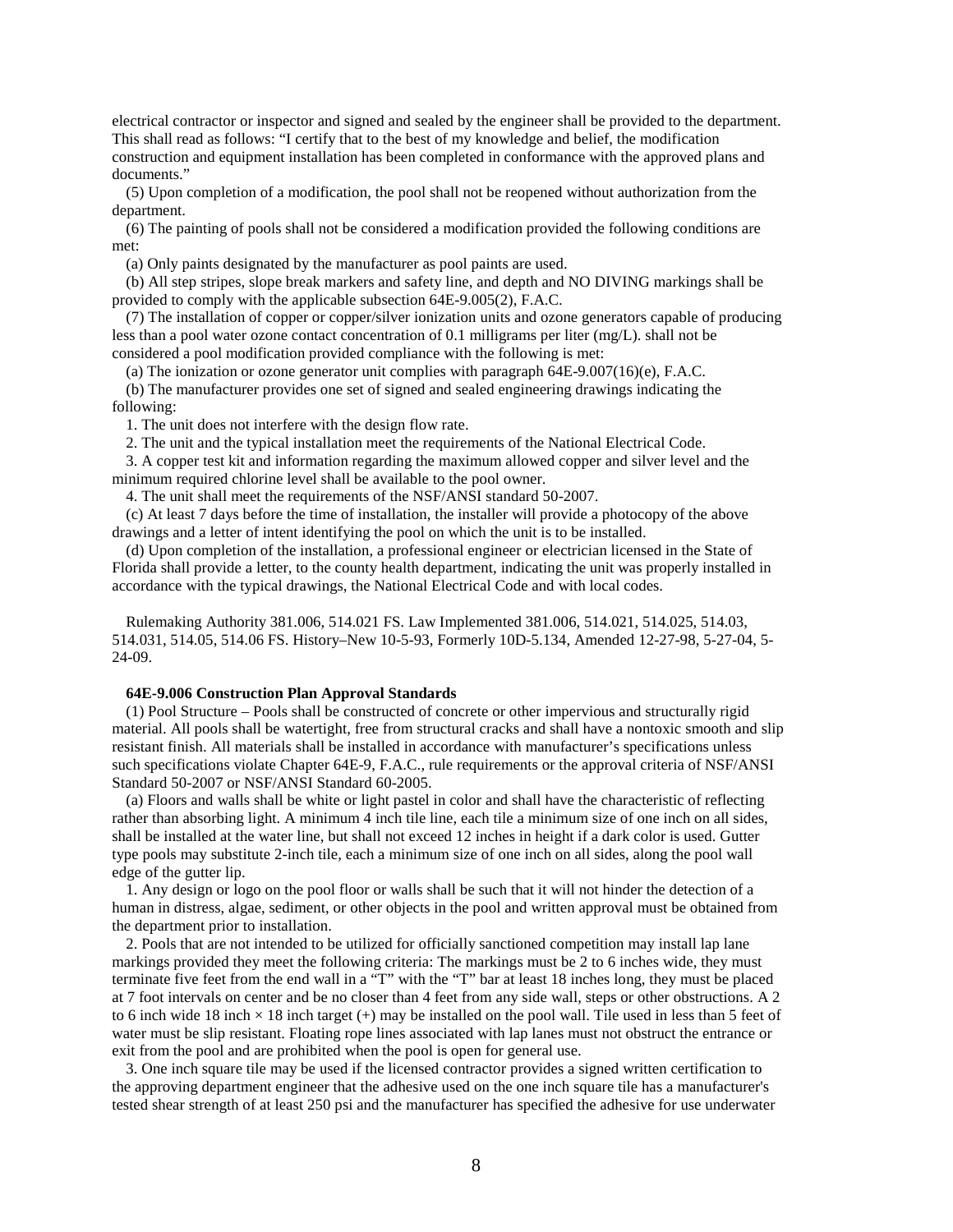electrical contractor or inspector and signed and sealed by the engineer shall be provided to the department. This shall read as follows: "I certify that to the best of my knowledge and belief, the modification construction and equipment installation has been completed in conformance with the approved plans and documents."

(5) Upon completion of a modification, the pool shall not be reopened without authorization from the department.

(6) The painting of pools shall not be considered a modification provided the following conditions are met:

(a) Only paints designated by the manufacturer as pool paints are used.

(b) All step stripes, slope break markers and safety line, and depth and NO DIVING markings shall be provided to comply with the applicable subsection 64E-9.005(2), F.A.C.

(7) The installation of copper or copper/silver ionization units and ozone generators capable of producing less than a pool water ozone contact concentration of 0.1 milligrams per liter (mg/L). shall not be considered a pool modification provided compliance with the following is met:

(a) The ionization or ozone generator unit complies with paragraph 64E-9.007(16)(e), F.A.C.

(b) The manufacturer provides one set of signed and sealed engineering drawings indicating the following:

1. The unit does not interfere with the design flow rate.

2. The unit and the typical installation meet the requirements of the National Electrical Code.

3. A copper test kit and information regarding the maximum allowed copper and silver level and the minimum required chlorine level shall be available to the pool owner.

4. The unit shall meet the requirements of the NSF/ANSI standard 50-2007.

(c) At least 7 days before the time of installation, the installer will provide a photocopy of the above drawings and a letter of intent identifying the pool on which the unit is to be installed.

(d) Upon completion of the installation, a professional engineer or electrician licensed in the State of Florida shall provide a letter, to the county health department, indicating the unit was properly installed in accordance with the typical drawings, the National Electrical Code and with local codes.

Rulemaking Authority 381.006, 514.021 FS. Law Implemented 381.006, 514.021, 514.025, 514.03, 514.031, 514.05, 514.06 FS. History–New 10-5-93, Formerly 10D-5.134, Amended 12-27-98, 5-27-04, 5- 24-09.

# **64E-9.006 Construction Plan Approval Standards**

(1) Pool Structure – Pools shall be constructed of concrete or other impervious and structurally rigid material. All pools shall be watertight, free from structural cracks and shall have a nontoxic smooth and slip resistant finish. All materials shall be installed in accordance with manufacturer's specifications unless such specifications violate Chapter 64E-9, F.A.C., rule requirements or the approval criteria of NSF/ANSI Standard 50-2007 or NSF/ANSI Standard 60-2005.

(a) Floors and walls shall be white or light pastel in color and shall have the characteristic of reflecting rather than absorbing light. A minimum 4 inch tile line, each tile a minimum size of one inch on all sides, shall be installed at the water line, but shall not exceed 12 inches in height if a dark color is used. Gutter type pools may substitute 2-inch tile, each a minimum size of one inch on all sides, along the pool wall edge of the gutter lip.

1. Any design or logo on the pool floor or walls shall be such that it will not hinder the detection of a human in distress, algae, sediment, or other objects in the pool and written approval must be obtained from the department prior to installation.

2. Pools that are not intended to be utilized for officially sanctioned competition may install lap lane markings provided they meet the following criteria: The markings must be 2 to 6 inches wide, they must terminate five feet from the end wall in a "T" with the "T" bar at least 18 inches long, they must be placed at 7 foot intervals on center and be no closer than 4 feet from any side wall, steps or other obstructions. A 2 to 6 inch wide 18 inch  $\times$  18 inch target (+) may be installed on the pool wall. Tile used in less than 5 feet of water must be slip resistant. Floating rope lines associated with lap lanes must not obstruct the entrance or exit from the pool and are prohibited when the pool is open for general use.

3. One inch square tile may be used if the licensed contractor provides a signed written certification to the approving department engineer that the adhesive used on the one inch square tile has a manufacturer's tested shear strength of at least 250 psi and the manufacturer has specified the adhesive for use underwater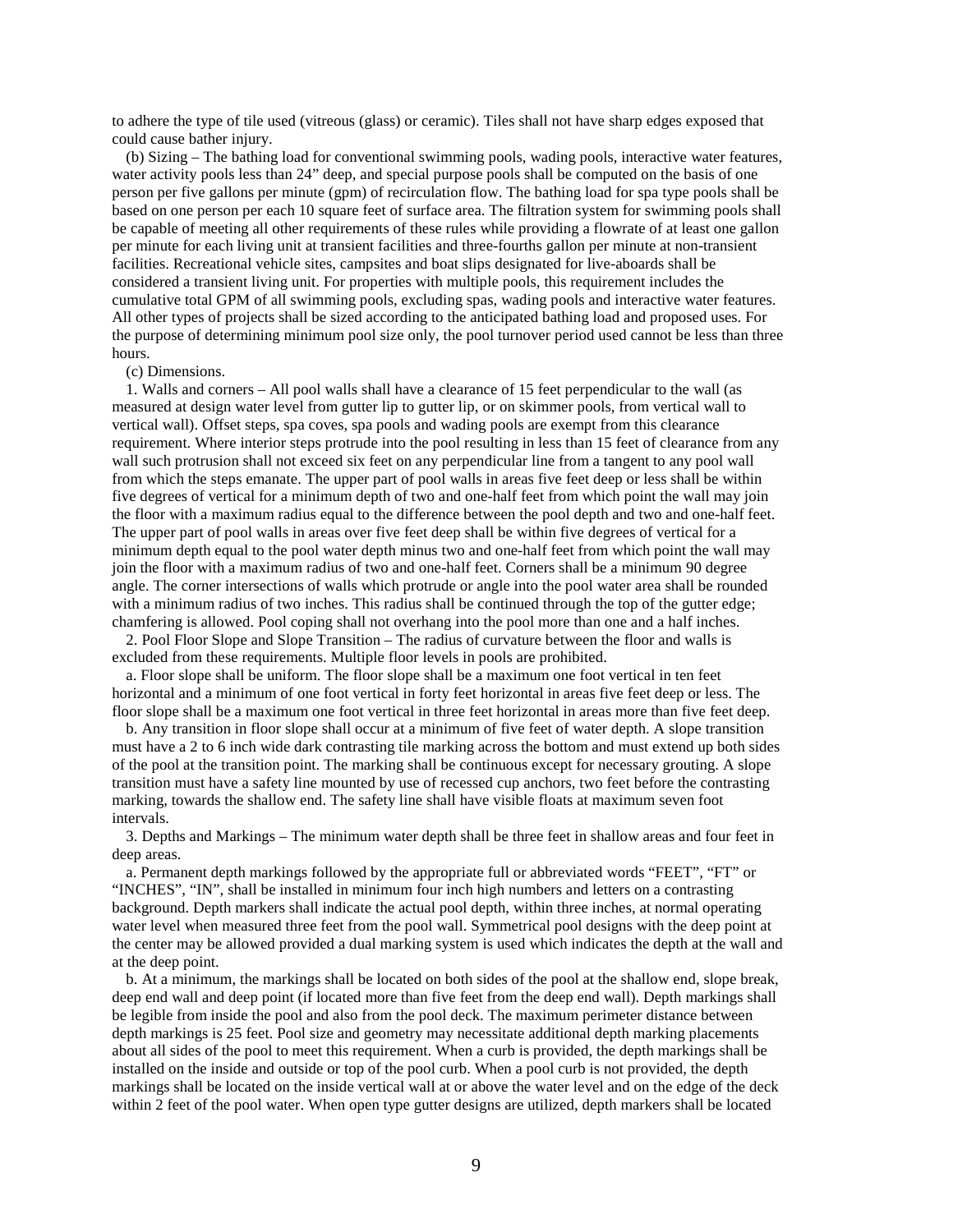to adhere the type of tile used (vitreous (glass) or ceramic). Tiles shall not have sharp edges exposed that could cause bather injury.

(b) Sizing – The bathing load for conventional swimming pools, wading pools, interactive water features, water activity pools less than 24" deep, and special purpose pools shall be computed on the basis of one person per five gallons per minute (gpm) of recirculation flow. The bathing load for spa type pools shall be based on one person per each 10 square feet of surface area. The filtration system for swimming pools shall be capable of meeting all other requirements of these rules while providing a flowrate of at least one gallon per minute for each living unit at transient facilities and three-fourths gallon per minute at non-transient facilities. Recreational vehicle sites, campsites and boat slips designated for live-aboards shall be considered a transient living unit. For properties with multiple pools, this requirement includes the cumulative total GPM of all swimming pools, excluding spas, wading pools and interactive water features. All other types of projects shall be sized according to the anticipated bathing load and proposed uses. For the purpose of determining minimum pool size only, the pool turnover period used cannot be less than three hours.

#### (c) Dimensions.

1. Walls and corners – All pool walls shall have a clearance of 15 feet perpendicular to the wall (as measured at design water level from gutter lip to gutter lip, or on skimmer pools, from vertical wall to vertical wall). Offset steps, spa coves, spa pools and wading pools are exempt from this clearance requirement. Where interior steps protrude into the pool resulting in less than 15 feet of clearance from any wall such protrusion shall not exceed six feet on any perpendicular line from a tangent to any pool wall from which the steps emanate. The upper part of pool walls in areas five feet deep or less shall be within five degrees of vertical for a minimum depth of two and one-half feet from which point the wall may join the floor with a maximum radius equal to the difference between the pool depth and two and one-half feet. The upper part of pool walls in areas over five feet deep shall be within five degrees of vertical for a minimum depth equal to the pool water depth minus two and one-half feet from which point the wall may join the floor with a maximum radius of two and one-half feet. Corners shall be a minimum 90 degree angle. The corner intersections of walls which protrude or angle into the pool water area shall be rounded with a minimum radius of two inches. This radius shall be continued through the top of the gutter edge; chamfering is allowed. Pool coping shall not overhang into the pool more than one and a half inches.

2. Pool Floor Slope and Slope Transition – The radius of curvature between the floor and walls is excluded from these requirements. Multiple floor levels in pools are prohibited.

a. Floor slope shall be uniform. The floor slope shall be a maximum one foot vertical in ten feet horizontal and a minimum of one foot vertical in forty feet horizontal in areas five feet deep or less. The floor slope shall be a maximum one foot vertical in three feet horizontal in areas more than five feet deep.

b. Any transition in floor slope shall occur at a minimum of five feet of water depth. A slope transition must have a 2 to 6 inch wide dark contrasting tile marking across the bottom and must extend up both sides of the pool at the transition point. The marking shall be continuous except for necessary grouting. A slope transition must have a safety line mounted by use of recessed cup anchors, two feet before the contrasting marking, towards the shallow end. The safety line shall have visible floats at maximum seven foot intervals.

3. Depths and Markings – The minimum water depth shall be three feet in shallow areas and four feet in deep areas.

a. Permanent depth markings followed by the appropriate full or abbreviated words "FEET", "FT" or "INCHES", "IN", shall be installed in minimum four inch high numbers and letters on a contrasting background. Depth markers shall indicate the actual pool depth, within three inches, at normal operating water level when measured three feet from the pool wall. Symmetrical pool designs with the deep point at the center may be allowed provided a dual marking system is used which indicates the depth at the wall and at the deep point.

b. At a minimum, the markings shall be located on both sides of the pool at the shallow end, slope break, deep end wall and deep point (if located more than five feet from the deep end wall). Depth markings shall be legible from inside the pool and also from the pool deck. The maximum perimeter distance between depth markings is 25 feet. Pool size and geometry may necessitate additional depth marking placements about all sides of the pool to meet this requirement. When a curb is provided, the depth markings shall be installed on the inside and outside or top of the pool curb. When a pool curb is not provided, the depth markings shall be located on the inside vertical wall at or above the water level and on the edge of the deck within 2 feet of the pool water. When open type gutter designs are utilized, depth markers shall be located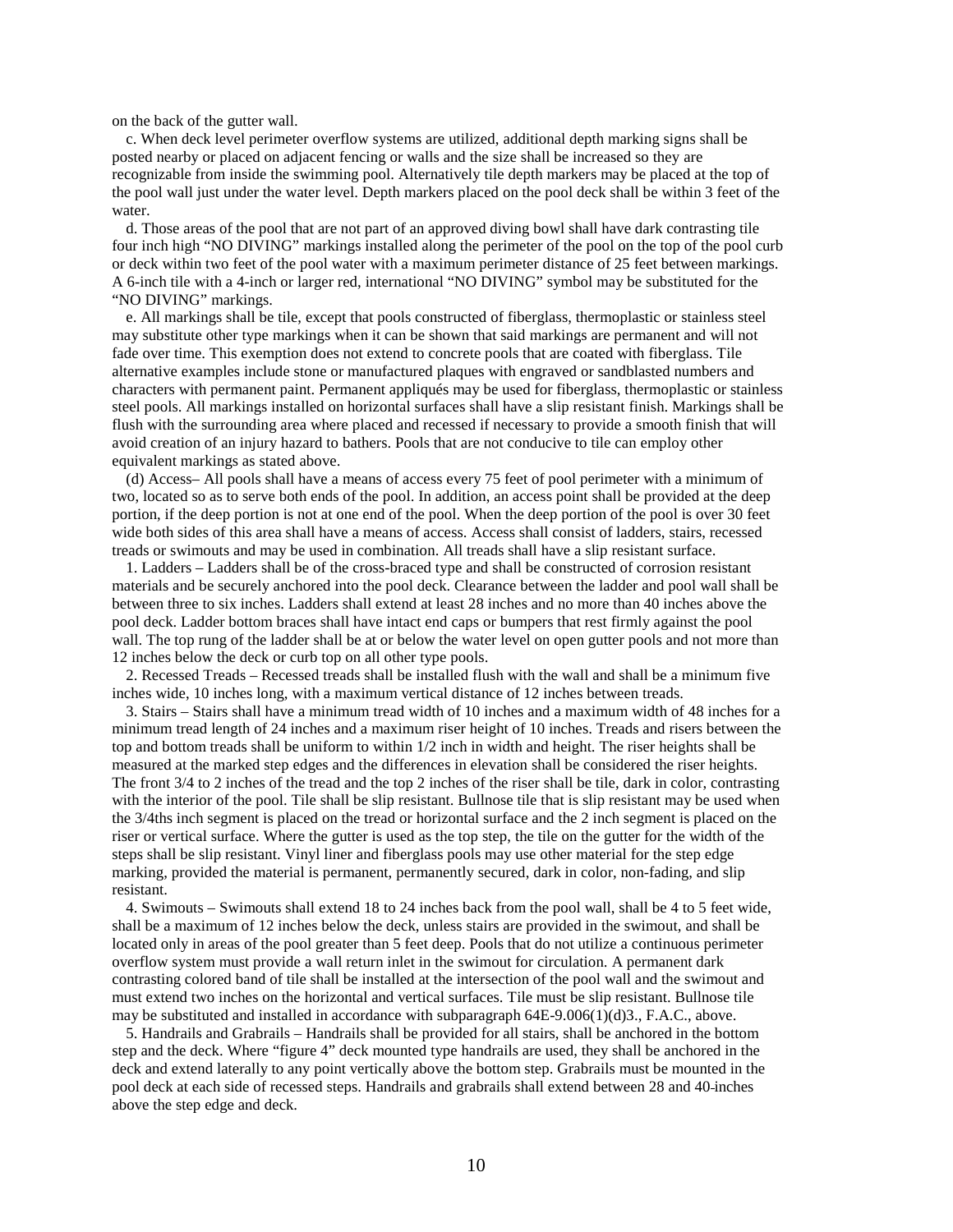on the back of the gutter wall.

c. When deck level perimeter overflow systems are utilized, additional depth marking signs shall be posted nearby or placed on adjacent fencing or walls and the size shall be increased so they are recognizable from inside the swimming pool. Alternatively tile depth markers may be placed at the top of the pool wall just under the water level. Depth markers placed on the pool deck shall be within 3 feet of the water.

d. Those areas of the pool that are not part of an approved diving bowl shall have dark contrasting tile four inch high "NO DIVING" markings installed along the perimeter of the pool on the top of the pool curb or deck within two feet of the pool water with a maximum perimeter distance of 25 feet between markings. A 6-inch tile with a 4-inch or larger red, international "NO DIVING" symbol may be substituted for the "NO DIVING" markings.

e. All markings shall be tile, except that pools constructed of fiberglass, thermoplastic or stainless steel may substitute other type markings when it can be shown that said markings are permanent and will not fade over time. This exemption does not extend to concrete pools that are coated with fiberglass. Tile alternative examples include stone or manufactured plaques with engraved or sandblasted numbers and characters with permanent paint. Permanent appliqués may be used for fiberglass, thermoplastic or stainless steel pools. All markings installed on horizontal surfaces shall have a slip resistant finish. Markings shall be flush with the surrounding area where placed and recessed if necessary to provide a smooth finish that will avoid creation of an injury hazard to bathers. Pools that are not conducive to tile can employ other equivalent markings as stated above.

(d) Access– All pools shall have a means of access every 75 feet of pool perimeter with a minimum of two, located so as to serve both ends of the pool. In addition, an access point shall be provided at the deep portion, if the deep portion is not at one end of the pool. When the deep portion of the pool is over 30 feet wide both sides of this area shall have a means of access. Access shall consist of ladders, stairs, recessed treads or swimouts and may be used in combination. All treads shall have a slip resistant surface.

1. Ladders – Ladders shall be of the cross-braced type and shall be constructed of corrosion resistant materials and be securely anchored into the pool deck. Clearance between the ladder and pool wall shall be between three to six inches. Ladders shall extend at least 28 inches and no more than 40 inches above the pool deck. Ladder bottom braces shall have intact end caps or bumpers that rest firmly against the pool wall. The top rung of the ladder shall be at or below the water level on open gutter pools and not more than 12 inches below the deck or curb top on all other type pools.

2. Recessed Treads – Recessed treads shall be installed flush with the wall and shall be a minimum five inches wide, 10 inches long, with a maximum vertical distance of 12 inches between treads.

3. Stairs – Stairs shall have a minimum tread width of 10 inches and a maximum width of 48 inches for a minimum tread length of 24 inches and a maximum riser height of 10 inches. Treads and risers between the top and bottom treads shall be uniform to within 1/2 inch in width and height. The riser heights shall be measured at the marked step edges and the differences in elevation shall be considered the riser heights. The front 3/4 to 2 inches of the tread and the top 2 inches of the riser shall be tile, dark in color, contrasting with the interior of the pool. Tile shall be slip resistant. Bullnose tile that is slip resistant may be used when the 3/4ths inch segment is placed on the tread or horizontal surface and the 2 inch segment is placed on the riser or vertical surface. Where the gutter is used as the top step, the tile on the gutter for the width of the steps shall be slip resistant. Vinyl liner and fiberglass pools may use other material for the step edge marking, provided the material is permanent, permanently secured, dark in color, non-fading, and slip resistant.

4. Swimouts – Swimouts shall extend 18 to 24 inches back from the pool wall, shall be 4 to 5 feet wide, shall be a maximum of 12 inches below the deck, unless stairs are provided in the swimout, and shall be located only in areas of the pool greater than 5 feet deep. Pools that do not utilize a continuous perimeter overflow system must provide a wall return inlet in the swimout for circulation. A permanent dark contrasting colored band of tile shall be installed at the intersection of the pool wall and the swimout and must extend two inches on the horizontal and vertical surfaces. Tile must be slip resistant. Bullnose tile may be substituted and installed in accordance with subparagraph 64E-9.006(1)(d)3., F.A.C., above.

5. Handrails and Grabrails – Handrails shall be provided for all stairs, shall be anchored in the bottom step and the deck. Where "figure 4" deck mounted type handrails are used, they shall be anchored in the deck and extend laterally to any point vertically above the bottom step. Grabrails must be mounted in the pool deck at each side of recessed steps. Handrails and grabrails shall extend between 28 and 40 inches above the step edge and deck.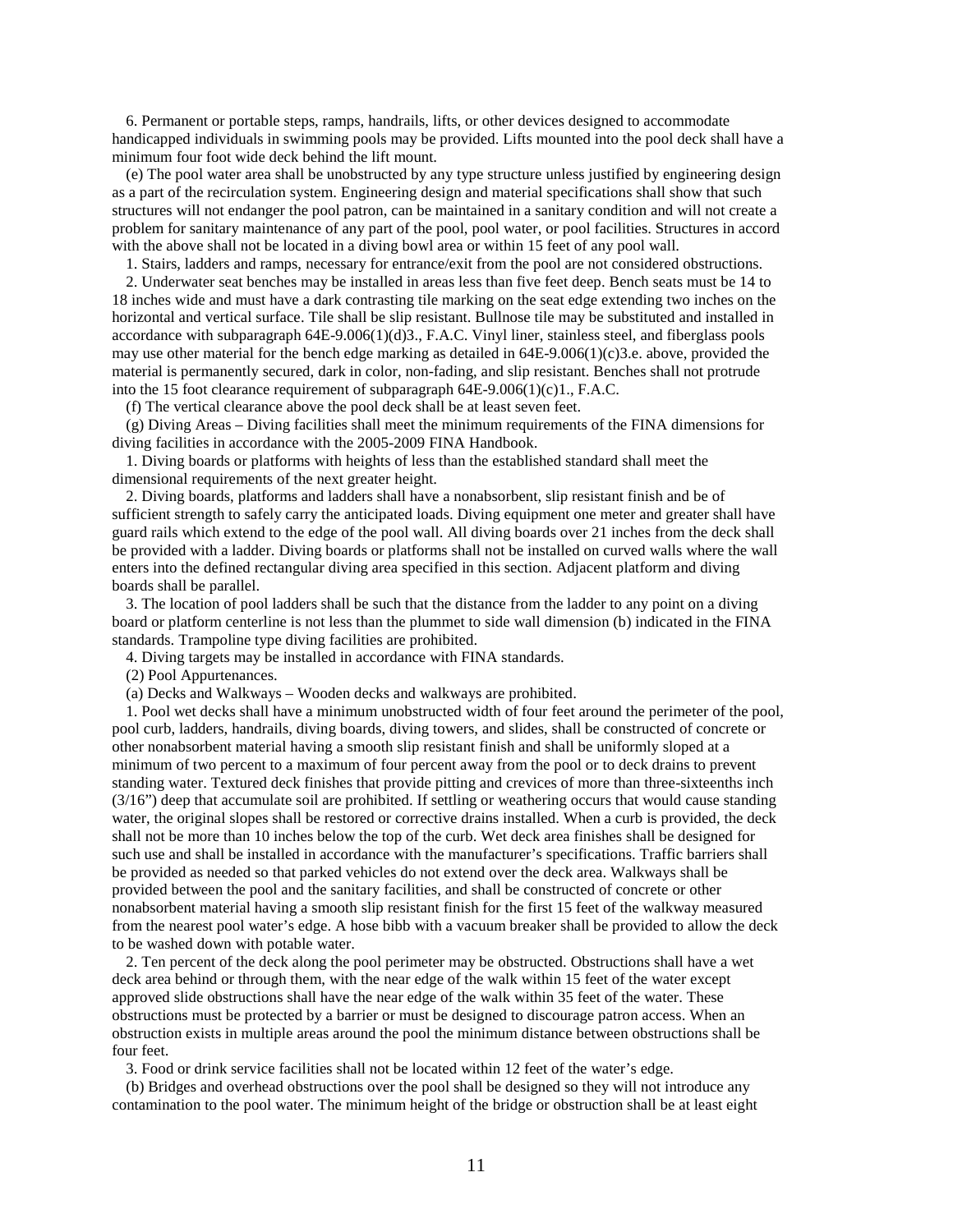6. Permanent or portable steps, ramps, handrails, lifts, or other devices designed to accommodate handicapped individuals in swimming pools may be provided. Lifts mounted into the pool deck shall have a minimum four foot wide deck behind the lift mount.

(e) The pool water area shall be unobstructed by any type structure unless justified by engineering design as a part of the recirculation system. Engineering design and material specifications shall show that such structures will not endanger the pool patron, can be maintained in a sanitary condition and will not create a problem for sanitary maintenance of any part of the pool, pool water, or pool facilities. Structures in accord with the above shall not be located in a diving bowl area or within 15 feet of any pool wall.

1. Stairs, ladders and ramps, necessary for entrance/exit from the pool are not considered obstructions.

2. Underwater seat benches may be installed in areas less than five feet deep. Bench seats must be 14 to 18 inches wide and must have a dark contrasting tile marking on the seat edge extending two inches on the horizontal and vertical surface. Tile shall be slip resistant. Bullnose tile may be substituted and installed in accordance with subparagraph 64E-9.006(1)(d)3., F.A.C. Vinyl liner, stainless steel, and fiberglass pools may use other material for the bench edge marking as detailed in 64E-9.006(1)(c)3.e. above, provided the material is permanently secured, dark in color, non-fading, and slip resistant. Benches shall not protrude into the 15 foot clearance requirement of subparagraph 64E-9.006(1)(c)1., F.A.C.

(f) The vertical clearance above the pool deck shall be at least seven feet.

(g) Diving Areas – Diving facilities shall meet the minimum requirements of the FINA dimensions for diving facilities in accordance with the 2005-2009 FINA Handbook.

1. Diving boards or platforms with heights of less than the established standard shall meet the dimensional requirements of the next greater height.

2. Diving boards, platforms and ladders shall have a nonabsorbent, slip resistant finish and be of sufficient strength to safely carry the anticipated loads. Diving equipment one meter and greater shall have guard rails which extend to the edge of the pool wall. All diving boards over 21 inches from the deck shall be provided with a ladder. Diving boards or platforms shall not be installed on curved walls where the wall enters into the defined rectangular diving area specified in this section. Adjacent platform and diving boards shall be parallel.

3. The location of pool ladders shall be such that the distance from the ladder to any point on a diving board or platform centerline is not less than the plummet to side wall dimension (b) indicated in the FINA standards. Trampoline type diving facilities are prohibited.

4. Diving targets may be installed in accordance with FINA standards.

(2) Pool Appurtenances.

(a) Decks and Walkways – Wooden decks and walkways are prohibited.

1. Pool wet decks shall have a minimum unobstructed width of four feet around the perimeter of the pool, pool curb, ladders, handrails, diving boards, diving towers, and slides, shall be constructed of concrete or other nonabsorbent material having a smooth slip resistant finish and shall be uniformly sloped at a minimum of two percent to a maximum of four percent away from the pool or to deck drains to prevent standing water. Textured deck finishes that provide pitting and crevices of more than three-sixteenths inch (3/16") deep that accumulate soil are prohibited. If settling or weathering occurs that would cause standing water, the original slopes shall be restored or corrective drains installed. When a curb is provided, the deck shall not be more than 10 inches below the top of the curb. Wet deck area finishes shall be designed for such use and shall be installed in accordance with the manufacturer's specifications. Traffic barriers shall be provided as needed so that parked vehicles do not extend over the deck area. Walkways shall be provided between the pool and the sanitary facilities, and shall be constructed of concrete or other nonabsorbent material having a smooth slip resistant finish for the first 15 feet of the walkway measured from the nearest pool water's edge. A hose bibb with a vacuum breaker shall be provided to allow the deck to be washed down with potable water.

2. Ten percent of the deck along the pool perimeter may be obstructed. Obstructions shall have a wet deck area behind or through them, with the near edge of the walk within 15 feet of the water except approved slide obstructions shall have the near edge of the walk within 35 feet of the water. These obstructions must be protected by a barrier or must be designed to discourage patron access. When an obstruction exists in multiple areas around the pool the minimum distance between obstructions shall be four feet.

3. Food or drink service facilities shall not be located within 12 feet of the water's edge.

(b) Bridges and overhead obstructions over the pool shall be designed so they will not introduce any contamination to the pool water. The minimum height of the bridge or obstruction shall be at least eight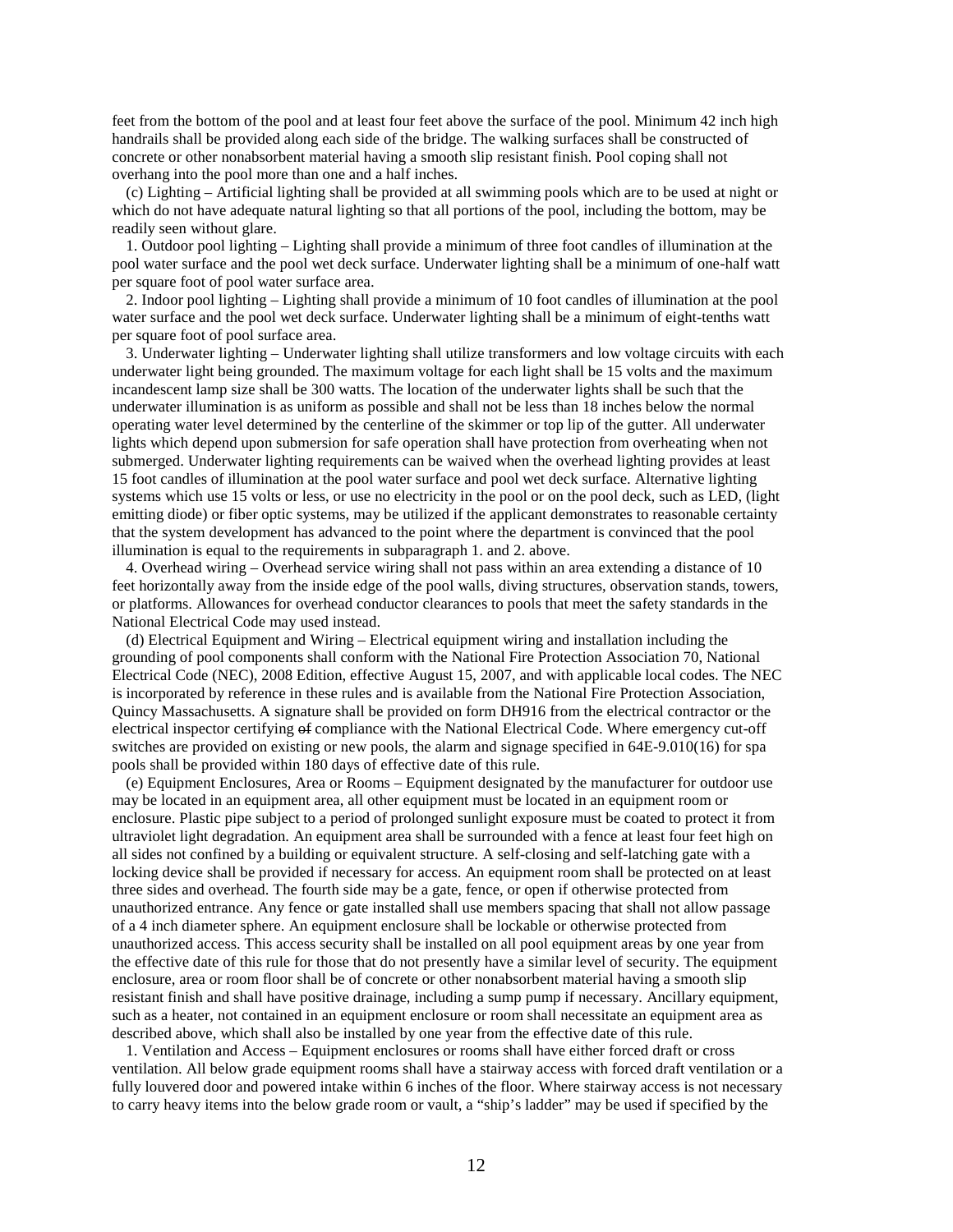feet from the bottom of the pool and at least four feet above the surface of the pool. Minimum 42 inch high handrails shall be provided along each side of the bridge. The walking surfaces shall be constructed of concrete or other nonabsorbent material having a smooth slip resistant finish. Pool coping shall not overhang into the pool more than one and a half inches.

(c) Lighting – Artificial lighting shall be provided at all swimming pools which are to be used at night or which do not have adequate natural lighting so that all portions of the pool, including the bottom, may be readily seen without glare.

1. Outdoor pool lighting – Lighting shall provide a minimum of three foot candles of illumination at the pool water surface and the pool wet deck surface. Underwater lighting shall be a minimum of one-half watt per square foot of pool water surface area.

2. Indoor pool lighting – Lighting shall provide a minimum of 10 foot candles of illumination at the pool water surface and the pool wet deck surface. Underwater lighting shall be a minimum of eight-tenths watt per square foot of pool surface area.

3. Underwater lighting – Underwater lighting shall utilize transformers and low voltage circuits with each underwater light being grounded. The maximum voltage for each light shall be 15 volts and the maximum incandescent lamp size shall be 300 watts. The location of the underwater lights shall be such that the underwater illumination is as uniform as possible and shall not be less than 18 inches below the normal operating water level determined by the centerline of the skimmer or top lip of the gutter. All underwater lights which depend upon submersion for safe operation shall have protection from overheating when not submerged. Underwater lighting requirements can be waived when the overhead lighting provides at least 15 foot candles of illumination at the pool water surface and pool wet deck surface. Alternative lighting systems which use 15 volts or less, or use no electricity in the pool or on the pool deck, such as LED, (light emitting diode) or fiber optic systems, may be utilized if the applicant demonstrates to reasonable certainty that the system development has advanced to the point where the department is convinced that the pool illumination is equal to the requirements in subparagraph 1. and 2. above.

4. Overhead wiring – Overhead service wiring shall not pass within an area extending a distance of 10 feet horizontally away from the inside edge of the pool walls, diving structures, observation stands, towers, or platforms. Allowances for overhead conductor clearances to pools that meet the safety standards in the National Electrical Code may used instead.

(d) Electrical Equipment and Wiring – Electrical equipment wiring and installation including the grounding of pool components shall conform with the National Fire Protection Association 70, National Electrical Code (NEC), 2008 Edition, effective August 15, 2007, and with applicable local codes. The NEC is incorporated by reference in these rules and is available from the National Fire Protection Association, Quincy Massachusetts. A signature shall be provided on form DH916 from the electrical contractor or the electrical inspector certifying of compliance with the National Electrical Code. Where emergency cut-off switches are provided on existing or new pools, the alarm and signage specified in 64E-9.010(16) for spa pools shall be provided within 180 days of effective date of this rule.

(e) Equipment Enclosures, Area or Rooms – Equipment designated by the manufacturer for outdoor use may be located in an equipment area, all other equipment must be located in an equipment room or enclosure. Plastic pipe subject to a period of prolonged sunlight exposure must be coated to protect it from ultraviolet light degradation. An equipment area shall be surrounded with a fence at least four feet high on all sides not confined by a building or equivalent structure. A self-closing and self-latching gate with a locking device shall be provided if necessary for access. An equipment room shall be protected on at least three sides and overhead. The fourth side may be a gate, fence, or open if otherwise protected from unauthorized entrance. Any fence or gate installed shall use members spacing that shall not allow passage of a 4 inch diameter sphere. An equipment enclosure shall be lockable or otherwise protected from unauthorized access. This access security shall be installed on all pool equipment areas by one year from the effective date of this rule for those that do not presently have a similar level of security. The equipment enclosure, area or room floor shall be of concrete or other nonabsorbent material having a smooth slip resistant finish and shall have positive drainage, including a sump pump if necessary. Ancillary equipment, such as a heater, not contained in an equipment enclosure or room shall necessitate an equipment area as described above, which shall also be installed by one year from the effective date of this rule.

1. Ventilation and Access – Equipment enclosures or rooms shall have either forced draft or cross ventilation. All below grade equipment rooms shall have a stairway access with forced draft ventilation or a fully louvered door and powered intake within 6 inches of the floor. Where stairway access is not necessary to carry heavy items into the below grade room or vault, a "ship's ladder" may be used if specified by the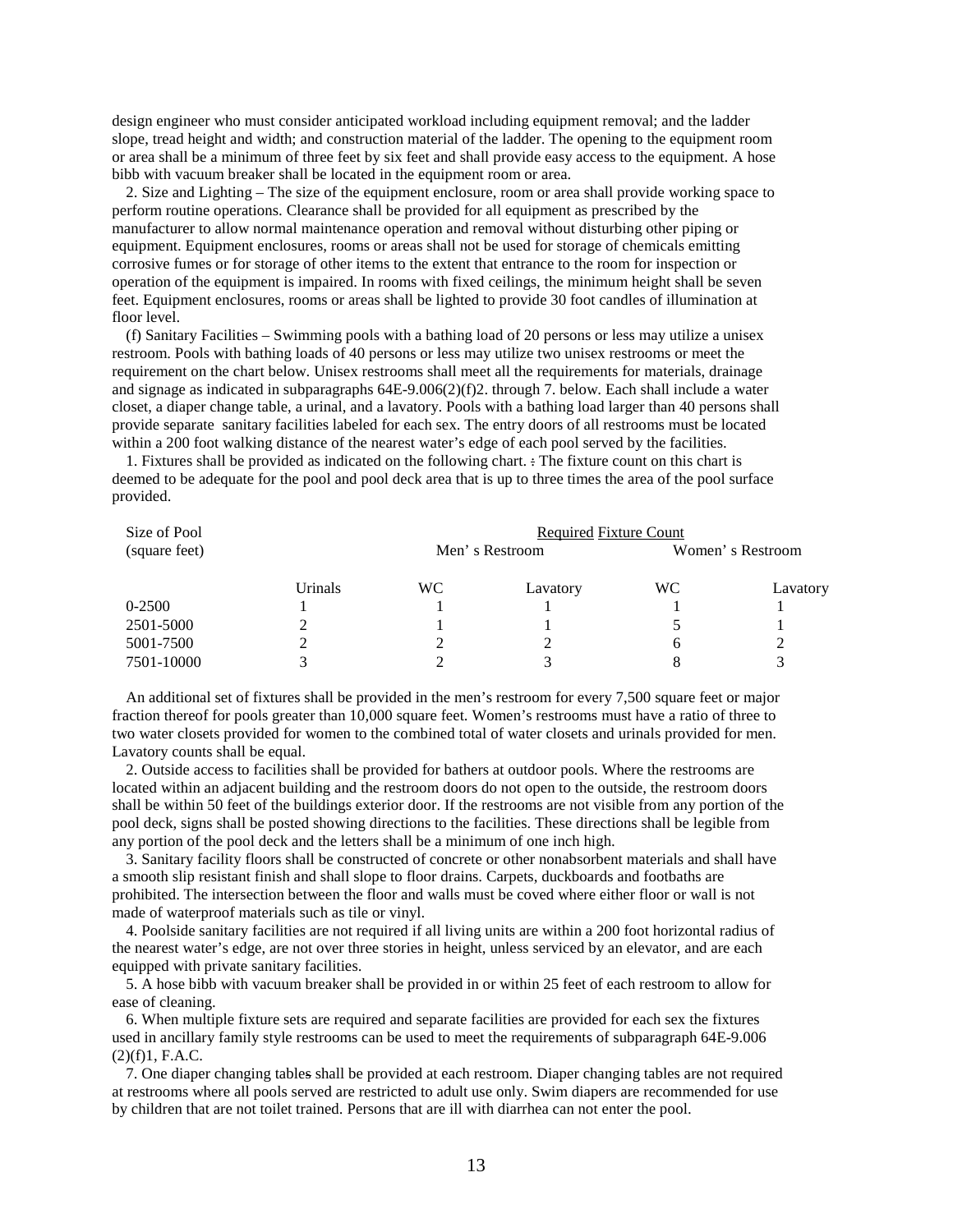design engineer who must consider anticipated workload including equipment removal; and the ladder slope, tread height and width; and construction material of the ladder. The opening to the equipment room or area shall be a minimum of three feet by six feet and shall provide easy access to the equipment. A hose bibb with vacuum breaker shall be located in the equipment room or area.

2. Size and Lighting – The size of the equipment enclosure, room or area shall provide working space to perform routine operations. Clearance shall be provided for all equipment as prescribed by the manufacturer to allow normal maintenance operation and removal without disturbing other piping or equipment. Equipment enclosures, rooms or areas shall not be used for storage of chemicals emitting corrosive fumes or for storage of other items to the extent that entrance to the room for inspection or operation of the equipment is impaired. In rooms with fixed ceilings, the minimum height shall be seven feet. Equipment enclosures, rooms or areas shall be lighted to provide 30 foot candles of illumination at floor level.

(f) Sanitary Facilities – Swimming pools with a bathing load of 20 persons or less may utilize a unisex restroom. Pools with bathing loads of 40 persons or less may utilize two unisex restrooms or meet the requirement on the chart below. Unisex restrooms shall meet all the requirements for materials, drainage and signage as indicated in subparagraphs 64E-9.006(2)(f)2. through 7. below. Each shall include a water closet, a diaper change table, a urinal, and a lavatory. Pools with a bathing load larger than 40 persons shall provide separate sanitary facilities labeled for each sex. The entry doors of all restrooms must be located within a 200 foot walking distance of the nearest water's edge of each pool served by the facilities.

1. Fixtures shall be provided as indicated on the following chart. : The fixture count on this chart is deemed to be adequate for the pool and pool deck area that is up to three times the area of the pool surface provided.

| Size of Pool  | Required Fixture Count |                |          |                  |          |
|---------------|------------------------|----------------|----------|------------------|----------|
| (square feet) |                        | Men's Restroom |          | Women's Restroom |          |
|               | Urinals                | WC.            | Lavatory | <b>WC</b>        | Lavatory |
| 0-2500        |                        |                |          |                  |          |
| 2501-5000     |                        |                |          |                  |          |
| 5001-7500     |                        |                |          | 6                |          |
| 7501-10000    |                        |                |          |                  |          |

An additional set of fixtures shall be provided in the men's restroom for every 7,500 square feet or major fraction thereof for pools greater than 10,000 square feet. Women's restrooms must have a ratio of three to two water closets provided for women to the combined total of water closets and urinals provided for men. Lavatory counts shall be equal.

2. Outside access to facilities shall be provided for bathers at outdoor pools. Where the restrooms are located within an adjacent building and the restroom doors do not open to the outside, the restroom doors shall be within 50 feet of the buildings exterior door. If the restrooms are not visible from any portion of the pool deck, signs shall be posted showing directions to the facilities. These directions shall be legible from any portion of the pool deck and the letters shall be a minimum of one inch high.

3. Sanitary facility floors shall be constructed of concrete or other nonabsorbent materials and shall have a smooth slip resistant finish and shall slope to floor drains. Carpets, duckboards and footbaths are prohibited. The intersection between the floor and walls must be coved where either floor or wall is not made of waterproof materials such as tile or vinyl.

4. Poolside sanitary facilities are not required if all living units are within a 200 foot horizontal radius of the nearest water's edge, are not over three stories in height, unless serviced by an elevator, and are each equipped with private sanitary facilities.

5. A hose bibb with vacuum breaker shall be provided in or within 25 feet of each restroom to allow for ease of cleaning.

6. When multiple fixture sets are required and separate facilities are provided for each sex the fixtures used in ancillary family style restrooms can be used to meet the requirements of subparagraph 64E-9.006 (2)(f)1, F.A.C.

7. One diaper changing tables shall be provided at each restroom. Diaper changing tables are not required at restrooms where all pools served are restricted to adult use only. Swim diapers are recommended for use by children that are not toilet trained. Persons that are ill with diarrhea can not enter the pool.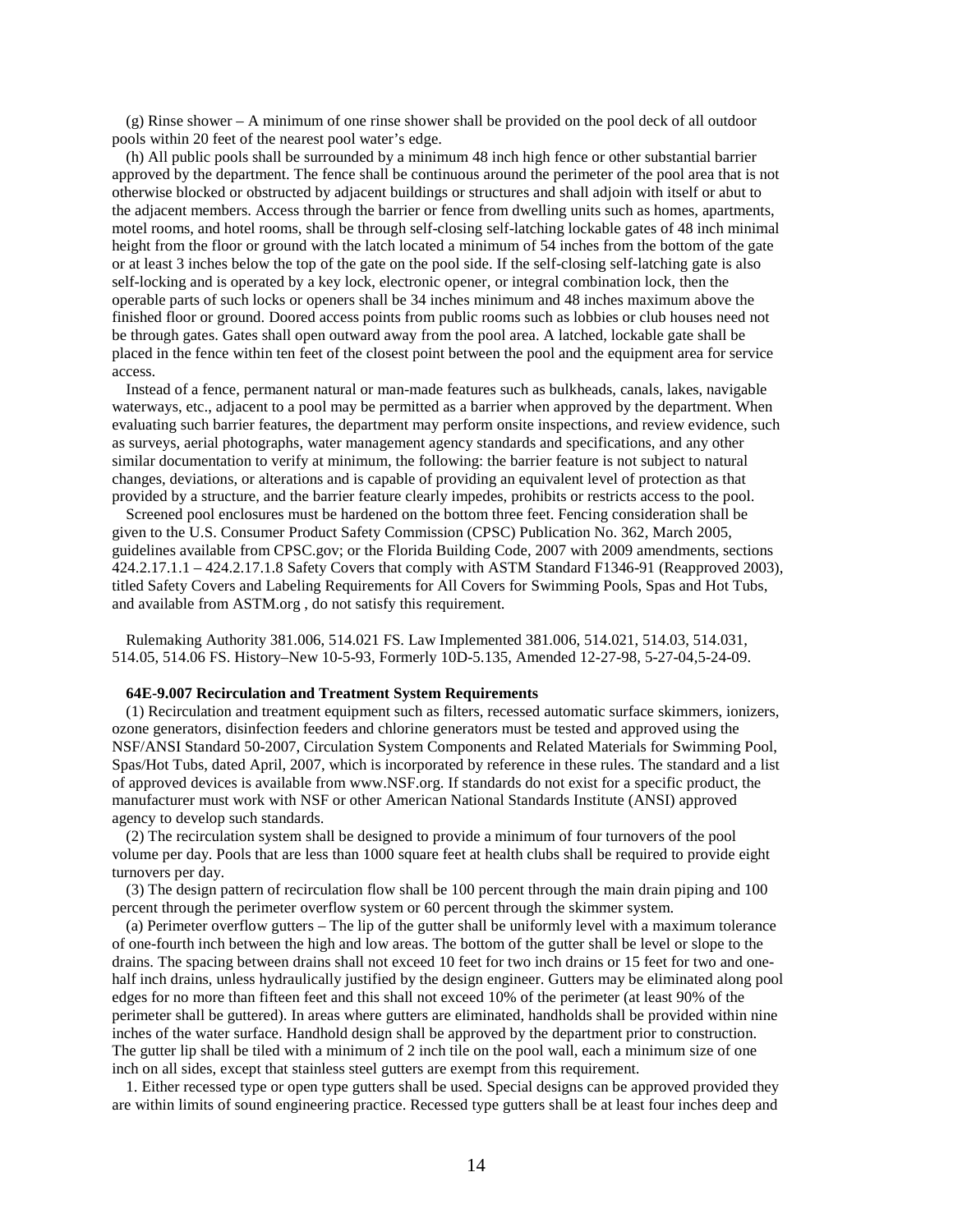(g) Rinse shower – A minimum of one rinse shower shall be provided on the pool deck of all outdoor pools within 20 feet of the nearest pool water's edge.

(h) All public pools shall be surrounded by a minimum 48 inch high fence or other substantial barrier approved by the department. The fence shall be continuous around the perimeter of the pool area that is not otherwise blocked or obstructed by adjacent buildings or structures and shall adjoin with itself or abut to the adjacent members. Access through the barrier or fence from dwelling units such as homes, apartments, motel rooms, and hotel rooms, shall be through self-closing self-latching lockable gates of 48 inch minimal height from the floor or ground with the latch located a minimum of 54 inches from the bottom of the gate or at least 3 inches below the top of the gate on the pool side. If the self-closing self-latching gate is also self-locking and is operated by a key lock, electronic opener, or integral combination lock, then the operable parts of such locks or openers shall be 34 inches minimum and 48 inches maximum above the finished floor or ground. Doored access points from public rooms such as lobbies or club houses need not be through gates. Gates shall open outward away from the pool area. A latched, lockable gate shall be placed in the fence within ten feet of the closest point between the pool and the equipment area for service access.

Instead of a fence, permanent natural or man-made features such as bulkheads, canals, lakes, navigable waterways, etc., adjacent to a pool may be permitted as a barrier when approved by the department. When evaluating such barrier features, the department may perform onsite inspections, and review evidence, such as surveys, aerial photographs, water management agency standards and specifications, and any other similar documentation to verify at minimum, the following: the barrier feature is not subject to natural changes, deviations, or alterations and is capable of providing an equivalent level of protection as that provided by a structure, and the barrier feature clearly impedes, prohibits or restricts access to the pool.

Screened pool enclosures must be hardened on the bottom three feet. Fencing consideration shall be given to the U.S. Consumer Product Safety Commission (CPSC) Publication No. 362, March 2005, guidelines available from CPSC.gov; or the Florida Building Code, 2007 with 2009 amendments, sections 424.2.17.1.1 – 424.2.17.1.8 Safety Covers that comply with ASTM Standard F1346-91 (Reapproved 2003), titled Safety Covers and Labeling Requirements for All Covers for Swimming Pools, Spas and Hot Tubs, and available from ASTM.org , do not satisfy this requirement.

Rulemaking Authority 381.006, 514.021 FS. Law Implemented 381.006, 514.021, 514.03, 514.031, 514.05, 514.06 FS. History–New 10-5-93, Formerly 10D-5.135, Amended 12-27-98, 5-27-04,5-24-09.

### **64E-9.007 Recirculation and Treatment System Requirements**

(1) Recirculation and treatment equipment such as filters, recessed automatic surface skimmers, ionizers, ozone generators, disinfection feeders and chlorine generators must be tested and approved using the NSF/ANSI Standard 50-2007, Circulation System Components and Related Materials for Swimming Pool, Spas/Hot Tubs, dated April, 2007, which is incorporated by reference in these rules. The standard and a list of approved devices is available from www.NSF.org. If standards do not exist for a specific product, the manufacturer must work with NSF or other American National Standards Institute (ANSI) approved agency to develop such standards.

(2) The recirculation system shall be designed to provide a minimum of four turnovers of the pool volume per day. Pools that are less than 1000 square feet at health clubs shall be required to provide eight turnovers per day.

(3) The design pattern of recirculation flow shall be 100 percent through the main drain piping and 100 percent through the perimeter overflow system or 60 percent through the skimmer system.

(a) Perimeter overflow gutters – The lip of the gutter shall be uniformly level with a maximum tolerance of one-fourth inch between the high and low areas. The bottom of the gutter shall be level or slope to the drains. The spacing between drains shall not exceed 10 feet for two inch drains or 15 feet for two and onehalf inch drains, unless hydraulically justified by the design engineer. Gutters may be eliminated along pool edges for no more than fifteen feet and this shall not exceed 10% of the perimeter (at least 90% of the perimeter shall be guttered). In areas where gutters are eliminated, handholds shall be provided within nine inches of the water surface. Handhold design shall be approved by the department prior to construction. The gutter lip shall be tiled with a minimum of 2 inch tile on the pool wall, each a minimum size of one inch on all sides, except that stainless steel gutters are exempt from this requirement.

1. Either recessed type or open type gutters shall be used. Special designs can be approved provided they are within limits of sound engineering practice. Recessed type gutters shall be at least four inches deep and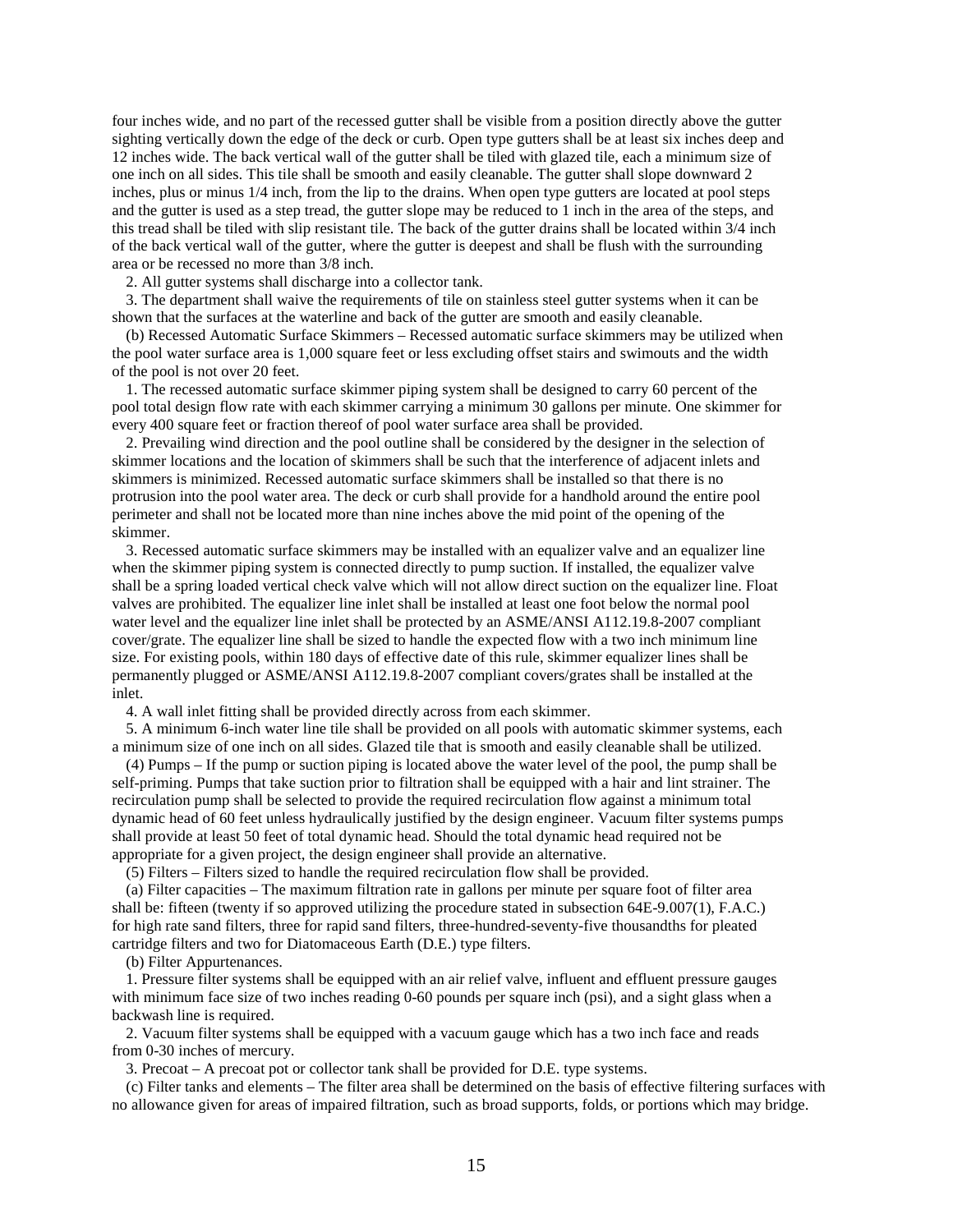four inches wide, and no part of the recessed gutter shall be visible from a position directly above the gutter sighting vertically down the edge of the deck or curb. Open type gutters shall be at least six inches deep and 12 inches wide. The back vertical wall of the gutter shall be tiled with glazed tile, each a minimum size of one inch on all sides. This tile shall be smooth and easily cleanable. The gutter shall slope downward 2 inches, plus or minus 1/4 inch, from the lip to the drains. When open type gutters are located at pool steps and the gutter is used as a step tread, the gutter slope may be reduced to 1 inch in the area of the steps, and this tread shall be tiled with slip resistant tile. The back of the gutter drains shall be located within 3/4 inch of the back vertical wall of the gutter, where the gutter is deepest and shall be flush with the surrounding area or be recessed no more than 3/8 inch.

2. All gutter systems shall discharge into a collector tank.

3. The department shall waive the requirements of tile on stainless steel gutter systems when it can be shown that the surfaces at the waterline and back of the gutter are smooth and easily cleanable.

(b) Recessed Automatic Surface Skimmers – Recessed automatic surface skimmers may be utilized when the pool water surface area is 1,000 square feet or less excluding offset stairs and swimouts and the width of the pool is not over 20 feet.

1. The recessed automatic surface skimmer piping system shall be designed to carry 60 percent of the pool total design flow rate with each skimmer carrying a minimum 30 gallons per minute. One skimmer for every 400 square feet or fraction thereof of pool water surface area shall be provided.

2. Prevailing wind direction and the pool outline shall be considered by the designer in the selection of skimmer locations and the location of skimmers shall be such that the interference of adjacent inlets and skimmers is minimized. Recessed automatic surface skimmers shall be installed so that there is no protrusion into the pool water area. The deck or curb shall provide for a handhold around the entire pool perimeter and shall not be located more than nine inches above the mid point of the opening of the skimmer.

3. Recessed automatic surface skimmers may be installed with an equalizer valve and an equalizer line when the skimmer piping system is connected directly to pump suction. If installed, the equalizer valve shall be a spring loaded vertical check valve which will not allow direct suction on the equalizer line. Float valves are prohibited. The equalizer line inlet shall be installed at least one foot below the normal pool water level and the equalizer line inlet shall be protected by an ASME/ANSI A112.19.8-2007 compliant cover/grate. The equalizer line shall be sized to handle the expected flow with a two inch minimum line size. For existing pools, within 180 days of effective date of this rule, skimmer equalizer lines shall be permanently plugged or ASME/ANSI A112.19.8-2007 compliant covers/grates shall be installed at the inlet.

4. A wall inlet fitting shall be provided directly across from each skimmer.

5. A minimum 6-inch water line tile shall be provided on all pools with automatic skimmer systems, each a minimum size of one inch on all sides. Glazed tile that is smooth and easily cleanable shall be utilized.

(4) Pumps – If the pump or suction piping is located above the water level of the pool, the pump shall be self-priming. Pumps that take suction prior to filtration shall be equipped with a hair and lint strainer. The recirculation pump shall be selected to provide the required recirculation flow against a minimum total dynamic head of 60 feet unless hydraulically justified by the design engineer. Vacuum filter systems pumps shall provide at least 50 feet of total dynamic head. Should the total dynamic head required not be appropriate for a given project, the design engineer shall provide an alternative.

(5) Filters – Filters sized to handle the required recirculation flow shall be provided.

(a) Filter capacities – The maximum filtration rate in gallons per minute per square foot of filter area shall be: fifteen (twenty if so approved utilizing the procedure stated in subsection 64E-9.007(1), F.A.C.) for high rate sand filters, three for rapid sand filters, three-hundred-seventy-five thousandths for pleated cartridge filters and two for Diatomaceous Earth (D.E.) type filters.

(b) Filter Appurtenances.

1. Pressure filter systems shall be equipped with an air relief valve, influent and effluent pressure gauges with minimum face size of two inches reading 0-60 pounds per square inch (psi), and a sight glass when a backwash line is required.

2. Vacuum filter systems shall be equipped with a vacuum gauge which has a two inch face and reads from 0-30 inches of mercury.

3. Precoat – A precoat pot or collector tank shall be provided for D.E. type systems.

(c) Filter tanks and elements – The filter area shall be determined on the basis of effective filtering surfaces with no allowance given for areas of impaired filtration, such as broad supports, folds, or portions which may bridge.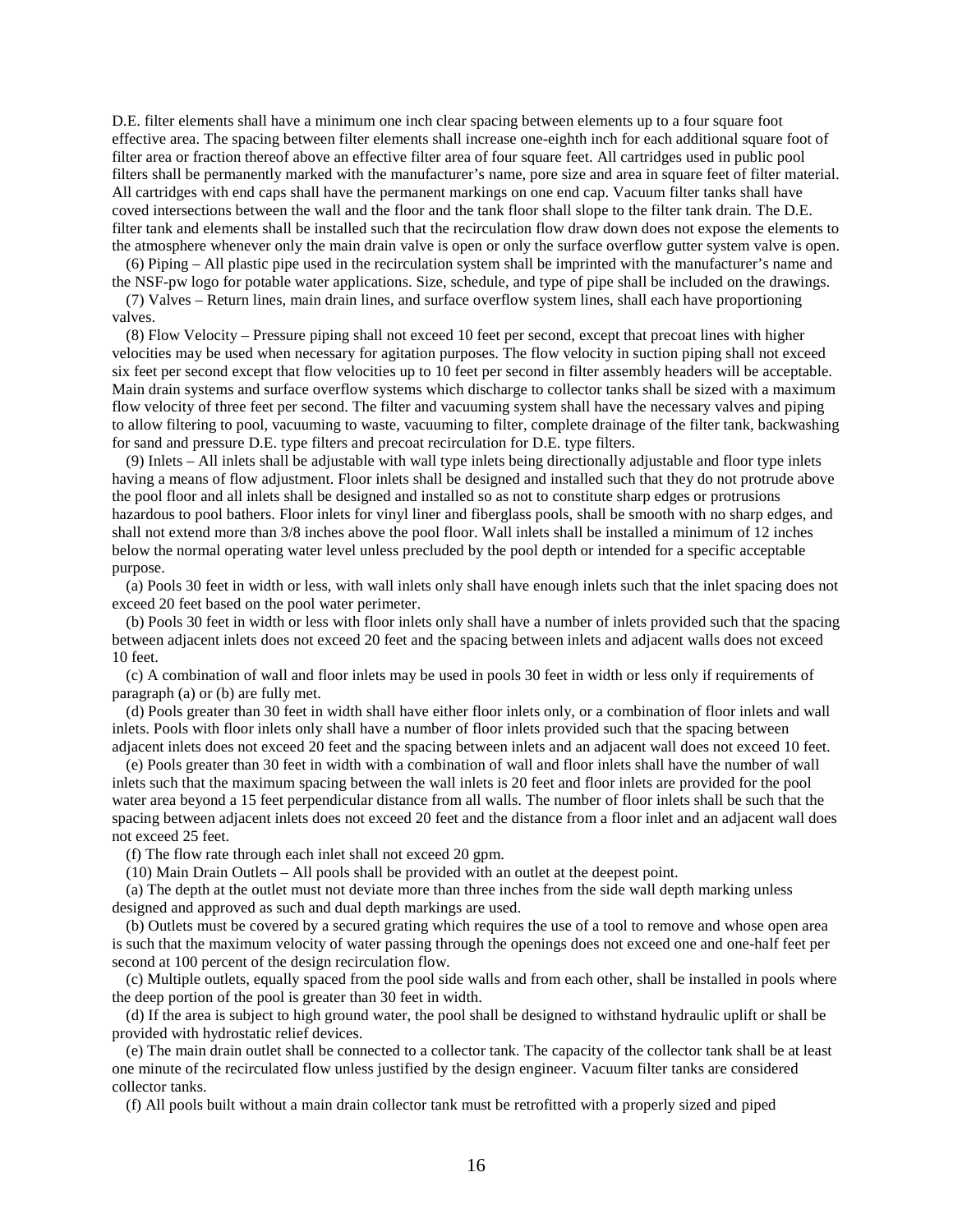D.E. filter elements shall have a minimum one inch clear spacing between elements up to a four square foot effective area. The spacing between filter elements shall increase one-eighth inch for each additional square foot of filter area or fraction thereof above an effective filter area of four square feet. All cartridges used in public pool filters shall be permanently marked with the manufacturer's name, pore size and area in square feet of filter material. All cartridges with end caps shall have the permanent markings on one end cap. Vacuum filter tanks shall have coved intersections between the wall and the floor and the tank floor shall slope to the filter tank drain. The D.E. filter tank and elements shall be installed such that the recirculation flow draw down does not expose the elements to the atmosphere whenever only the main drain valve is open or only the surface overflow gutter system valve is open.

(6) Piping – All plastic pipe used in the recirculation system shall be imprinted with the manufacturer's name and the NSF-pw logo for potable water applications. Size, schedule, and type of pipe shall be included on the drawings.

(7) Valves – Return lines, main drain lines, and surface overflow system lines, shall each have proportioning valves.

(8) Flow Velocity – Pressure piping shall not exceed 10 feet per second, except that precoat lines with higher velocities may be used when necessary for agitation purposes. The flow velocity in suction piping shall not exceed six feet per second except that flow velocities up to 10 feet per second in filter assembly headers will be acceptable. Main drain systems and surface overflow systems which discharge to collector tanks shall be sized with a maximum flow velocity of three feet per second. The filter and vacuuming system shall have the necessary valves and piping to allow filtering to pool, vacuuming to waste, vacuuming to filter, complete drainage of the filter tank, backwashing for sand and pressure D.E. type filters and precoat recirculation for D.E. type filters.

(9) Inlets – All inlets shall be adjustable with wall type inlets being directionally adjustable and floor type inlets having a means of flow adjustment. Floor inlets shall be designed and installed such that they do not protrude above the pool floor and all inlets shall be designed and installed so as not to constitute sharp edges or protrusions hazardous to pool bathers. Floor inlets for vinyl liner and fiberglass pools, shall be smooth with no sharp edges, and shall not extend more than 3/8 inches above the pool floor. Wall inlets shall be installed a minimum of 12 inches below the normal operating water level unless precluded by the pool depth or intended for a specific acceptable purpose.

(a) Pools 30 feet in width or less, with wall inlets only shall have enough inlets such that the inlet spacing does not exceed 20 feet based on the pool water perimeter.

(b) Pools 30 feet in width or less with floor inlets only shall have a number of inlets provided such that the spacing between adjacent inlets does not exceed 20 feet and the spacing between inlets and adjacent walls does not exceed 10 feet.

(c) A combination of wall and floor inlets may be used in pools 30 feet in width or less only if requirements of paragraph (a) or (b) are fully met.

(d) Pools greater than 30 feet in width shall have either floor inlets only, or a combination of floor inlets and wall inlets. Pools with floor inlets only shall have a number of floor inlets provided such that the spacing between adjacent inlets does not exceed 20 feet and the spacing between inlets and an adjacent wall does not exceed 10 feet.

(e) Pools greater than 30 feet in width with a combination of wall and floor inlets shall have the number of wall inlets such that the maximum spacing between the wall inlets is 20 feet and floor inlets are provided for the pool water area beyond a 15 feet perpendicular distance from all walls. The number of floor inlets shall be such that the spacing between adjacent inlets does not exceed 20 feet and the distance from a floor inlet and an adjacent wall does not exceed 25 feet.

(f) The flow rate through each inlet shall not exceed 20 gpm.

(10) Main Drain Outlets – All pools shall be provided with an outlet at the deepest point.

(a) The depth at the outlet must not deviate more than three inches from the side wall depth marking unless designed and approved as such and dual depth markings are used.

(b) Outlets must be covered by a secured grating which requires the use of a tool to remove and whose open area is such that the maximum velocity of water passing through the openings does not exceed one and one-half feet per second at 100 percent of the design recirculation flow.

(c) Multiple outlets, equally spaced from the pool side walls and from each other, shall be installed in pools where the deep portion of the pool is greater than 30 feet in width.

(d) If the area is subject to high ground water, the pool shall be designed to withstand hydraulic uplift or shall be provided with hydrostatic relief devices.

(e) The main drain outlet shall be connected to a collector tank. The capacity of the collector tank shall be at least one minute of the recirculated flow unless justified by the design engineer. Vacuum filter tanks are considered collector tanks.

(f) All pools built without a main drain collector tank must be retrofitted with a properly sized and piped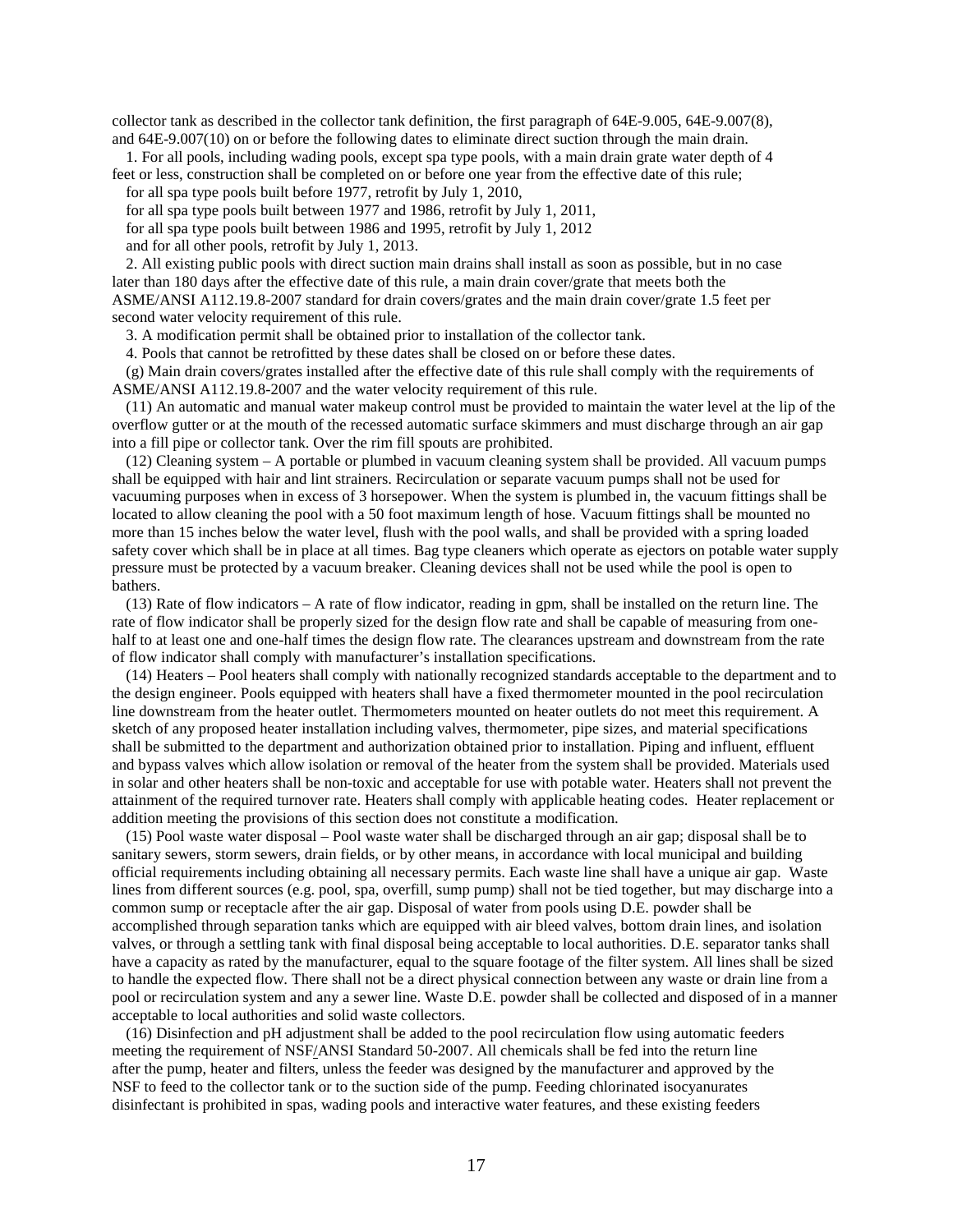collector tank as described in the collector tank definition, the first paragraph of 64E-9.005, 64E-9.007(8), and 64E-9.007(10) on or before the following dates to eliminate direct suction through the main drain.

1. For all pools, including wading pools, except spa type pools, with a main drain grate water depth of 4 feet or less, construction shall be completed on or before one year from the effective date of this rule;

for all spa type pools built before 1977, retrofit by July 1, 2010,

for all spa type pools built between 1977 and 1986, retrofit by July 1, 2011,

for all spa type pools built between 1986 and 1995, retrofit by July 1, 2012

and for all other pools, retrofit by July 1, 2013.

2. All existing public pools with direct suction main drains shall install as soon as possible, but in no case later than 180 days after the effective date of this rule, a main drain cover/grate that meets both the ASME/ANSI A112.19.8-2007 standard for drain covers/grates and the main drain cover/grate 1.5 feet per second water velocity requirement of this rule.

3. A modification permit shall be obtained prior to installation of the collector tank.

4. Pools that cannot be retrofitted by these dates shall be closed on or before these dates.

(g) Main drain covers/grates installed after the effective date of this rule shall comply with the requirements of ASME/ANSI A112.19.8-2007 and the water velocity requirement of this rule.

(11) An automatic and manual water makeup control must be provided to maintain the water level at the lip of the overflow gutter or at the mouth of the recessed automatic surface skimmers and must discharge through an air gap into a fill pipe or collector tank. Over the rim fill spouts are prohibited.

(12) Cleaning system – A portable or plumbed in vacuum cleaning system shall be provided. All vacuum pumps shall be equipped with hair and lint strainers. Recirculation or separate vacuum pumps shall not be used for vacuuming purposes when in excess of 3 horsepower. When the system is plumbed in, the vacuum fittings shall be located to allow cleaning the pool with a 50 foot maximum length of hose. Vacuum fittings shall be mounted no more than 15 inches below the water level, flush with the pool walls, and shall be provided with a spring loaded safety cover which shall be in place at all times. Bag type cleaners which operate as ejectors on potable water supply pressure must be protected by a vacuum breaker. Cleaning devices shall not be used while the pool is open to bathers.

(13) Rate of flow indicators – A rate of flow indicator, reading in gpm, shall be installed on the return line. The rate of flow indicator shall be properly sized for the design flow rate and shall be capable of measuring from onehalf to at least one and one-half times the design flow rate. The clearances upstream and downstream from the rate of flow indicator shall comply with manufacturer's installation specifications.

(14) Heaters – Pool heaters shall comply with nationally recognized standards acceptable to the department and to the design engineer. Pools equipped with heaters shall have a fixed thermometer mounted in the pool recirculation line downstream from the heater outlet. Thermometers mounted on heater outlets do not meet this requirement. A sketch of any proposed heater installation including valves, thermometer, pipe sizes, and material specifications shall be submitted to the department and authorization obtained prior to installation. Piping and influent, effluent and bypass valves which allow isolation or removal of the heater from the system shall be provided. Materials used in solar and other heaters shall be non-toxic and acceptable for use with potable water. Heaters shall not prevent the attainment of the required turnover rate. Heaters shall comply with applicable heating codes. Heater replacement or addition meeting the provisions of this section does not constitute a modification.

(15) Pool waste water disposal – Pool waste water shall be discharged through an air gap; disposal shall be to sanitary sewers, storm sewers, drain fields, or by other means, in accordance with local municipal and building official requirements including obtaining all necessary permits. Each waste line shall have a unique air gap. Waste lines from different sources (e.g. pool, spa, overfill, sump pump) shall not be tied together, but may discharge into a common sump or receptacle after the air gap. Disposal of water from pools using D.E. powder shall be accomplished through separation tanks which are equipped with air bleed valves, bottom drain lines, and isolation valves, or through a settling tank with final disposal being acceptable to local authorities. D.E. separator tanks shall have a capacity as rated by the manufacturer, equal to the square footage of the filter system. All lines shall be sized to handle the expected flow. There shall not be a direct physical connection between any waste or drain line from a pool or recirculation system and any a sewer line. Waste D.E. powder shall be collected and disposed of in a manner acceptable to local authorities and solid waste collectors.

(16) Disinfection and pH adjustment shall be added to the pool recirculation flow using automatic feeders meeting the requirement of NSF/ANSI Standard 50-2007. All chemicals shall be fed into the return line after the pump, heater and filters, unless the feeder was designed by the manufacturer and approved by the NSF to feed to the collector tank or to the suction side of the pump. Feeding chlorinated isocyanurates disinfectant is prohibited in spas, wading pools and interactive water features, and these existing feeders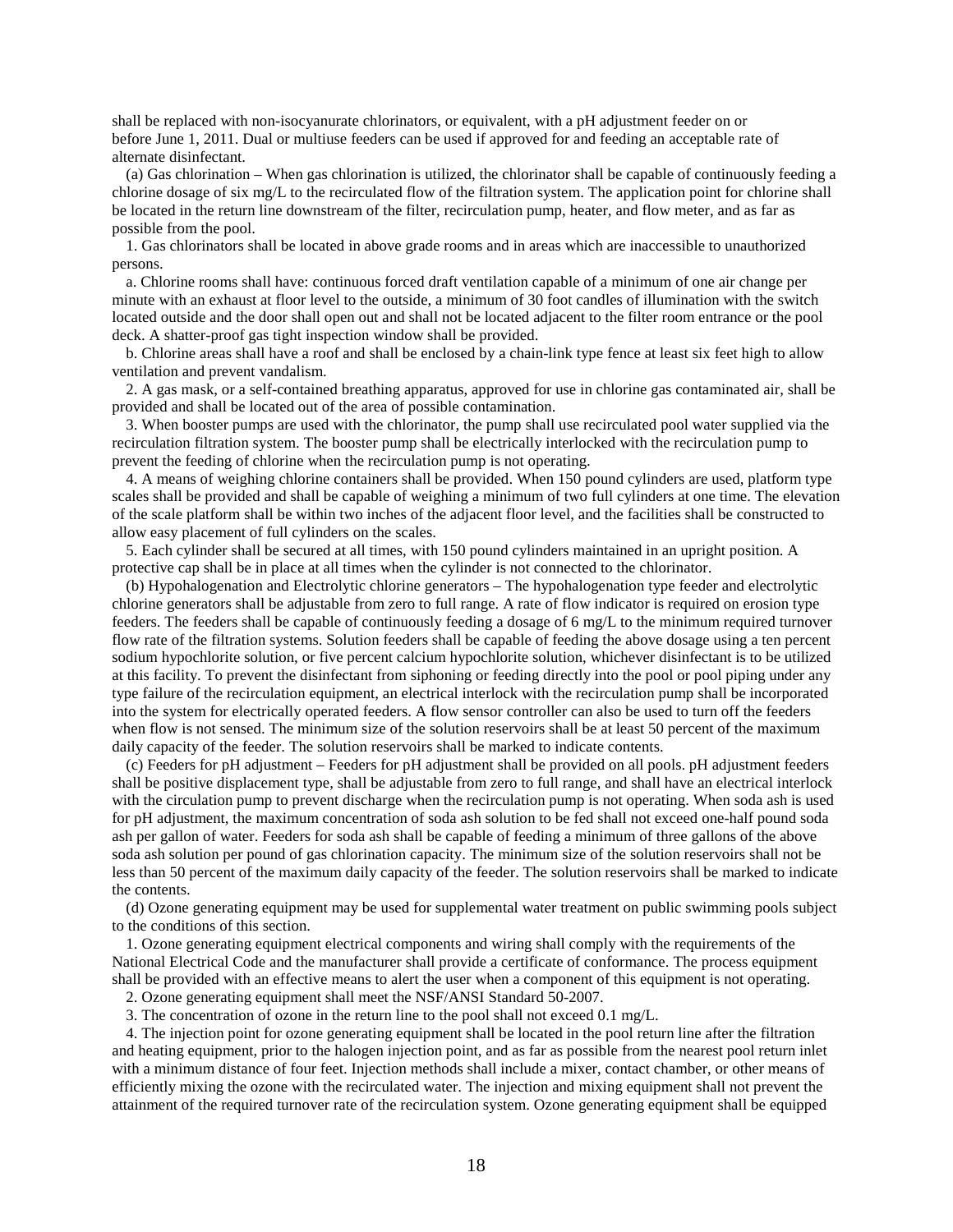shall be replaced with non-isocyanurate chlorinators, or equivalent, with a pH adjustment feeder on or before June 1, 2011. Dual or multiuse feeders can be used if approved for and feeding an acceptable rate of alternate disinfectant.

(a) Gas chlorination – When gas chlorination is utilized, the chlorinator shall be capable of continuously feeding a chlorine dosage of six mg/L to the recirculated flow of the filtration system. The application point for chlorine shall be located in the return line downstream of the filter, recirculation pump, heater, and flow meter, and as far as possible from the pool.

1. Gas chlorinators shall be located in above grade rooms and in areas which are inaccessible to unauthorized persons.

a. Chlorine rooms shall have: continuous forced draft ventilation capable of a minimum of one air change per minute with an exhaust at floor level to the outside, a minimum of 30 foot candles of illumination with the switch located outside and the door shall open out and shall not be located adjacent to the filter room entrance or the pool deck. A shatter-proof gas tight inspection window shall be provided.

b. Chlorine areas shall have a roof and shall be enclosed by a chain-link type fence at least six feet high to allow ventilation and prevent vandalism.

2. A gas mask, or a self-contained breathing apparatus, approved for use in chlorine gas contaminated air, shall be provided and shall be located out of the area of possible contamination.

3. When booster pumps are used with the chlorinator, the pump shall use recirculated pool water supplied via the recirculation filtration system. The booster pump shall be electrically interlocked with the recirculation pump to prevent the feeding of chlorine when the recirculation pump is not operating.

4. A means of weighing chlorine containers shall be provided. When 150 pound cylinders are used, platform type scales shall be provided and shall be capable of weighing a minimum of two full cylinders at one time. The elevation of the scale platform shall be within two inches of the adjacent floor level, and the facilities shall be constructed to allow easy placement of full cylinders on the scales.

5. Each cylinder shall be secured at all times, with 150 pound cylinders maintained in an upright position. A protective cap shall be in place at all times when the cylinder is not connected to the chlorinator.

(b) Hypohalogenation and Electrolytic chlorine generators – The hypohalogenation type feeder and electrolytic chlorine generators shall be adjustable from zero to full range. A rate of flow indicator is required on erosion type feeders. The feeders shall be capable of continuously feeding a dosage of 6 mg/L to the minimum required turnover flow rate of the filtration systems. Solution feeders shall be capable of feeding the above dosage using a ten percent sodium hypochlorite solution, or five percent calcium hypochlorite solution, whichever disinfectant is to be utilized at this facility. To prevent the disinfectant from siphoning or feeding directly into the pool or pool piping under any type failure of the recirculation equipment, an electrical interlock with the recirculation pump shall be incorporated into the system for electrically operated feeders. A flow sensor controller can also be used to turn off the feeders when flow is not sensed. The minimum size of the solution reservoirs shall be at least 50 percent of the maximum daily capacity of the feeder. The solution reservoirs shall be marked to indicate contents.

(c) Feeders for pH adjustment – Feeders for pH adjustment shall be provided on all pools. pH adjustment feeders shall be positive displacement type, shall be adjustable from zero to full range, and shall have an electrical interlock with the circulation pump to prevent discharge when the recirculation pump is not operating. When soda ash is used for pH adjustment, the maximum concentration of soda ash solution to be fed shall not exceed one-half pound soda ash per gallon of water. Feeders for soda ash shall be capable of feeding a minimum of three gallons of the above soda ash solution per pound of gas chlorination capacity. The minimum size of the solution reservoirs shall not be less than 50 percent of the maximum daily capacity of the feeder. The solution reservoirs shall be marked to indicate the contents.

(d) Ozone generating equipment may be used for supplemental water treatment on public swimming pools subject to the conditions of this section.

1. Ozone generating equipment electrical components and wiring shall comply with the requirements of the National Electrical Code and the manufacturer shall provide a certificate of conformance. The process equipment shall be provided with an effective means to alert the user when a component of this equipment is not operating.

2. Ozone generating equipment shall meet the NSF/ANSI Standard 50-2007.

3. The concentration of ozone in the return line to the pool shall not exceed 0.1 mg/L.

4. The injection point for ozone generating equipment shall be located in the pool return line after the filtration and heating equipment, prior to the halogen injection point, and as far as possible from the nearest pool return inlet with a minimum distance of four feet. Injection methods shall include a mixer, contact chamber, or other means of efficiently mixing the ozone with the recirculated water. The injection and mixing equipment shall not prevent the attainment of the required turnover rate of the recirculation system. Ozone generating equipment shall be equipped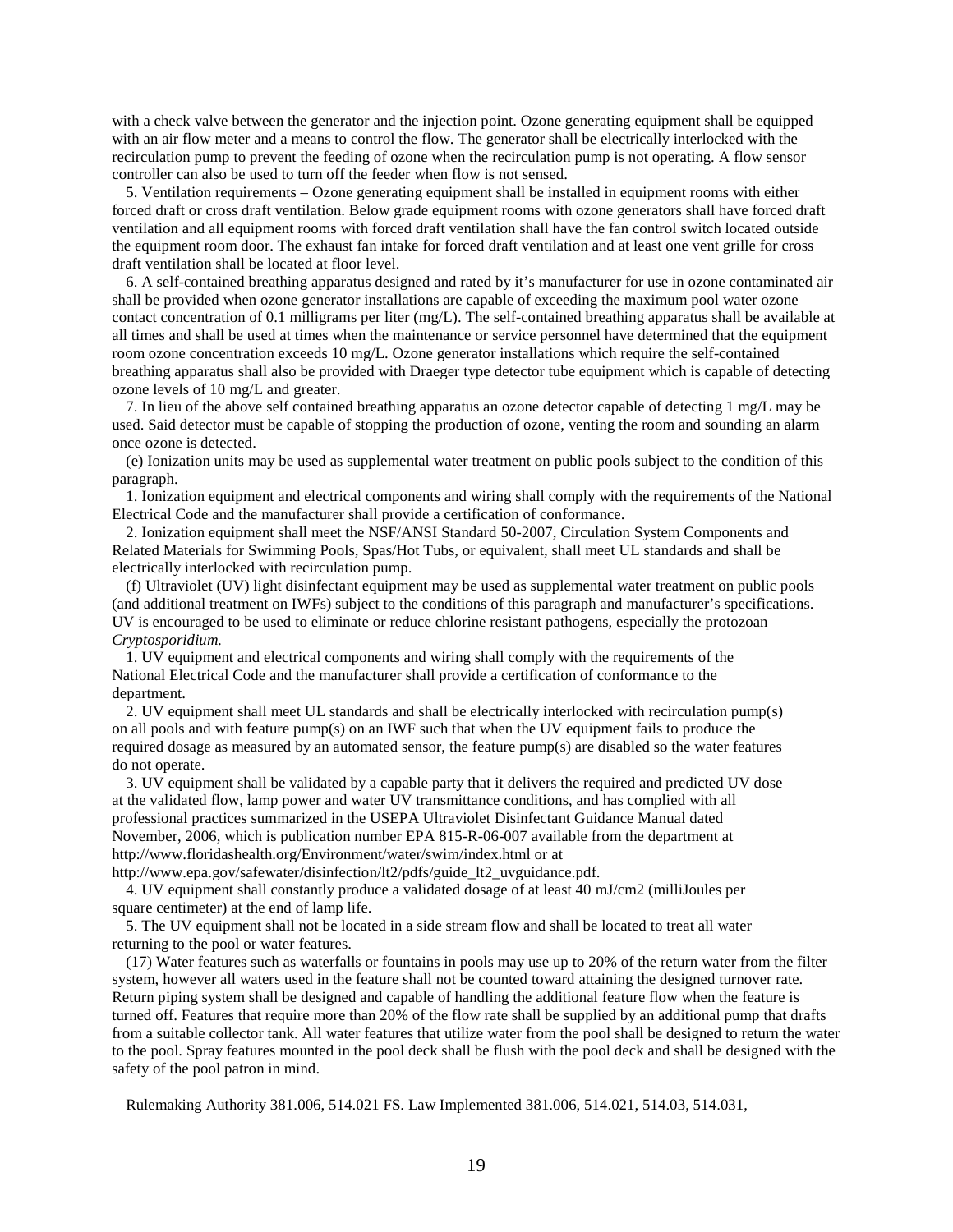with a check valve between the generator and the injection point. Ozone generating equipment shall be equipped with an air flow meter and a means to control the flow. The generator shall be electrically interlocked with the recirculation pump to prevent the feeding of ozone when the recirculation pump is not operating. A flow sensor controller can also be used to turn off the feeder when flow is not sensed.

5. Ventilation requirements – Ozone generating equipment shall be installed in equipment rooms with either forced draft or cross draft ventilation. Below grade equipment rooms with ozone generators shall have forced draft ventilation and all equipment rooms with forced draft ventilation shall have the fan control switch located outside the equipment room door. The exhaust fan intake for forced draft ventilation and at least one vent grille for cross draft ventilation shall be located at floor level.

6. A self-contained breathing apparatus designed and rated by it's manufacturer for use in ozone contaminated air shall be provided when ozone generator installations are capable of exceeding the maximum pool water ozone contact concentration of 0.1 milligrams per liter (mg/L). The self-contained breathing apparatus shall be available at all times and shall be used at times when the maintenance or service personnel have determined that the equipment room ozone concentration exceeds 10 mg/L. Ozone generator installations which require the self-contained breathing apparatus shall also be provided with Draeger type detector tube equipment which is capable of detecting ozone levels of 10 mg/L and greater.

7. In lieu of the above self contained breathing apparatus an ozone detector capable of detecting 1 mg/L may be used. Said detector must be capable of stopping the production of ozone, venting the room and sounding an alarm once ozone is detected.

(e) Ionization units may be used as supplemental water treatment on public pools subject to the condition of this paragraph.

1. Ionization equipment and electrical components and wiring shall comply with the requirements of the National Electrical Code and the manufacturer shall provide a certification of conformance.

2. Ionization equipment shall meet the NSF/ANSI Standard 50-2007, Circulation System Components and Related Materials for Swimming Pools, Spas/Hot Tubs, or equivalent, shall meet UL standards and shall be electrically interlocked with recirculation pump.

(f) Ultraviolet (UV) light disinfectant equipment may be used as supplemental water treatment on public pools (and additional treatment on IWFs) subject to the conditions of this paragraph and manufacturer's specifications. UV is encouraged to be used to eliminate or reduce chlorine resistant pathogens, especially the protozoan *Cryptosporidium.*

1. UV equipment and electrical components and wiring shall comply with the requirements of the National Electrical Code and the manufacturer shall provide a certification of conformance to the department.

2. UV equipment shall meet UL standards and shall be electrically interlocked with recirculation pump(s) on all pools and with feature pump(s) on an IWF such that when the UV equipment fails to produce the required dosage as measured by an automated sensor, the feature pump(s) are disabled so the water features do not operate.

3. UV equipment shall be validated by a capable party that it delivers the required and predicted UV dose at the validated flow, lamp power and water UV transmittance conditions, and has complied with all professional practices summarized in the USEPA Ultraviolet Disinfectant Guidance Manual dated November, 2006, which is publication number EPA 815-R-06-007 available from the department at http://www.floridashealth.org/Environment/water/swim/index.html or at

http://www.epa.gov/safewater/disinfection/lt2/pdfs/guide\_lt2\_uvguidance.pdf.

4. UV equipment shall constantly produce a validated dosage of at least 40 mJ/cm2 (milliJoules per square centimeter) at the end of lamp life.

5. The UV equipment shall not be located in a side stream flow and shall be located to treat all water returning to the pool or water features.

(17) Water features such as waterfalls or fountains in pools may use up to 20% of the return water from the filter system, however all waters used in the feature shall not be counted toward attaining the designed turnover rate. Return piping system shall be designed and capable of handling the additional feature flow when the feature is turned off. Features that require more than 20% of the flow rate shall be supplied by an additional pump that drafts from a suitable collector tank. All water features that utilize water from the pool shall be designed to return the water to the pool. Spray features mounted in the pool deck shall be flush with the pool deck and shall be designed with the safety of the pool patron in mind.

Rulemaking Authority 381.006, 514.021 FS. Law Implemented 381.006, 514.021, 514.03, 514.031,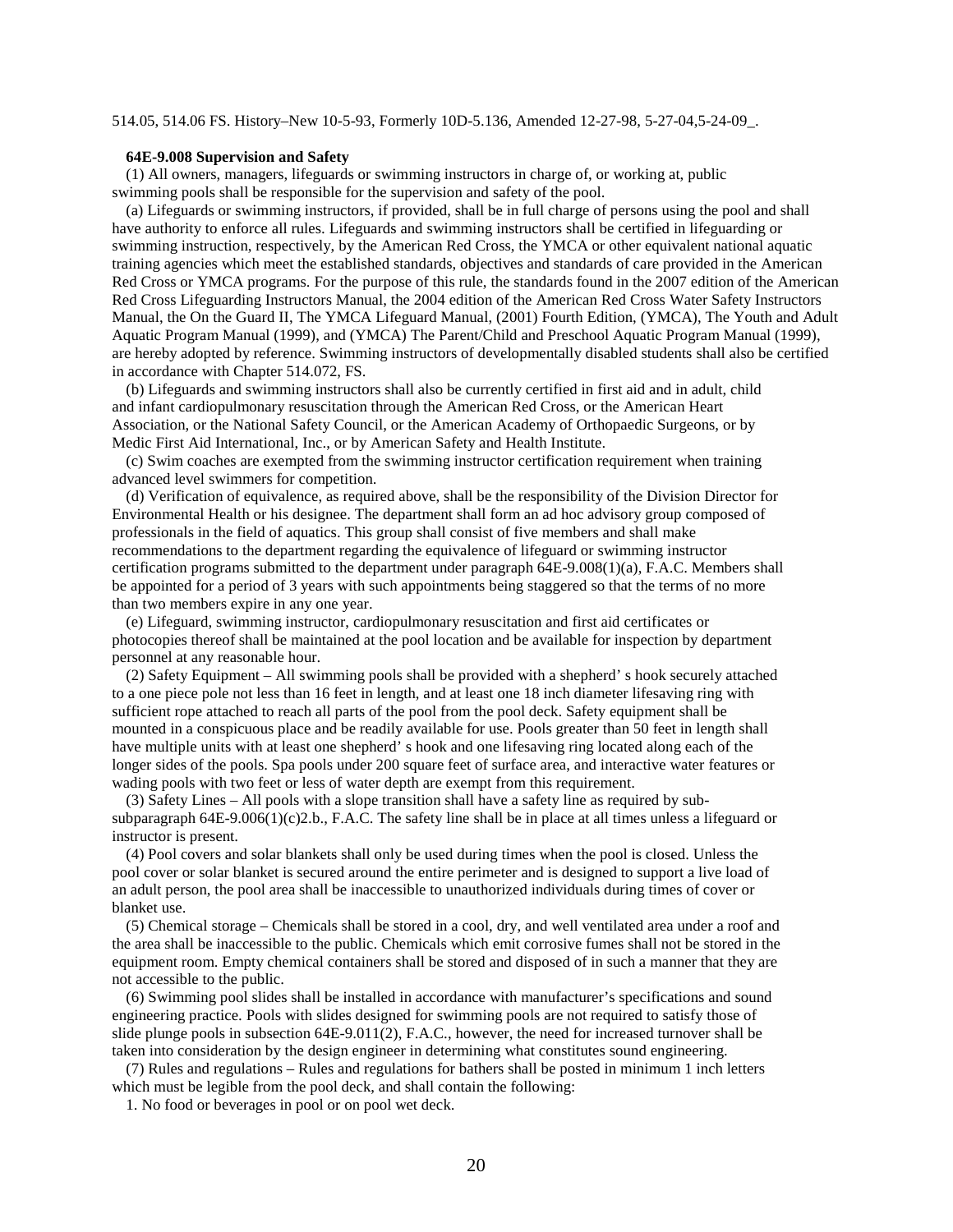# 514.05, 514.06 FS. History–New 10-5-93, Formerly 10D-5.136, Amended 12-27-98, 5-27-04,5-24-09\_.

## **64E-9.008 Supervision and Safety**

(1) All owners, managers, lifeguards or swimming instructors in charge of, or working at, public swimming pools shall be responsible for the supervision and safety of the pool.

(a) Lifeguards or swimming instructors, if provided, shall be in full charge of persons using the pool and shall have authority to enforce all rules. Lifeguards and swimming instructors shall be certified in lifeguarding or swimming instruction, respectively, by the American Red Cross, the YMCA or other equivalent national aquatic training agencies which meet the established standards, objectives and standards of care provided in the American Red Cross or YMCA programs. For the purpose of this rule, the standards found in the 2007 edition of the American Red Cross Lifeguarding Instructors Manual, the 2004 edition of the American Red Cross Water Safety Instructors Manual, the On the Guard II, The YMCA Lifeguard Manual, (2001) Fourth Edition, (YMCA), The Youth and Adult Aquatic Program Manual (1999), and (YMCA) The Parent/Child and Preschool Aquatic Program Manual (1999), are hereby adopted by reference. Swimming instructors of developmentally disabled students shall also be certified in accordance with Chapter 514.072, FS.

(b) Lifeguards and swimming instructors shall also be currently certified in first aid and in adult, child and infant cardiopulmonary resuscitation through the American Red Cross, or the American Heart Association, or the National Safety Council, or the American Academy of Orthopaedic Surgeons, or by Medic First Aid International, Inc., or by American Safety and Health Institute.

(c) Swim coaches are exempted from the swimming instructor certification requirement when training advanced level swimmers for competition.

(d) Verification of equivalence, as required above, shall be the responsibility of the Division Director for Environmental Health or his designee. The department shall form an ad hoc advisory group composed of professionals in the field of aquatics. This group shall consist of five members and shall make recommendations to the department regarding the equivalence of lifeguard or swimming instructor certification programs submitted to the department under paragraph 64E-9.008(1)(a), F.A.C. Members shall be appointed for a period of 3 years with such appointments being staggered so that the terms of no more than two members expire in any one year.

(e) Lifeguard, swimming instructor, cardiopulmonary resuscitation and first aid certificates or photocopies thereof shall be maintained at the pool location and be available for inspection by department personnel at any reasonable hour.

(2) Safety Equipment – All swimming pools shall be provided with a shepherd' s hook securely attached to a one piece pole not less than 16 feet in length, and at least one 18 inch diameter lifesaving ring with sufficient rope attached to reach all parts of the pool from the pool deck. Safety equipment shall be mounted in a conspicuous place and be readily available for use. Pools greater than 50 feet in length shall have multiple units with at least one shepherd' s hook and one lifesaving ring located along each of the longer sides of the pools. Spa pools under 200 square feet of surface area, and interactive water features or wading pools with two feet or less of water depth are exempt from this requirement.

(3) Safety Lines – All pools with a slope transition shall have a safety line as required by subsubparagraph 64E-9.006(1)(c)2.b., F.A.C. The safety line shall be in place at all times unless a lifeguard or instructor is present.

(4) Pool covers and solar blankets shall only be used during times when the pool is closed. Unless the pool cover or solar blanket is secured around the entire perimeter and is designed to support a live load of an adult person, the pool area shall be inaccessible to unauthorized individuals during times of cover or blanket use.

(5) Chemical storage – Chemicals shall be stored in a cool, dry, and well ventilated area under a roof and the area shall be inaccessible to the public. Chemicals which emit corrosive fumes shall not be stored in the equipment room. Empty chemical containers shall be stored and disposed of in such a manner that they are not accessible to the public.

(6) Swimming pool slides shall be installed in accordance with manufacturer's specifications and sound engineering practice. Pools with slides designed for swimming pools are not required to satisfy those of slide plunge pools in subsection 64E-9.011(2), F.A.C., however, the need for increased turnover shall be taken into consideration by the design engineer in determining what constitutes sound engineering.

(7) Rules and regulations – Rules and regulations for bathers shall be posted in minimum 1 inch letters which must be legible from the pool deck, and shall contain the following:

1. No food or beverages in pool or on pool wet deck.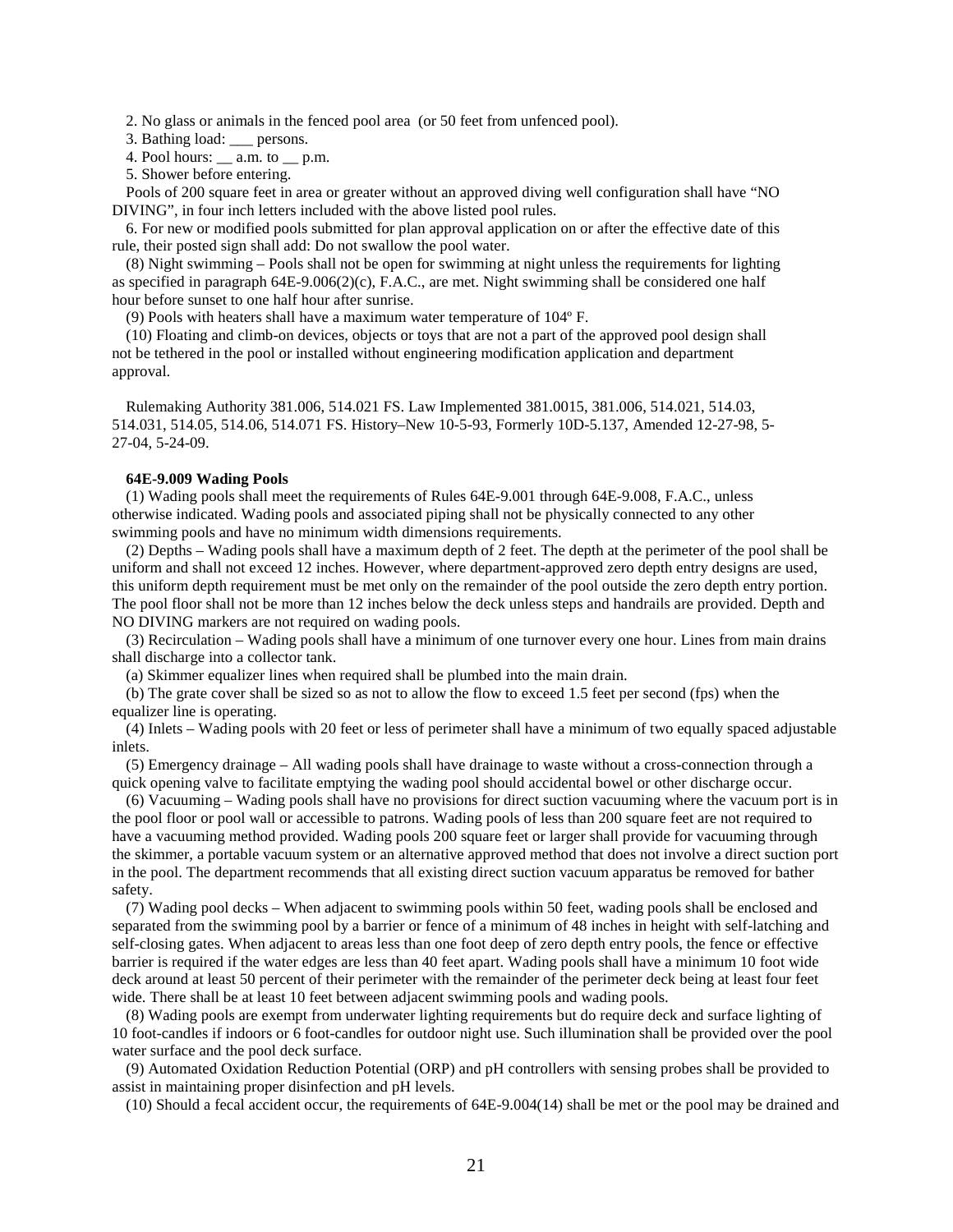2. No glass or animals in the fenced pool area (or 50 feet from unfenced pool).

3. Bathing load: \_\_\_ persons.

4. Pool hours:  $\_\_\_\$ a.m. to  $\_\_\$ p.m.

5. Shower before entering.

Pools of 200 square feet in area or greater without an approved diving well configuration shall have "NO DIVING", in four inch letters included with the above listed pool rules.

6. For new or modified pools submitted for plan approval application on or after the effective date of this rule, their posted sign shall add: Do not swallow the pool water.

(8) Night swimming – Pools shall not be open for swimming at night unless the requirements for lighting as specified in paragraph 64E-9.006(2)(c), F.A.C., are met. Night swimming shall be considered one half hour before sunset to one half hour after sunrise.

(9) Pools with heaters shall have a maximum water temperature of 104º F.

(10) Floating and climb-on devices, objects or toys that are not a part of the approved pool design shall not be tethered in the pool or installed without engineering modification application and department approval.

Rulemaking Authority 381.006, 514.021 FS. Law Implemented 381.0015, 381.006, 514.021, 514.03, 514.031, 514.05, 514.06, 514.071 FS. History–New 10-5-93, Formerly 10D-5.137, Amended 12-27-98, 5- 27-04, 5-24-09.

## **64E-9.009 Wading Pools**

(1) Wading pools shall meet the requirements of Rules 64E-9.001 through 64E-9.008, F.A.C., unless otherwise indicated. Wading pools and associated piping shall not be physically connected to any other swimming pools and have no minimum width dimensions requirements.

(2) Depths – Wading pools shall have a maximum depth of 2 feet. The depth at the perimeter of the pool shall be uniform and shall not exceed 12 inches. However, where department-approved zero depth entry designs are used, this uniform depth requirement must be met only on the remainder of the pool outside the zero depth entry portion. The pool floor shall not be more than 12 inches below the deck unless steps and handrails are provided. Depth and NO DIVING markers are not required on wading pools.

(3) Recirculation – Wading pools shall have a minimum of one turnover every one hour. Lines from main drains shall discharge into a collector tank.

(a) Skimmer equalizer lines when required shall be plumbed into the main drain.

(b) The grate cover shall be sized so as not to allow the flow to exceed 1.5 feet per second (fps) when the equalizer line is operating.

(4) Inlets – Wading pools with 20 feet or less of perimeter shall have a minimum of two equally spaced adjustable inlets.

(5) Emergency drainage – All wading pools shall have drainage to waste without a cross-connection through a quick opening valve to facilitate emptying the wading pool should accidental bowel or other discharge occur.

(6) Vacuuming – Wading pools shall have no provisions for direct suction vacuuming where the vacuum port is in the pool floor or pool wall or accessible to patrons. Wading pools of less than 200 square feet are not required to have a vacuuming method provided. Wading pools 200 square feet or larger shall provide for vacuuming through the skimmer, a portable vacuum system or an alternative approved method that does not involve a direct suction port in the pool. The department recommends that all existing direct suction vacuum apparatus be removed for bather safety.

(7) Wading pool decks – When adjacent to swimming pools within 50 feet, wading pools shall be enclosed and separated from the swimming pool by a barrier or fence of a minimum of 48 inches in height with self-latching and self-closing gates. When adjacent to areas less than one foot deep of zero depth entry pools, the fence or effective barrier is required if the water edges are less than 40 feet apart. Wading pools shall have a minimum 10 foot wide deck around at least 50 percent of their perimeter with the remainder of the perimeter deck being at least four feet wide. There shall be at least 10 feet between adjacent swimming pools and wading pools.

(8) Wading pools are exempt from underwater lighting requirements but do require deck and surface lighting of 10 foot-candles if indoors or 6 foot-candles for outdoor night use. Such illumination shall be provided over the pool water surface and the pool deck surface.

(9) Automated Oxidation Reduction Potential (ORP) and pH controllers with sensing probes shall be provided to assist in maintaining proper disinfection and pH levels.

(10) Should a fecal accident occur, the requirements of 64E-9.004(14) shall be met or the pool may be drained and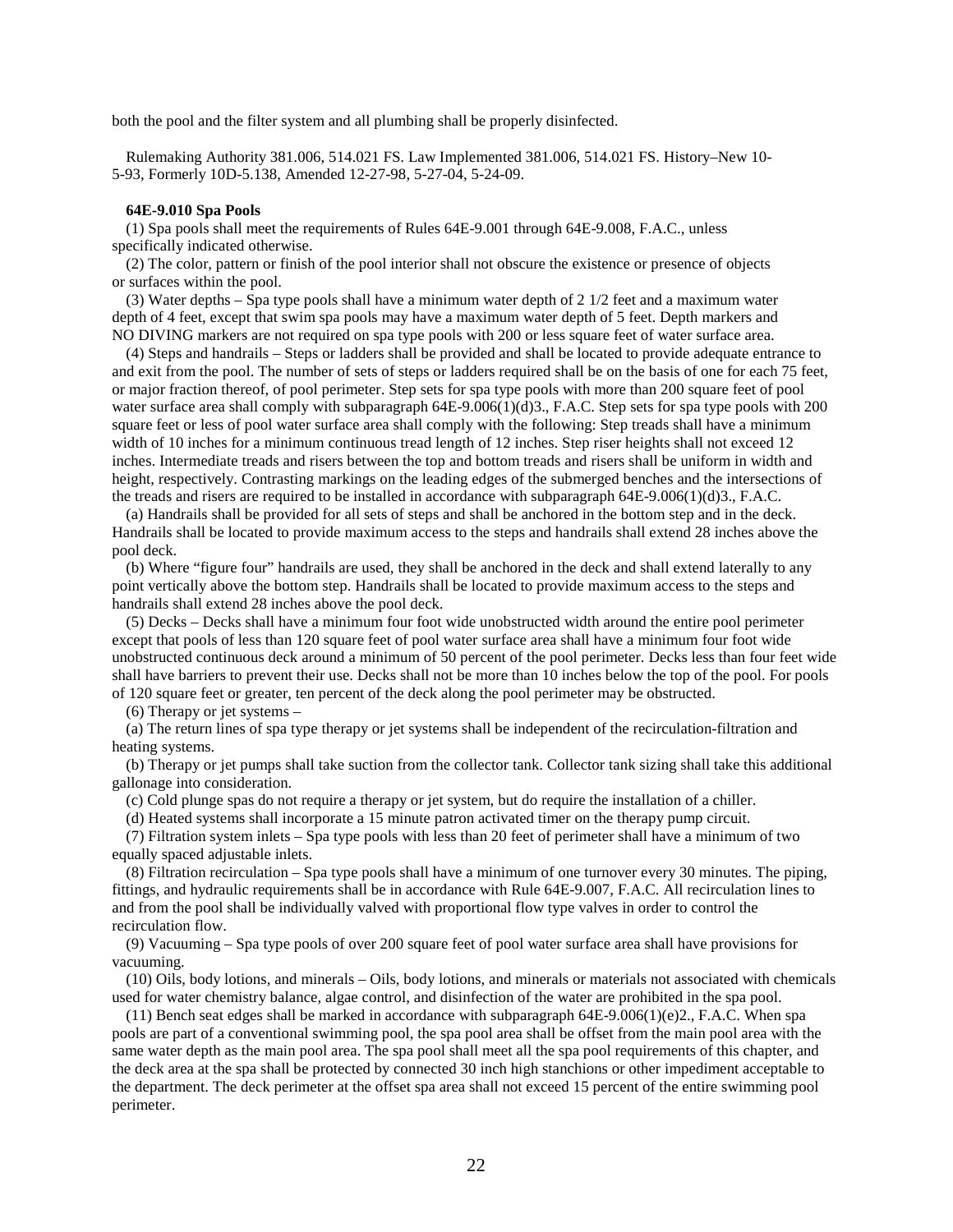both the pool and the filter system and all plumbing shall be properly disinfected.

Rulemaking Authority 381.006, 514.021 FS. Law Implemented 381.006, 514.021 FS. History–New 10- 5-93, Formerly 10D-5.138, Amended 12-27-98, 5-27-04, 5-24-09.

### **64E-9.010 Spa Pools**

(1) Spa pools shall meet the requirements of Rules 64E-9.001 through 64E-9.008, F.A.C., unless specifically indicated otherwise.

(2) The color, pattern or finish of the pool interior shall not obscure the existence or presence of objects or surfaces within the pool.

(3) Water depths – Spa type pools shall have a minimum water depth of 2 1/2 feet and a maximum water depth of 4 feet, except that swim spa pools may have a maximum water depth of 5 feet. Depth markers and NO DIVING markers are not required on spa type pools with 200 or less square feet of water surface area.

(4) Steps and handrails – Steps or ladders shall be provided and shall be located to provide adequate entrance to and exit from the pool. The number of sets of steps or ladders required shall be on the basis of one for each 75 feet, or major fraction thereof, of pool perimeter. Step sets for spa type pools with more than 200 square feet of pool water surface area shall comply with subparagraph 64E-9.006(1)(d)3., F.A.C. Step sets for spa type pools with 200 square feet or less of pool water surface area shall comply with the following: Step treads shall have a minimum width of 10 inches for a minimum continuous tread length of 12 inches. Step riser heights shall not exceed 12 inches. Intermediate treads and risers between the top and bottom treads and risers shall be uniform in width and height, respectively. Contrasting markings on the leading edges of the submerged benches and the intersections of the treads and risers are required to be installed in accordance with subparagraph 64E-9.006(1)(d)3., F.A.C.

(a) Handrails shall be provided for all sets of steps and shall be anchored in the bottom step and in the deck. Handrails shall be located to provide maximum access to the steps and handrails shall extend 28 inches above the pool deck.

(b) Where "figure four" handrails are used, they shall be anchored in the deck and shall extend laterally to any point vertically above the bottom step. Handrails shall be located to provide maximum access to the steps and handrails shall extend 28 inches above the pool deck.

(5) Decks – Decks shall have a minimum four foot wide unobstructed width around the entire pool perimeter except that pools of less than 120 square feet of pool water surface area shall have a minimum four foot wide unobstructed continuous deck around a minimum of 50 percent of the pool perimeter. Decks less than four feet wide shall have barriers to prevent their use. Decks shall not be more than 10 inches below the top of the pool. For pools of 120 square feet or greater, ten percent of the deck along the pool perimeter may be obstructed.

(6) Therapy or jet systems –

(a) The return lines of spa type therapy or jet systems shall be independent of the recirculation-filtration and heating systems.

(b) Therapy or jet pumps shall take suction from the collector tank. Collector tank sizing shall take this additional gallonage into consideration.

(c) Cold plunge spas do not require a therapy or jet system, but do require the installation of a chiller.

(d) Heated systems shall incorporate a 15 minute patron activated timer on the therapy pump circuit.

(7) Filtration system inlets – Spa type pools with less than 20 feet of perimeter shall have a minimum of two equally spaced adjustable inlets.

(8) Filtration recirculation – Spa type pools shall have a minimum of one turnover every 30 minutes. The piping, fittings, and hydraulic requirements shall be in accordance with Rule 64E-9.007, F.A.C. All recirculation lines to and from the pool shall be individually valved with proportional flow type valves in order to control the recirculation flow.

(9) Vacuuming – Spa type pools of over 200 square feet of pool water surface area shall have provisions for vacuuming.

(10) Oils, body lotions, and minerals – Oils, body lotions, and minerals or materials not associated with chemicals used for water chemistry balance, algae control, and disinfection of the water are prohibited in the spa pool.

 $(11)$  Bench seat edges shall be marked in accordance with subparagraph 64E-9.006(1)(e)2., F.A.C. When spa pools are part of a conventional swimming pool, the spa pool area shall be offset from the main pool area with the same water depth as the main pool area. The spa pool shall meet all the spa pool requirements of this chapter, and the deck area at the spa shall be protected by connected 30 inch high stanchions or other impediment acceptable to the department. The deck perimeter at the offset spa area shall not exceed 15 percent of the entire swimming pool perimeter.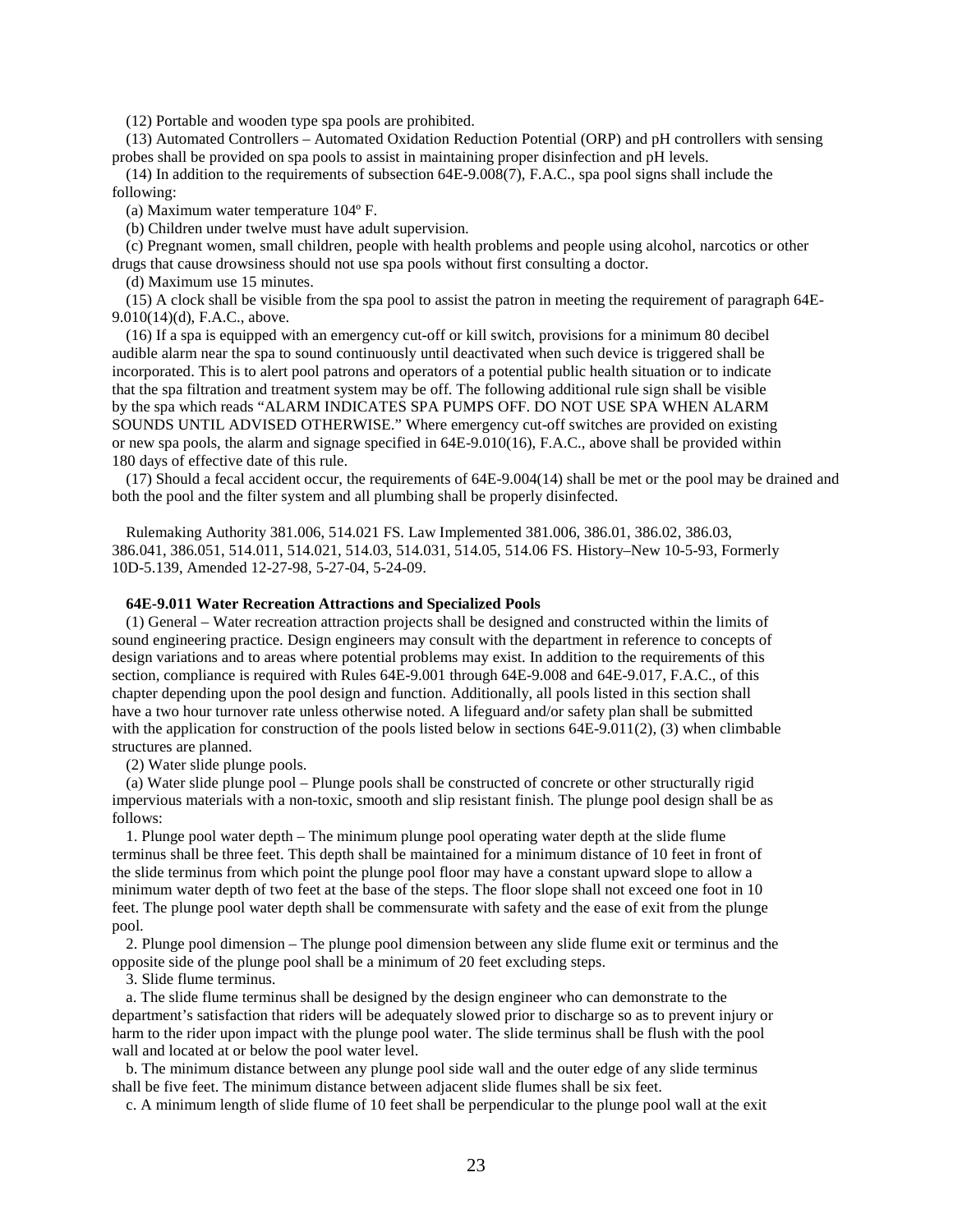(12) Portable and wooden type spa pools are prohibited.

(13) Automated Controllers – Automated Oxidation Reduction Potential (ORP) and pH controllers with sensing probes shall be provided on spa pools to assist in maintaining proper disinfection and pH levels.

(14) In addition to the requirements of subsection 64E-9.008(7), F.A.C., spa pool signs shall include the following:

(a) Maximum water temperature 104º F.

(b) Children under twelve must have adult supervision.

(c) Pregnant women, small children, people with health problems and people using alcohol, narcotics or other drugs that cause drowsiness should not use spa pools without first consulting a doctor.

(d) Maximum use 15 minutes.

(15) A clock shall be visible from the spa pool to assist the patron in meeting the requirement of paragraph 64E-9.010(14)(d), F.A.C., above.

(16) If a spa is equipped with an emergency cut-off or kill switch, provisions for a minimum 80 decibel audible alarm near the spa to sound continuously until deactivated when such device is triggered shall be incorporated. This is to alert pool patrons and operators of a potential public health situation or to indicate that the spa filtration and treatment system may be off. The following additional rule sign shall be visible by the spa which reads "ALARM INDICATES SPA PUMPS OFF. DO NOT USE SPA WHEN ALARM SOUNDS UNTIL ADVISED OTHERWISE." Where emergency cut-off switches are provided on existing or new spa pools, the alarm and signage specified in 64E-9.010(16), F.A.C., above shall be provided within 180 days of effective date of this rule.

(17) Should a fecal accident occur, the requirements of 64E-9.004(14) shall be met or the pool may be drained and both the pool and the filter system and all plumbing shall be properly disinfected.

Rulemaking Authority 381.006, 514.021 FS. Law Implemented 381.006, 386.01, 386.02, 386.03, 386.041, 386.051, 514.011, 514.021, 514.03, 514.031, 514.05, 514.06 FS. History–New 10-5-93, Formerly 10D-5.139, Amended 12-27-98, 5-27-04, 5-24-09.

### **64E-9.011 Water Recreation Attractions and Specialized Pools**

(1) General – Water recreation attraction projects shall be designed and constructed within the limits of sound engineering practice. Design engineers may consult with the department in reference to concepts of design variations and to areas where potential problems may exist. In addition to the requirements of this section, compliance is required with Rules 64E-9.001 through 64E-9.008 and 64E-9.017, F.A.C., of this chapter depending upon the pool design and function. Additionally, all pools listed in this section shall have a two hour turnover rate unless otherwise noted. A lifeguard and/or safety plan shall be submitted with the application for construction of the pools listed below in sections 64E-9.011(2), (3) when climbable structures are planned.

(2) Water slide plunge pools.

(a) Water slide plunge pool – Plunge pools shall be constructed of concrete or other structurally rigid impervious materials with a non-toxic, smooth and slip resistant finish. The plunge pool design shall be as follows:

1. Plunge pool water depth – The minimum plunge pool operating water depth at the slide flume terminus shall be three feet. This depth shall be maintained for a minimum distance of 10 feet in front of the slide terminus from which point the plunge pool floor may have a constant upward slope to allow a minimum water depth of two feet at the base of the steps. The floor slope shall not exceed one foot in 10 feet. The plunge pool water depth shall be commensurate with safety and the ease of exit from the plunge pool.

2. Plunge pool dimension – The plunge pool dimension between any slide flume exit or terminus and the opposite side of the plunge pool shall be a minimum of 20 feet excluding steps.

3. Slide flume terminus.

a. The slide flume terminus shall be designed by the design engineer who can demonstrate to the department's satisfaction that riders will be adequately slowed prior to discharge so as to prevent injury or harm to the rider upon impact with the plunge pool water. The slide terminus shall be flush with the pool wall and located at or below the pool water level.

b. The minimum distance between any plunge pool side wall and the outer edge of any slide terminus shall be five feet. The minimum distance between adjacent slide flumes shall be six feet.

c. A minimum length of slide flume of 10 feet shall be perpendicular to the plunge pool wall at the exit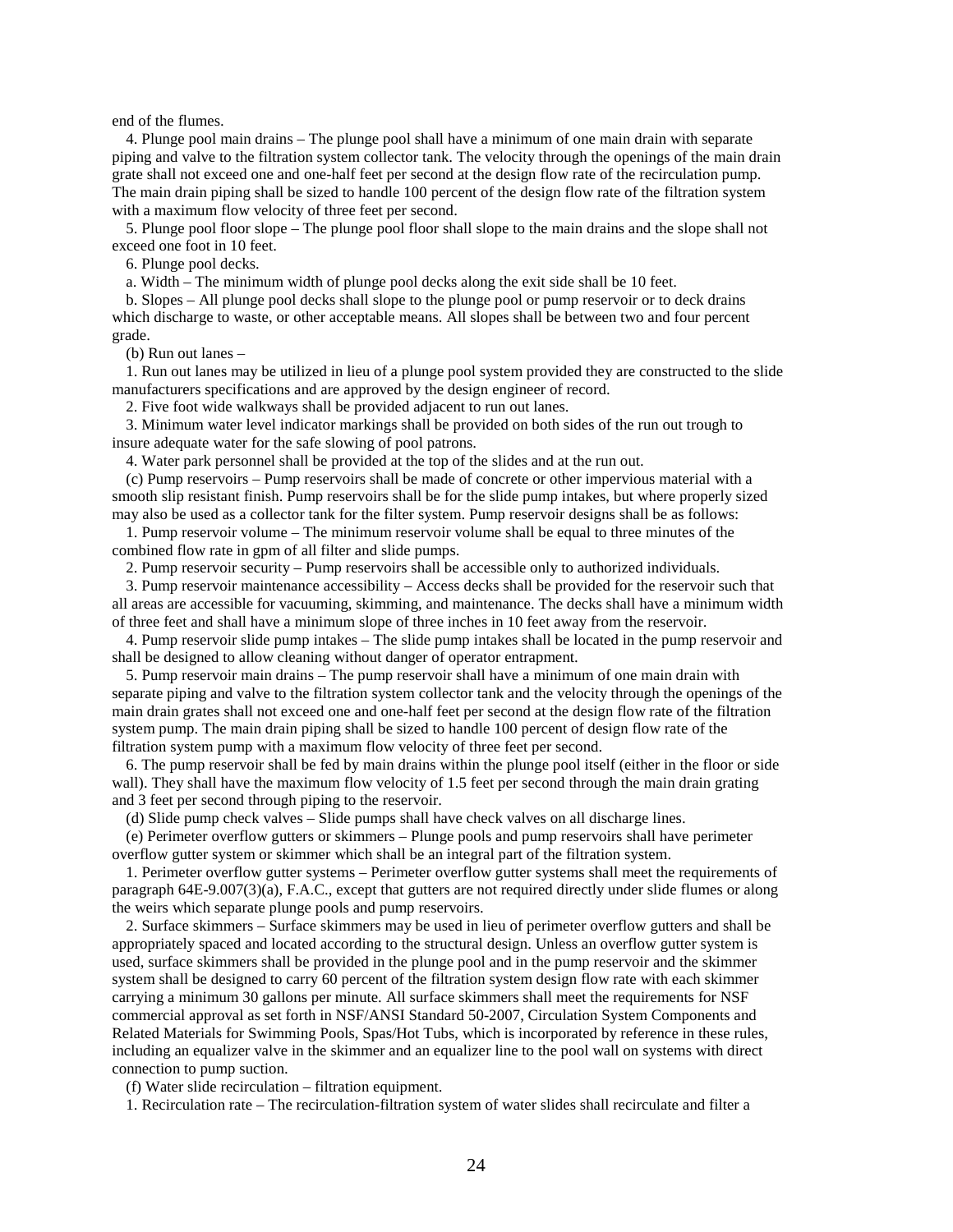end of the flumes.

4. Plunge pool main drains – The plunge pool shall have a minimum of one main drain with separate piping and valve to the filtration system collector tank. The velocity through the openings of the main drain grate shall not exceed one and one-half feet per second at the design flow rate of the recirculation pump. The main drain piping shall be sized to handle 100 percent of the design flow rate of the filtration system with a maximum flow velocity of three feet per second.

5. Plunge pool floor slope – The plunge pool floor shall slope to the main drains and the slope shall not exceed one foot in 10 feet.

6. Plunge pool decks.

a. Width – The minimum width of plunge pool decks along the exit side shall be 10 feet.

b. Slopes – All plunge pool decks shall slope to the plunge pool or pump reservoir or to deck drains which discharge to waste, or other acceptable means. All slopes shall be between two and four percent grade.

(b) Run out lanes –

1. Run out lanes may be utilized in lieu of a plunge pool system provided they are constructed to the slide manufacturers specifications and are approved by the design engineer of record.

2. Five foot wide walkways shall be provided adjacent to run out lanes.

3. Minimum water level indicator markings shall be provided on both sides of the run out trough to insure adequate water for the safe slowing of pool patrons.

4. Water park personnel shall be provided at the top of the slides and at the run out.

(c) Pump reservoirs – Pump reservoirs shall be made of concrete or other impervious material with a smooth slip resistant finish. Pump reservoirs shall be for the slide pump intakes, but where properly sized may also be used as a collector tank for the filter system. Pump reservoir designs shall be as follows:

1. Pump reservoir volume – The minimum reservoir volume shall be equal to three minutes of the combined flow rate in gpm of all filter and slide pumps.

2. Pump reservoir security – Pump reservoirs shall be accessible only to authorized individuals.

3. Pump reservoir maintenance accessibility – Access decks shall be provided for the reservoir such that all areas are accessible for vacuuming, skimming, and maintenance. The decks shall have a minimum width of three feet and shall have a minimum slope of three inches in 10 feet away from the reservoir.

4. Pump reservoir slide pump intakes – The slide pump intakes shall be located in the pump reservoir and shall be designed to allow cleaning without danger of operator entrapment.

5. Pump reservoir main drains – The pump reservoir shall have a minimum of one main drain with separate piping and valve to the filtration system collector tank and the velocity through the openings of the main drain grates shall not exceed one and one-half feet per second at the design flow rate of the filtration system pump. The main drain piping shall be sized to handle 100 percent of design flow rate of the filtration system pump with a maximum flow velocity of three feet per second.

6. The pump reservoir shall be fed by main drains within the plunge pool itself (either in the floor or side wall). They shall have the maximum flow velocity of 1.5 feet per second through the main drain grating and 3 feet per second through piping to the reservoir.

(d) Slide pump check valves – Slide pumps shall have check valves on all discharge lines.

(e) Perimeter overflow gutters or skimmers – Plunge pools and pump reservoirs shall have perimeter overflow gutter system or skimmer which shall be an integral part of the filtration system.

1. Perimeter overflow gutter systems – Perimeter overflow gutter systems shall meet the requirements of paragraph 64E-9.007(3)(a), F.A.C., except that gutters are not required directly under slide flumes or along the weirs which separate plunge pools and pump reservoirs.

2. Surface skimmers – Surface skimmers may be used in lieu of perimeter overflow gutters and shall be appropriately spaced and located according to the structural design. Unless an overflow gutter system is used, surface skimmers shall be provided in the plunge pool and in the pump reservoir and the skimmer system shall be designed to carry 60 percent of the filtration system design flow rate with each skimmer carrying a minimum 30 gallons per minute. All surface skimmers shall meet the requirements for NSF commercial approval as set forth in NSF/ANSI Standard 50-2007, Circulation System Components and Related Materials for Swimming Pools, Spas/Hot Tubs, which is incorporated by reference in these rules, including an equalizer valve in the skimmer and an equalizer line to the pool wall on systems with direct connection to pump suction.

(f) Water slide recirculation – filtration equipment.

1. Recirculation rate – The recirculation-filtration system of water slides shall recirculate and filter a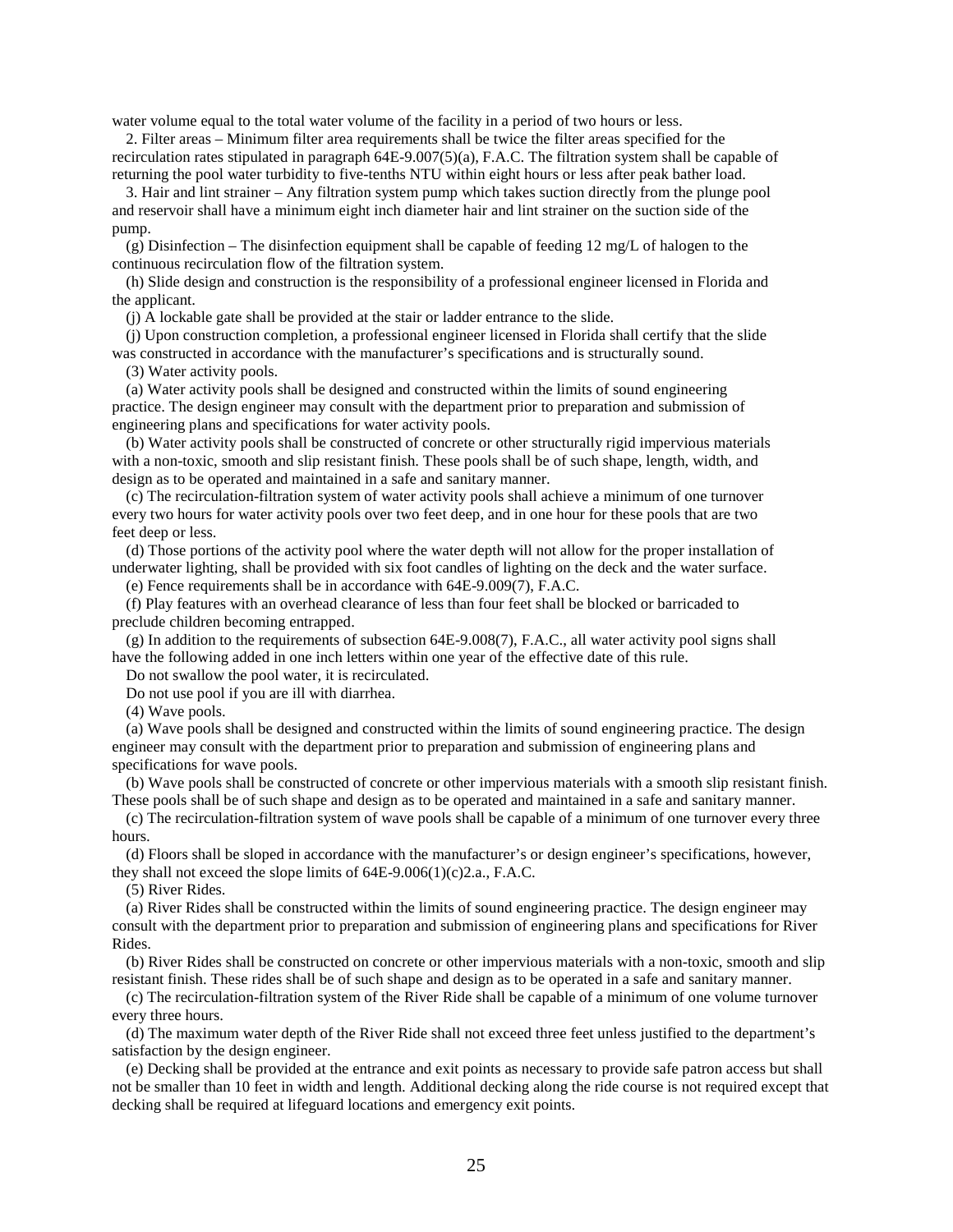water volume equal to the total water volume of the facility in a period of two hours or less.

2. Filter areas – Minimum filter area requirements shall be twice the filter areas specified for the recirculation rates stipulated in paragraph 64E-9.007(5)(a), F.A.C. The filtration system shall be capable of returning the pool water turbidity to five-tenths NTU within eight hours or less after peak bather load.

3. Hair and lint strainer – Any filtration system pump which takes suction directly from the plunge pool and reservoir shall have a minimum eight inch diameter hair and lint strainer on the suction side of the pump.

(g) Disinfection – The disinfection equipment shall be capable of feeding  $12 \text{ mg/L}$  of halogen to the continuous recirculation flow of the filtration system.

(h) Slide design and construction is the responsibility of a professional engineer licensed in Florida and the applicant.

(j) A lockable gate shall be provided at the stair or ladder entrance to the slide.

(j) Upon construction completion, a professional engineer licensed in Florida shall certify that the slide was constructed in accordance with the manufacturer's specifications and is structurally sound.

(3) Water activity pools.

(a) Water activity pools shall be designed and constructed within the limits of sound engineering practice. The design engineer may consult with the department prior to preparation and submission of engineering plans and specifications for water activity pools.

(b) Water activity pools shall be constructed of concrete or other structurally rigid impervious materials with a non-toxic, smooth and slip resistant finish. These pools shall be of such shape, length, width, and design as to be operated and maintained in a safe and sanitary manner.

(c) The recirculation-filtration system of water activity pools shall achieve a minimum of one turnover every two hours for water activity pools over two feet deep, and in one hour for these pools that are two feet deep or less.

(d) Those portions of the activity pool where the water depth will not allow for the proper installation of underwater lighting, shall be provided with six foot candles of lighting on the deck and the water surface.

(e) Fence requirements shall be in accordance with 64E-9.009(7), F.A.C.

(f) Play features with an overhead clearance of less than four feet shall be blocked or barricaded to preclude children becoming entrapped.

(g) In addition to the requirements of subsection 64E-9.008(7), F.A.C., all water activity pool signs shall have the following added in one inch letters within one year of the effective date of this rule.

Do not swallow the pool water, it is recirculated.

Do not use pool if you are ill with diarrhea.

(4) Wave pools.

(a) Wave pools shall be designed and constructed within the limits of sound engineering practice. The design engineer may consult with the department prior to preparation and submission of engineering plans and specifications for wave pools.

(b) Wave pools shall be constructed of concrete or other impervious materials with a smooth slip resistant finish. These pools shall be of such shape and design as to be operated and maintained in a safe and sanitary manner.

(c) The recirculation-filtration system of wave pools shall be capable of a minimum of one turnover every three hours.

(d) Floors shall be sloped in accordance with the manufacturer's or design engineer's specifications, however, they shall not exceed the slope limits of 64E-9.006(1)(c)2.a., F.A.C.

(5) River Rides.

(a) River Rides shall be constructed within the limits of sound engineering practice. The design engineer may consult with the department prior to preparation and submission of engineering plans and specifications for River Rides.

(b) River Rides shall be constructed on concrete or other impervious materials with a non-toxic, smooth and slip resistant finish. These rides shall be of such shape and design as to be operated in a safe and sanitary manner.

(c) The recirculation-filtration system of the River Ride shall be capable of a minimum of one volume turnover every three hours.

(d) The maximum water depth of the River Ride shall not exceed three feet unless justified to the department's satisfaction by the design engineer.

(e) Decking shall be provided at the entrance and exit points as necessary to provide safe patron access but shall not be smaller than 10 feet in width and length. Additional decking along the ride course is not required except that decking shall be required at lifeguard locations and emergency exit points.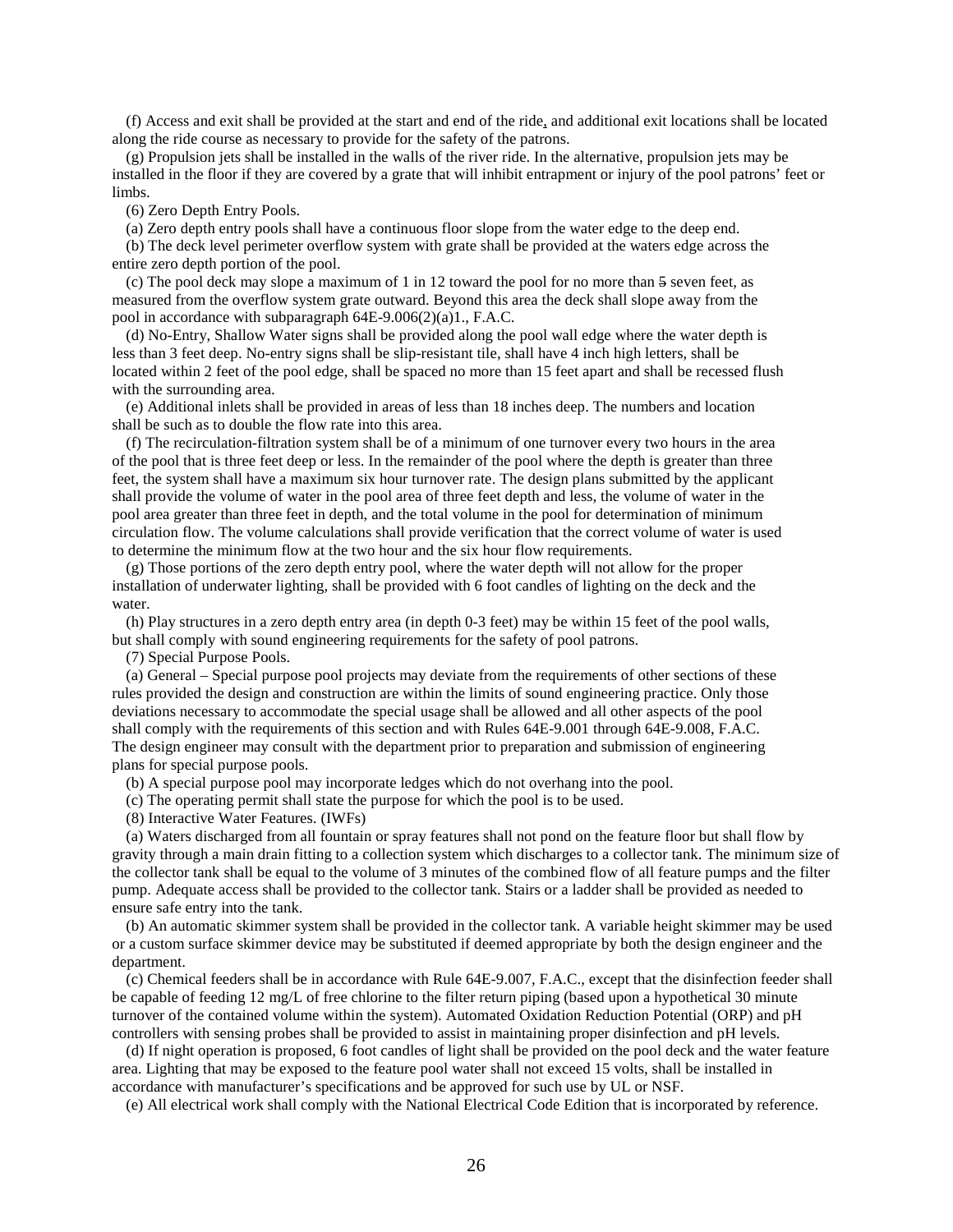(f) Access and exit shall be provided at the start and end of the ride, and additional exit locations shall be located along the ride course as necessary to provide for the safety of the patrons.

(g) Propulsion jets shall be installed in the walls of the river ride. In the alternative, propulsion jets may be installed in the floor if they are covered by a grate that will inhibit entrapment or injury of the pool patrons' feet or limbs.

(6) Zero Depth Entry Pools.

(a) Zero depth entry pools shall have a continuous floor slope from the water edge to the deep end.

(b) The deck level perimeter overflow system with grate shall be provided at the waters edge across the entire zero depth portion of the pool.

(c) The pool deck may slope a maximum of 1 in 12 toward the pool for no more than 5 seven feet, as measured from the overflow system grate outward. Beyond this area the deck shall slope away from the pool in accordance with subparagraph 64E-9.006(2)(a)1., F.A.C.

(d) No-Entry, Shallow Water signs shall be provided along the pool wall edge where the water depth is less than 3 feet deep. No-entry signs shall be slip-resistant tile, shall have 4 inch high letters, shall be located within 2 feet of the pool edge, shall be spaced no more than 15 feet apart and shall be recessed flush with the surrounding area.

(e) Additional inlets shall be provided in areas of less than 18 inches deep. The numbers and location shall be such as to double the flow rate into this area.

(f) The recirculation-filtration system shall be of a minimum of one turnover every two hours in the area of the pool that is three feet deep or less. In the remainder of the pool where the depth is greater than three feet, the system shall have a maximum six hour turnover rate. The design plans submitted by the applicant shall provide the volume of water in the pool area of three feet depth and less, the volume of water in the pool area greater than three feet in depth, and the total volume in the pool for determination of minimum circulation flow. The volume calculations shall provide verification that the correct volume of water is used to determine the minimum flow at the two hour and the six hour flow requirements.

(g) Those portions of the zero depth entry pool, where the water depth will not allow for the proper installation of underwater lighting, shall be provided with 6 foot candles of lighting on the deck and the water.

(h) Play structures in a zero depth entry area (in depth 0-3 feet) may be within 15 feet of the pool walls, but shall comply with sound engineering requirements for the safety of pool patrons.

(7) Special Purpose Pools.

(a) General – Special purpose pool projects may deviate from the requirements of other sections of these rules provided the design and construction are within the limits of sound engineering practice. Only those deviations necessary to accommodate the special usage shall be allowed and all other aspects of the pool shall comply with the requirements of this section and with Rules 64E-9.001 through 64E-9.008, F.A.C. The design engineer may consult with the department prior to preparation and submission of engineering plans for special purpose pools.

(b) A special purpose pool may incorporate ledges which do not overhang into the pool.

(c) The operating permit shall state the purpose for which the pool is to be used.

(8) Interactive Water Features. (IWFs)

(a) Waters discharged from all fountain or spray features shall not pond on the feature floor but shall flow by gravity through a main drain fitting to a collection system which discharges to a collector tank. The minimum size of the collector tank shall be equal to the volume of 3 minutes of the combined flow of all feature pumps and the filter pump. Adequate access shall be provided to the collector tank. Stairs or a ladder shall be provided as needed to ensure safe entry into the tank.

(b) An automatic skimmer system shall be provided in the collector tank. A variable height skimmer may be used or a custom surface skimmer device may be substituted if deemed appropriate by both the design engineer and the department.

(c) Chemical feeders shall be in accordance with Rule 64E-9.007, F.A.C., except that the disinfection feeder shall be capable of feeding 12 mg/L of free chlorine to the filter return piping (based upon a hypothetical 30 minute turnover of the contained volume within the system). Automated Oxidation Reduction Potential (ORP) and pH controllers with sensing probes shall be provided to assist in maintaining proper disinfection and pH levels.

(d) If night operation is proposed, 6 foot candles of light shall be provided on the pool deck and the water feature area. Lighting that may be exposed to the feature pool water shall not exceed 15 volts, shall be installed in accordance with manufacturer's specifications and be approved for such use by UL or NSF.

(e) All electrical work shall comply with the National Electrical Code Edition that is incorporated by reference.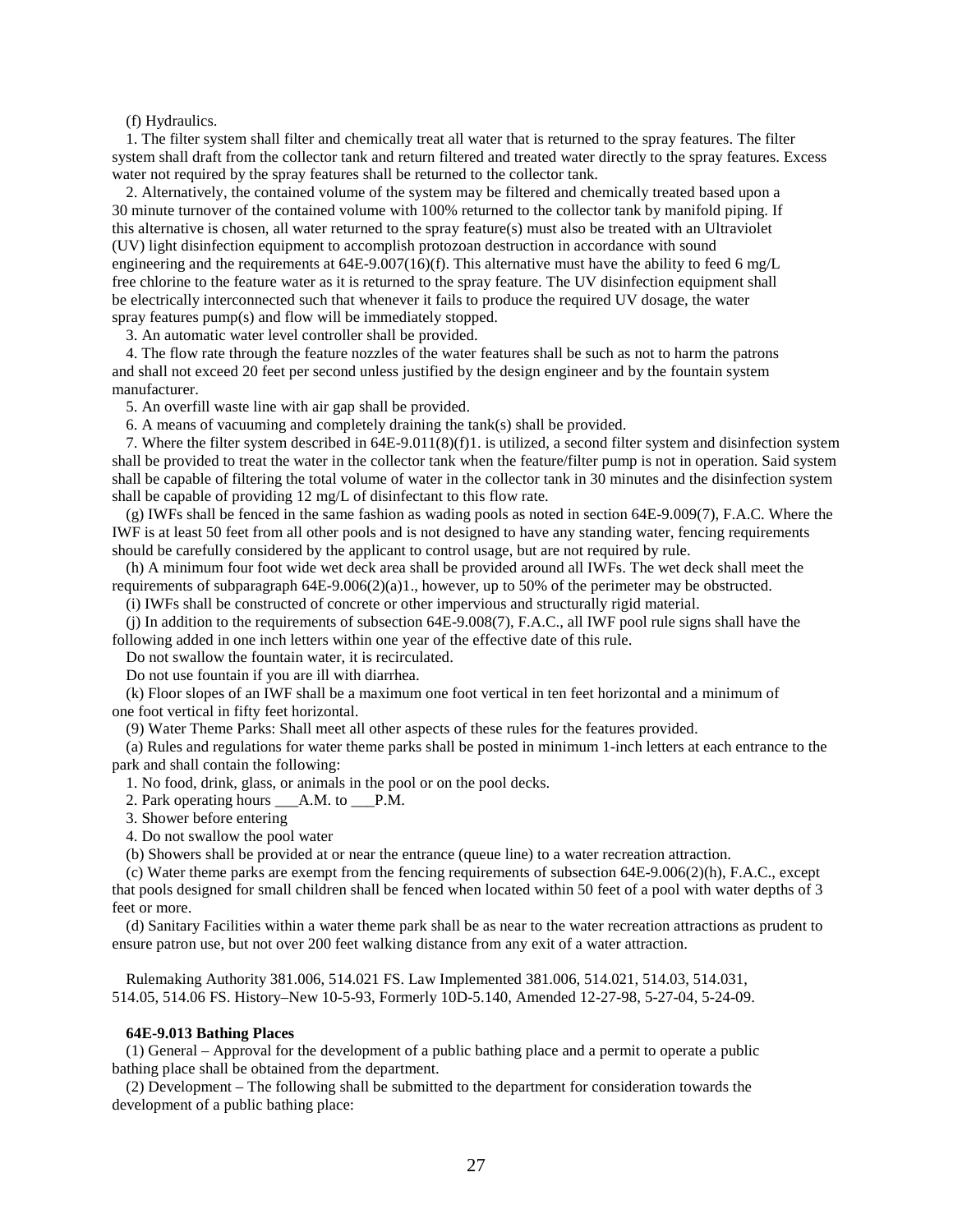(f) Hydraulics.

1. The filter system shall filter and chemically treat all water that is returned to the spray features. The filter system shall draft from the collector tank and return filtered and treated water directly to the spray features. Excess water not required by the spray features shall be returned to the collector tank.

2. Alternatively, the contained volume of the system may be filtered and chemically treated based upon a 30 minute turnover of the contained volume with 100% returned to the collector tank by manifold piping. If this alternative is chosen, all water returned to the spray feature(s) must also be treated with an Ultraviolet (UV) light disinfection equipment to accomplish protozoan destruction in accordance with sound engineering and the requirements at 64E-9.007(16)(f). This alternative must have the ability to feed 6 mg/L free chlorine to the feature water as it is returned to the spray feature. The UV disinfection equipment shall be electrically interconnected such that whenever it fails to produce the required UV dosage, the water spray features pump(s) and flow will be immediately stopped.

3. An automatic water level controller shall be provided.

4. The flow rate through the feature nozzles of the water features shall be such as not to harm the patrons and shall not exceed 20 feet per second unless justified by the design engineer and by the fountain system manufacturer.

5. An overfill waste line with air gap shall be provided.

6. A means of vacuuming and completely draining the tank(s) shall be provided.

7. Where the filter system described in 64E-9.011(8)(f)1. is utilized, a second filter system and disinfection system shall be provided to treat the water in the collector tank when the feature/filter pump is not in operation. Said system shall be capable of filtering the total volume of water in the collector tank in 30 minutes and the disinfection system shall be capable of providing 12 mg/L of disinfectant to this flow rate.

(g) IWFs shall be fenced in the same fashion as wading pools as noted in section 64E-9.009(7), F.A.C. Where the IWF is at least 50 feet from all other pools and is not designed to have any standing water, fencing requirements should be carefully considered by the applicant to control usage, but are not required by rule.

(h) A minimum four foot wide wet deck area shall be provided around all IWFs. The wet deck shall meet the requirements of subparagraph 64E-9.006(2)(a)1., however, up to 50% of the perimeter may be obstructed.

(i) IWFs shall be constructed of concrete or other impervious and structurally rigid material.

(j) In addition to the requirements of subsection 64E-9.008(7), F.A.C., all IWF pool rule signs shall have the following added in one inch letters within one year of the effective date of this rule.

Do not swallow the fountain water, it is recirculated.

Do not use fountain if you are ill with diarrhea.

(k) Floor slopes of an IWF shall be a maximum one foot vertical in ten feet horizontal and a minimum of one foot vertical in fifty feet horizontal.

(9) Water Theme Parks: Shall meet all other aspects of these rules for the features provided.

(a) Rules and regulations for water theme parks shall be posted in minimum 1-inch letters at each entrance to the park and shall contain the following:

1. No food, drink, glass, or animals in the pool or on the pool decks.

2. Park operating hours \_\_\_A.M. to \_\_\_P.M.

3. Shower before entering

4. Do not swallow the pool water

(b) Showers shall be provided at or near the entrance (queue line) to a water recreation attraction.

(c) Water theme parks are exempt from the fencing requirements of subsection 64E-9.006(2)(h), F.A.C., except that pools designed for small children shall be fenced when located within 50 feet of a pool with water depths of 3 feet or more.

(d) Sanitary Facilities within a water theme park shall be as near to the water recreation attractions as prudent to ensure patron use, but not over 200 feet walking distance from any exit of a water attraction.

Rulemaking Authority 381.006, 514.021 FS. Law Implemented 381.006, 514.021, 514.03, 514.031, 514.05, 514.06 FS. History–New 10-5-93, Formerly 10D-5.140, Amended 12-27-98, 5-27-04, 5-24-09.

#### **64E-9.013 Bathing Places**

(1) General – Approval for the development of a public bathing place and a permit to operate a public bathing place shall be obtained from the department.

(2) Development – The following shall be submitted to the department for consideration towards the development of a public bathing place: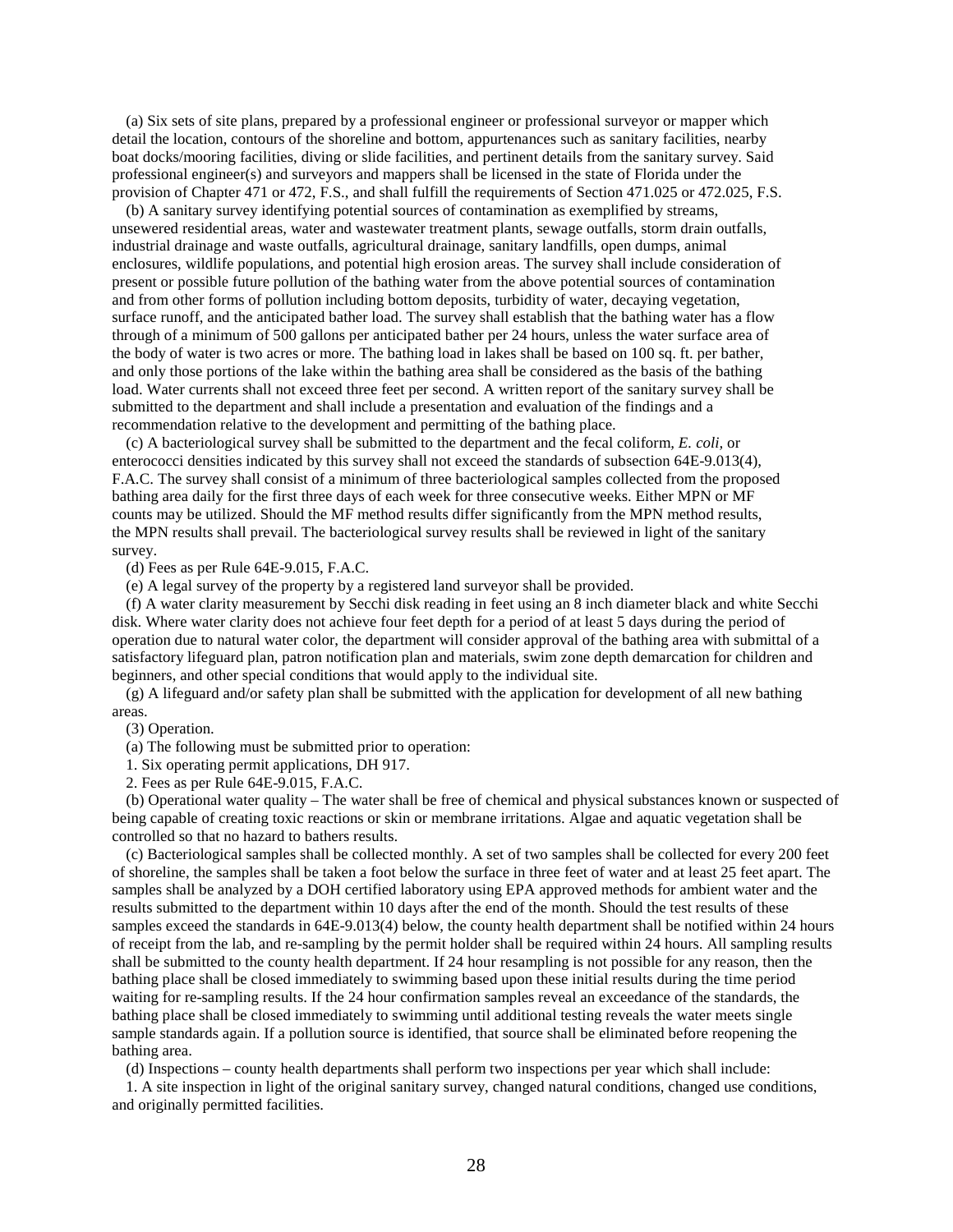(a) Six sets of site plans, prepared by a professional engineer or professional surveyor or mapper which detail the location, contours of the shoreline and bottom, appurtenances such as sanitary facilities, nearby boat docks/mooring facilities, diving or slide facilities, and pertinent details from the sanitary survey. Said professional engineer(s) and surveyors and mappers shall be licensed in the state of Florida under the provision of Chapter 471 or 472, F.S., and shall fulfill the requirements of Section 471.025 or 472.025, F.S.

(b) A sanitary survey identifying potential sources of contamination as exemplified by streams, unsewered residential areas, water and wastewater treatment plants, sewage outfalls, storm drain outfalls, industrial drainage and waste outfalls, agricultural drainage, sanitary landfills, open dumps, animal enclosures, wildlife populations, and potential high erosion areas. The survey shall include consideration of present or possible future pollution of the bathing water from the above potential sources of contamination and from other forms of pollution including bottom deposits, turbidity of water, decaying vegetation, surface runoff, and the anticipated bather load. The survey shall establish that the bathing water has a flow through of a minimum of 500 gallons per anticipated bather per 24 hours, unless the water surface area of the body of water is two acres or more. The bathing load in lakes shall be based on 100 sq. ft. per bather, and only those portions of the lake within the bathing area shall be considered as the basis of the bathing load. Water currents shall not exceed three feet per second. A written report of the sanitary survey shall be submitted to the department and shall include a presentation and evaluation of the findings and a recommendation relative to the development and permitting of the bathing place.

(c) A bacteriological survey shall be submitted to the department and the fecal coliform*, E. coli,* or enterococci densities indicated by this survey shall not exceed the standards of subsection 64E-9.013(4), F.A.C. The survey shall consist of a minimum of three bacteriological samples collected from the proposed bathing area daily for the first three days of each week for three consecutive weeks. Either MPN or MF counts may be utilized. Should the MF method results differ significantly from the MPN method results, the MPN results shall prevail. The bacteriological survey results shall be reviewed in light of the sanitary survey.

(d) Fees as per Rule 64E-9.015, F.A.C.

(e) A legal survey of the property by a registered land surveyor shall be provided.

(f) A water clarity measurement by Secchi disk reading in feet using an 8 inch diameter black and white Secchi disk. Where water clarity does not achieve four feet depth for a period of at least 5 days during the period of operation due to natural water color, the department will consider approval of the bathing area with submittal of a satisfactory lifeguard plan, patron notification plan and materials, swim zone depth demarcation for children and beginners, and other special conditions that would apply to the individual site.

(g) A lifeguard and/or safety plan shall be submitted with the application for development of all new bathing areas.

(3) Operation.

(a) The following must be submitted prior to operation:

1. Six operating permit applications, DH 917.

2. Fees as per Rule 64E-9.015, F.A.C.

(b) Operational water quality – The water shall be free of chemical and physical substances known or suspected of being capable of creating toxic reactions or skin or membrane irritations. Algae and aquatic vegetation shall be controlled so that no hazard to bathers results.

(c) Bacteriological samples shall be collected monthly. A set of two samples shall be collected for every 200 feet of shoreline, the samples shall be taken a foot below the surface in three feet of water and at least 25 feet apart. The samples shall be analyzed by a DOH certified laboratory using EPA approved methods for ambient water and the results submitted to the department within 10 days after the end of the month. Should the test results of these samples exceed the standards in 64E-9.013(4) below, the county health department shall be notified within 24 hours of receipt from the lab, and re-sampling by the permit holder shall be required within 24 hours. All sampling results shall be submitted to the county health department. If 24 hour resampling is not possible for any reason, then the bathing place shall be closed immediately to swimming based upon these initial results during the time period waiting for re-sampling results. If the 24 hour confirmation samples reveal an exceedance of the standards, the bathing place shall be closed immediately to swimming until additional testing reveals the water meets single sample standards again. If a pollution source is identified, that source shall be eliminated before reopening the bathing area.

(d) Inspections – county health departments shall perform two inspections per year which shall include:

1. A site inspection in light of the original sanitary survey, changed natural conditions, changed use conditions, and originally permitted facilities.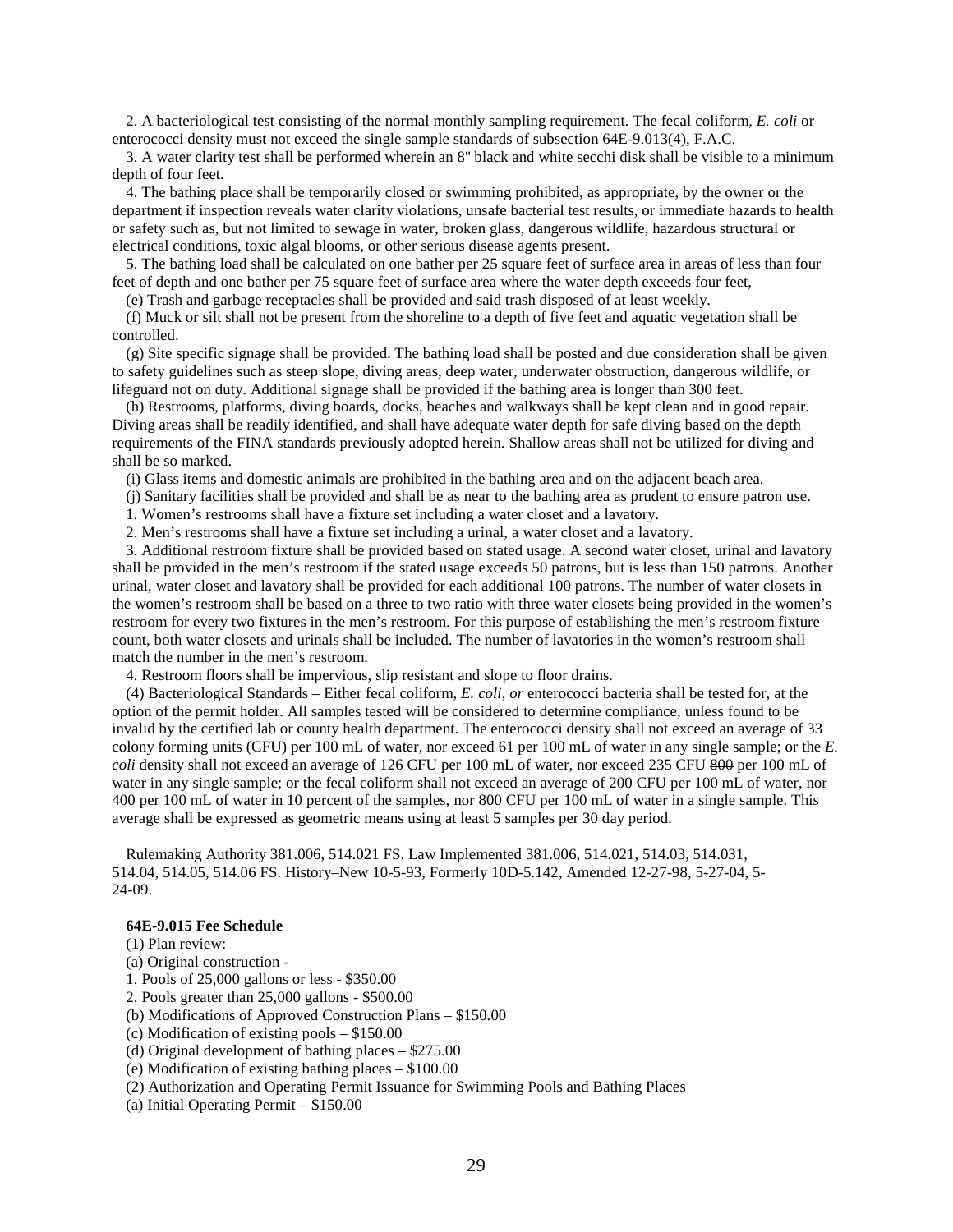2. A bacteriological test consisting of the normal monthly sampling requirement. The fecal coliform, *E. coli* or enterococci density must not exceed the single sample standards of subsection 64E-9.013(4), F.A.C.

3. A water clarity test shall be performed wherein an 8'' black and white secchi disk shall be visible to a minimum depth of four feet.

4. The bathing place shall be temporarily closed or swimming prohibited, as appropriate, by the owner or the department if inspection reveals water clarity violations, unsafe bacterial test results, or immediate hazards to health or safety such as, but not limited to sewage in water, broken glass, dangerous wildlife, hazardous structural or electrical conditions, toxic algal blooms, or other serious disease agents present.

5. The bathing load shall be calculated on one bather per 25 square feet of surface area in areas of less than four feet of depth and one bather per 75 square feet of surface area where the water depth exceeds four feet,

(e) Trash and garbage receptacles shall be provided and said trash disposed of at least weekly.

(f) Muck or silt shall not be present from the shoreline to a depth of five feet and aquatic vegetation shall be controlled.

(g) Site specific signage shall be provided. The bathing load shall be posted and due consideration shall be given to safety guidelines such as steep slope, diving areas, deep water, underwater obstruction, dangerous wildlife, or lifeguard not on duty. Additional signage shall be provided if the bathing area is longer than 300 feet.

(h) Restrooms, platforms, diving boards, docks, beaches and walkways shall be kept clean and in good repair. Diving areas shall be readily identified, and shall have adequate water depth for safe diving based on the depth requirements of the FINA standards previously adopted herein. Shallow areas shall not be utilized for diving and shall be so marked.

(i) Glass items and domestic animals are prohibited in the bathing area and on the adjacent beach area.

(j) Sanitary facilities shall be provided and shall be as near to the bathing area as prudent to ensure patron use.

1. Women's restrooms shall have a fixture set including a water closet and a lavatory.

2. Men's restrooms shall have a fixture set including a urinal, a water closet and a lavatory.

3. Additional restroom fixture shall be provided based on stated usage. A second water closet, urinal and lavatory shall be provided in the men's restroom if the stated usage exceeds 50 patrons, but is less than 150 patrons. Another urinal, water closet and lavatory shall be provided for each additional 100 patrons. The number of water closets in the women's restroom shall be based on a three to two ratio with three water closets being provided in the women's restroom for every two fixtures in the men's restroom. For this purpose of establishing the men's restroom fixture count, both water closets and urinals shall be included. The number of lavatories in the women's restroom shall match the number in the men's restroom.

4. Restroom floors shall be impervious, slip resistant and slope to floor drains.

(4) Bacteriological Standards – Either fecal coliform, *E. coli, or* enterococci bacteria shall be tested for, at the option of the permit holder. All samples tested will be considered to determine compliance, unless found to be invalid by the certified lab or county health department. The enterococci density shall not exceed an average of 33 colony forming units (CFU) per 100 mL of water, nor exceed 61 per 100 mL of water in any single sample; or the *E. coli* density shall not exceed an average of 126 CFU per 100 mL of water, nor exceed 235 CFU 800 per 100 mL of water in any single sample; or the fecal coliform shall not exceed an average of 200 CFU per 100 mL of water, nor 400 per 100 mL of water in 10 percent of the samples, nor 800 CFU per 100 mL of water in a single sample. This average shall be expressed as geometric means using at least 5 samples per 30 day period.

Rulemaking Authority 381.006, 514.021 FS. Law Implemented 381.006, 514.021, 514.03, 514.031, 514.04, 514.05, 514.06 FS. History–New 10-5-93, Formerly 10D-5.142, Amended 12-27-98, 5-27-04, 5- 24-09.

## **64E-9.015 Fee Schedule**

(1) Plan review:

- (a) Original construction -
- 1. Pools of 25,000 gallons or less \$350.00
- 2. Pools greater than 25,000 gallons \$500.00
- (b) Modifications of Approved Construction Plans \$150.00
- (c) Modification of existing pools \$150.00
- (d) Original development of bathing places \$275.00
- (e) Modification of existing bathing places \$100.00
- (2) Authorization and Operating Permit Issuance for Swimming Pools and Bathing Places
- (a) Initial Operating Permit \$150.00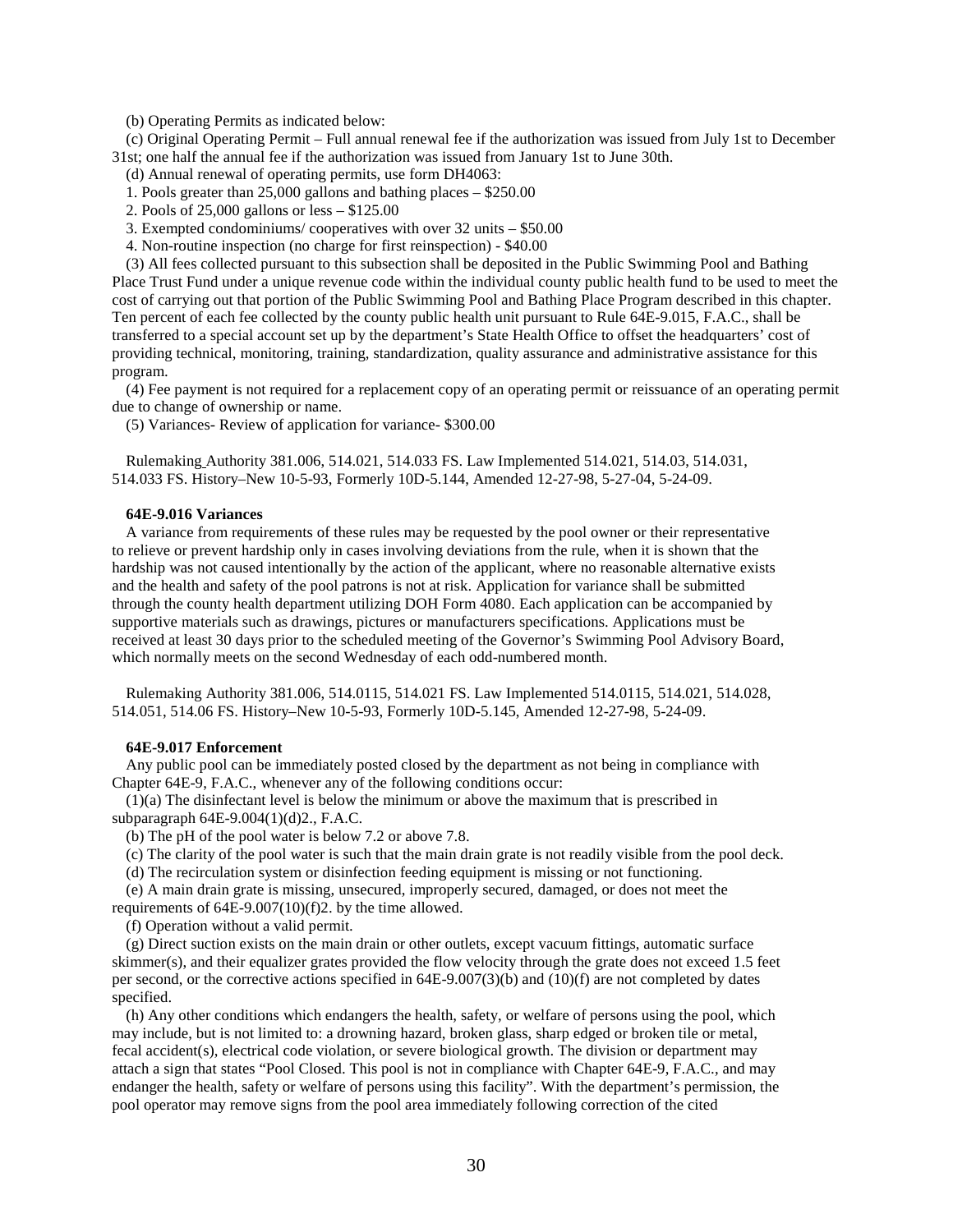(b) Operating Permits as indicated below:

(c) Original Operating Permit – Full annual renewal fee if the authorization was issued from July 1st to December 31st; one half the annual fee if the authorization was issued from January 1st to June 30th.

(d) Annual renewal of operating permits, use form DH4063:

1. Pools greater than 25,000 gallons and bathing places – \$250.00

2. Pools of 25,000 gallons or less – \$125.00

3. Exempted condominiums/ cooperatives with over 32 units – \$50.00

4. Non-routine inspection (no charge for first reinspection) - \$40.00

(3) All fees collected pursuant to this subsection shall be deposited in the Public Swimming Pool and Bathing Place Trust Fund under a unique revenue code within the individual county public health fund to be used to meet the cost of carrying out that portion of the Public Swimming Pool and Bathing Place Program described in this chapter. Ten percent of each fee collected by the county public health unit pursuant to Rule 64E-9.015, F.A.C., shall be transferred to a special account set up by the department's State Health Office to offset the headquarters' cost of providing technical, monitoring, training, standardization, quality assurance and administrative assistance for this program.

(4) Fee payment is not required for a replacement copy of an operating permit or reissuance of an operating permit due to change of ownership or name.

(5) Variances- Review of application for variance- \$300.00

Rulemaking Authority 381.006, 514.021, 514.033 FS. Law Implemented 514.021, 514.03, 514.031, 514.033 FS. History–New 10-5-93, Formerly 10D-5.144, Amended 12-27-98, 5-27-04, 5-24-09.

# **64E-9.016 Variances**

A variance from requirements of these rules may be requested by the pool owner or their representative to relieve or prevent hardship only in cases involving deviations from the rule, when it is shown that the hardship was not caused intentionally by the action of the applicant, where no reasonable alternative exists and the health and safety of the pool patrons is not at risk. Application for variance shall be submitted through the county health department utilizing DOH Form 4080. Each application can be accompanied by supportive materials such as drawings, pictures or manufacturers specifications. Applications must be received at least 30 days prior to the scheduled meeting of the Governor's Swimming Pool Advisory Board, which normally meets on the second Wednesday of each odd-numbered month.

Rulemaking Authority 381.006, 514.0115, 514.021 FS. Law Implemented 514.0115, 514.021, 514.028, 514.051, 514.06 FS. History–New 10-5-93, Formerly 10D-5.145, Amended 12-27-98, 5-24-09.

### **64E-9.017 Enforcement**

Any public pool can be immediately posted closed by the department as not being in compliance with Chapter 64E-9, F.A.C., whenever any of the following conditions occur:

(1)(a) The disinfectant level is below the minimum or above the maximum that is prescribed in subparagraph 64E-9.004(1)(d)2., F.A.C.

(b) The pH of the pool water is below 7.2 or above 7.8.

(c) The clarity of the pool water is such that the main drain grate is not readily visible from the pool deck.

(d) The recirculation system or disinfection feeding equipment is missing or not functioning.

(e) A main drain grate is missing, unsecured, improperly secured, damaged, or does not meet the requirements of 64E-9.007(10)(f)2. by the time allowed.

(f) Operation without a valid permit.

(g) Direct suction exists on the main drain or other outlets, except vacuum fittings, automatic surface skimmer(s), and their equalizer grates provided the flow velocity through the grate does not exceed 1.5 feet per second, or the corrective actions specified in 64E-9.007(3)(b) and (10)(f) are not completed by dates specified.

(h) Any other conditions which endangers the health, safety, or welfare of persons using the pool, which may include, but is not limited to: a drowning hazard, broken glass, sharp edged or broken tile or metal, fecal accident(s), electrical code violation, or severe biological growth. The division or department may attach a sign that states "Pool Closed. This pool is not in compliance with Chapter 64E-9, F.A.C., and may endanger the health, safety or welfare of persons using this facility". With the department's permission, the pool operator may remove signs from the pool area immediately following correction of the cited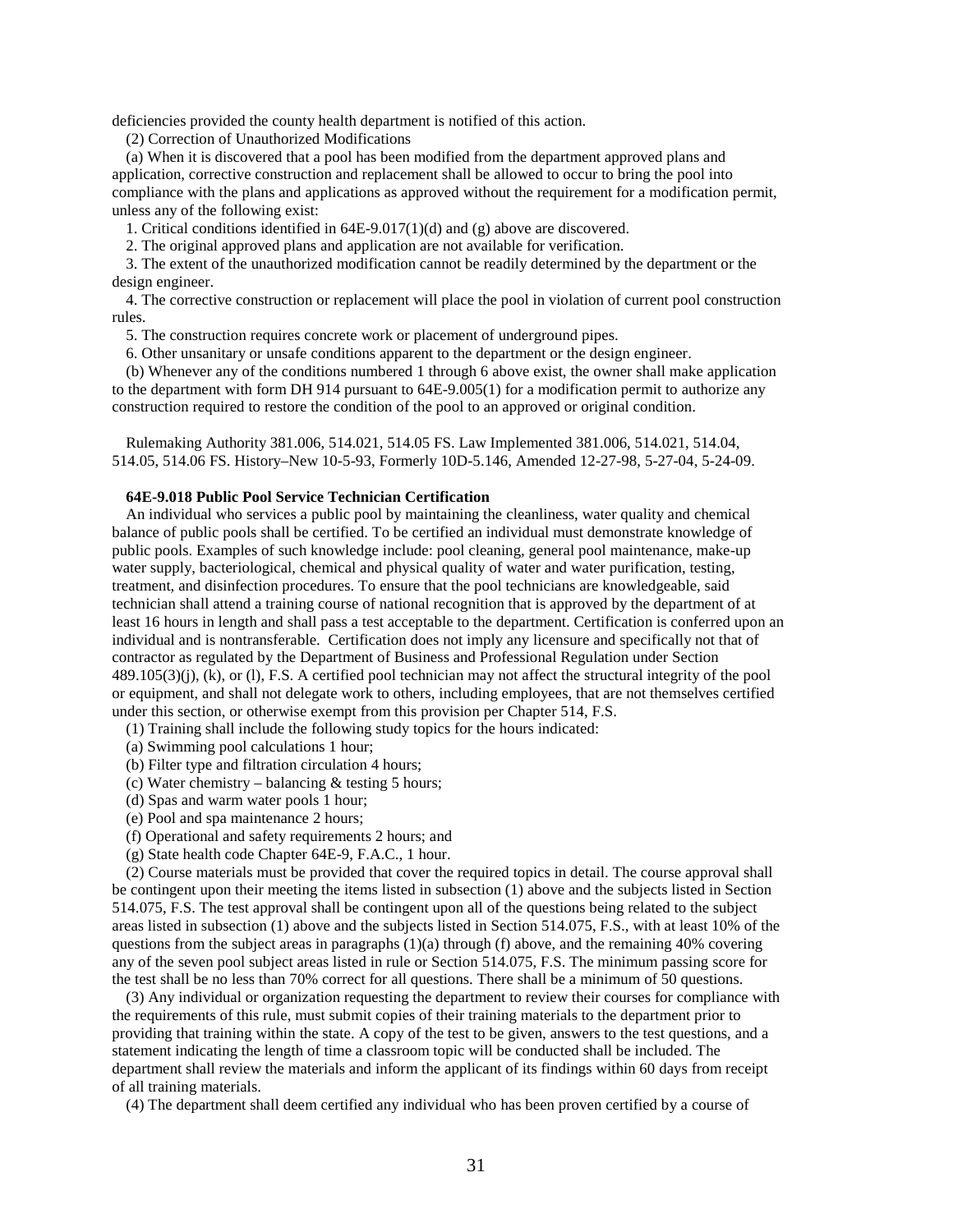deficiencies provided the county health department is notified of this action.

(2) Correction of Unauthorized Modifications

(a) When it is discovered that a pool has been modified from the department approved plans and application, corrective construction and replacement shall be allowed to occur to bring the pool into compliance with the plans and applications as approved without the requirement for a modification permit, unless any of the following exist:

1. Critical conditions identified in 64E-9.017(1)(d) and (g) above are discovered.

2. The original approved plans and application are not available for verification.

3. The extent of the unauthorized modification cannot be readily determined by the department or the design engineer.

4. The corrective construction or replacement will place the pool in violation of current pool construction rules.

5. The construction requires concrete work or placement of underground pipes.

6. Other unsanitary or unsafe conditions apparent to the department or the design engineer.

(b) Whenever any of the conditions numbered 1 through 6 above exist, the owner shall make application to the department with form DH 914 pursuant to 64E-9.005(1) for a modification permit to authorize any construction required to restore the condition of the pool to an approved or original condition.

Rulemaking Authority 381.006, 514.021, 514.05 FS. Law Implemented 381.006, 514.021, 514.04, 514.05, 514.06 FS. History–New 10-5-93, Formerly 10D-5.146, Amended 12-27-98, 5-27-04, 5-24-09.

### **64E-9.018 Public Pool Service Technician Certification**

An individual who services a public pool by maintaining the cleanliness, water quality and chemical balance of public pools shall be certified. To be certified an individual must demonstrate knowledge of public pools. Examples of such knowledge include: pool cleaning, general pool maintenance, make-up water supply, bacteriological, chemical and physical quality of water and water purification, testing, treatment, and disinfection procedures. To ensure that the pool technicians are knowledgeable, said technician shall attend a training course of national recognition that is approved by the department of at least 16 hours in length and shall pass a test acceptable to the department. Certification is conferred upon an individual and is nontransferable. Certification does not imply any licensure and specifically not that of contractor as regulated by the Department of Business and Professional Regulation under Section 489.105(3)(j), (k), or (l), F.S. A certified pool technician may not affect the structural integrity of the pool or equipment, and shall not delegate work to others, including employees, that are not themselves certified under this section, or otherwise exempt from this provision per Chapter 514, F.S.

(1) Training shall include the following study topics for the hours indicated:

- (a) Swimming pool calculations 1 hour;
- (b) Filter type and filtration circulation 4 hours;
- (c) Water chemistry balancing  $&$  testing 5 hours;
- (d) Spas and warm water pools 1 hour;
- (e) Pool and spa maintenance 2 hours;
- (f) Operational and safety requirements 2 hours; and
- (g) State health code Chapter 64E-9, F.A.C., 1 hour.

(2) Course materials must be provided that cover the required topics in detail. The course approval shall be contingent upon their meeting the items listed in subsection (1) above and the subjects listed in Section 514.075, F.S. The test approval shall be contingent upon all of the questions being related to the subject areas listed in subsection (1) above and the subjects listed in Section 514.075, F.S., with at least 10% of the questions from the subject areas in paragraphs (1)(a) through (f) above, and the remaining 40% covering any of the seven pool subject areas listed in rule or Section 514.075, F.S. The minimum passing score for the test shall be no less than 70% correct for all questions. There shall be a minimum of 50 questions.

(3) Any individual or organization requesting the department to review their courses for compliance with the requirements of this rule, must submit copies of their training materials to the department prior to providing that training within the state. A copy of the test to be given, answers to the test questions, and a statement indicating the length of time a classroom topic will be conducted shall be included. The department shall review the materials and inform the applicant of its findings within 60 days from receipt of all training materials.

(4) The department shall deem certified any individual who has been proven certified by a course of